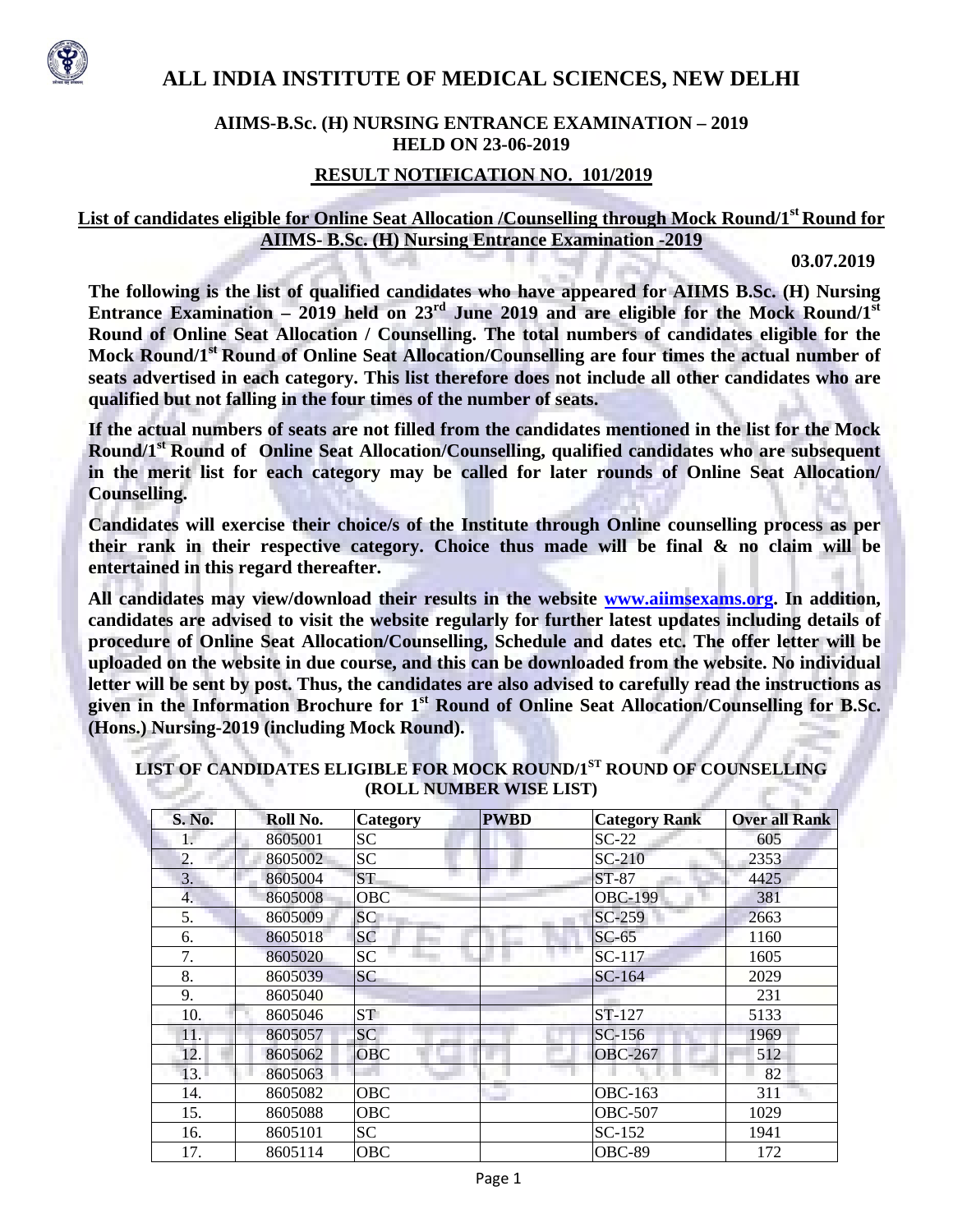

# **ALL INDIA INSTITUTE OF MEDICAL SCIENCES, NEW DELHI**

#### **AIIMS-B.Sc. (H) NURSING ENTRANCE EXAMINATION – 2019 HELD ON 23-06-2019**

#### **RESULT NOTIFICATION NO. 101/2019**

### **List of candidates eligible for Online Seat Allocation /Counselling through Mock Round/1st Round for AIIMS- B.Sc. (H) Nursing Entrance Examination -2019**

**03.07.2019** 

**The following is the list of qualified candidates who have appeared for AIIMS B.Sc. (H) Nursing**  Entrance Examination – 2019 held on 23<sup>rd</sup> June 2019 and are eligible for the Mock Round/1<sup>st</sup> **Round of Online Seat Allocation / Counselling. The total numbers of candidates eligible for the**  Mock Round/1<sup>st</sup> Round of Online Seat Allocation/Counselling are four times the actual number of **seats advertised in each category. This list therefore does not include all other candidates who are qualified but not falling in the four times of the number of seats.** 

**If the actual numbers of seats are not filled from the candidates mentioned in the list for the Mock Round/1st Round of Online Seat Allocation/Counselling, qualified candidates who are subsequent in the merit list for each category may be called for later rounds of Online Seat Allocation/ Counselling.** 

**Candidates will exercise their choice/s of the Institute through Online counselling process as per their rank in their respective category. Choice thus made will be final & no claim will be entertained in this regard thereafter.** 

**All candidates may view/download their results in the website www.aiimsexams.org. In addition, candidates are advised to visit the website regularly for further latest updates including details of procedure of Online Seat Allocation/Counselling, Schedule and dates etc. The offer letter will be uploaded on the website in due course, and this can be downloaded from the website. No individual letter will be sent by post. Thus, the candidates are also advised to carefully read the instructions as**  given in the Information Brochure for 1<sup>st</sup> Round of Online Seat Allocation/Counselling for B.Sc. **(Hons.) Nursing-2019 (including Mock Round).** 

| S. No. | Roll No. | Category        | <b>PWBD</b> | <b>Category Rank</b> | <b>Over all Rank</b> |
|--------|----------|-----------------|-------------|----------------------|----------------------|
| 1.     | 8605001  | <b>SC</b>       |             | $SC-22$              | 605                  |
| 2.     | 8605002  | SC              |             | SC-210               | 2353                 |
| 3.     | 8605004  | ST <sub>-</sub> |             | ST-87                | 4425                 |
| 4.     | 8605008  | <b>OBC</b>      |             | <b>OBC-199</b>       | 381                  |
| 5.     | 8605009  | SC <sup>-</sup> |             | SC-259               | 2663                 |
| 6.     | 8605018  | <b>SC</b>       |             | $SC-65$              | 1160                 |
| 7.     | 8605020  | <b>SC</b>       |             | SC-117               | 1605                 |
| 8.     | 8605039  | <b>SC</b>       |             | SC-164               | 2029                 |
| 9.     | 8605040  |                 |             |                      | 231                  |
| 10.    | 8605046  | ST <sub>1</sub> |             | ST-127               | 5133                 |
| 11.    | 8605057  | <b>SC</b>       |             | $SC-156$             | 1969                 |
| 12.    | 8605062  | <b>OBC</b>      |             | <b>OBC-267</b>       | 512                  |
| 13.    | 8605063  |                 |             |                      | 82                   |
| 14.    | 8605082  | <b>OBC</b>      |             | OBC-163              | 311                  |
| 15.    | 8605088  | <b>OBC</b>      |             | <b>OBC-507</b>       | 1029                 |
| 16.    | 8605101  | SC              |             | $SC-152$             | 1941                 |
| 17.    | 8605114  | <b>OBC</b>      |             | <b>OBC-89</b>        | 172                  |

**LIST OF CANDIDATES ELIGIBLE FOR MOCK ROUND/1ST ROUND OF COUNSELLING (ROLL NUMBER WISE LIST)**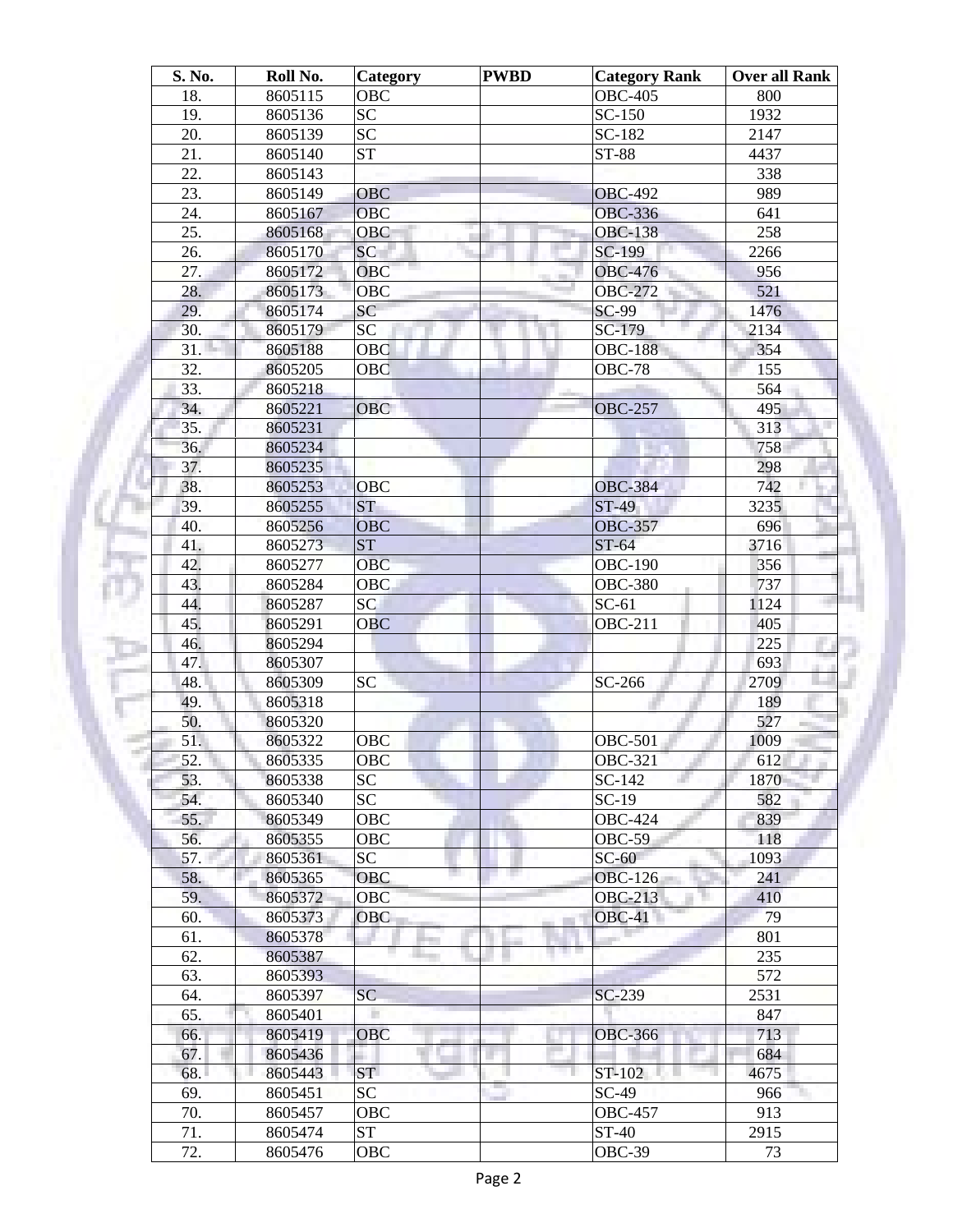| S. No.          | Roll No. | <b>Category</b> | <b>PWBD</b> | <b>Category Rank</b>             | <b>Over all Rank</b> |
|-----------------|----------|-----------------|-------------|----------------------------------|----------------------|
| 18.             | 8605115  | <b>OBC</b>      |             | <b>OBC-405</b>                   | 800                  |
| 19.             | 8605136  | <b>SC</b>       |             | SC-150                           | 1932                 |
| 20.             | 8605139  | $\overline{SC}$ |             | SC-182                           | 2147                 |
| 21.             | 8605140  | <b>ST</b>       |             | ST-88                            | 4437                 |
| 22.             | 8605143  |                 |             |                                  | 338                  |
| 23.             | 8605149  | <b>OBC</b>      |             | <b>OBC-492</b>                   | 989                  |
| 24.             | 8605167  | <b>OBC</b>      |             | <b>OBC-336</b>                   | 641                  |
| 25.             | 8605168  | <b>OBC</b>      |             | <b>OBC-138</b>                   | 258                  |
| 26.             | 8605170  | SC <sup>-</sup> |             | SC-199                           | 2266                 |
| 27.             | 8605172  | OBC             |             | <b>OBC-476</b>                   | 956                  |
| 28.             | 8605173  | <b>OBC</b>      |             | <b>OBC-272</b>                   | 521                  |
| 29.             | 8605174  | SC              |             | SC-99                            | 1476                 |
| 30.             | 8605179  | <b>SC</b>       |             | SC-179                           | 2134                 |
| 31.             | 8605188  | OBC             |             | <b>OBC-188</b>                   | 354                  |
| 32.             | 8605205  | OBC             |             | <b>OBC-78</b>                    | 155                  |
| 33.             | 8605218  |                 |             |                                  | 564                  |
| 34.             | 8605221  | <b>OBC</b>      |             | <b>OBC-257</b>                   | 495                  |
| 35.             | 8605231  |                 |             |                                  | 313                  |
| 36.             | 8605234  |                 |             |                                  | 758                  |
| 37.             | 8605235  |                 |             |                                  | 298                  |
| 38.             | 8605253  | <b>OBC</b>      |             | <b>OBC-384</b>                   | 742                  |
| 39.             | 8605255  | <b>ST</b>       |             | ST-49                            | 3235                 |
| 40.             | 8605256  | <b>OBC</b>      |             | <b>OBC-357</b>                   | 696                  |
| 41.             | 8605273  | <b>ST</b>       |             | $ST-64$                          | 3716                 |
| 42.             | 8605277  | <b>OBC</b>      |             | <b>OBC-190</b>                   | 356                  |
| 43.             | 8605284  | OBC             |             | <b>OBC-380</b>                   | 737                  |
| 44.             | 8605287  | SC              |             | $SC-61$                          | 1124                 |
| 45.             | 8605291  | <b>OBC</b>      |             | <b>OBC-211</b>                   | 405                  |
| 46.             | 8605294  |                 |             |                                  | 225                  |
| 47.             | 8605307  |                 |             |                                  | 693                  |
| 48.             | 8605309  | <b>SC</b>       |             | SC-266                           | 2709                 |
| 49.             | 8605318  |                 |             |                                  | 189                  |
| 50.             | 8605320  |                 |             |                                  | 527                  |
| 51.             | 8605322  | OBC             |             | <b>OBC-501</b>                   | 1009                 |
| $\overline{52}$ | 8605335  | OBC             |             | <b>OBC-321</b>                   | 612                  |
| 53.             | 8605338  | <b>SC</b>       |             | $SC-142$                         | 1870                 |
| 54.             | 8605340  | SC              |             | $SC-19$                          | 582                  |
| 55.             | 8605349  | OBC             |             | <b>OBC-424</b>                   | 839                  |
| 56.             | 8605355  | OBC             |             |                                  |                      |
|                 |          | SC              |             | $OBC-59$                         | 118                  |
| 57.             | 8605361  | <b>OBC</b>      |             | $SC-60$                          | 1093                 |
| 58.             | 8605365  |                 |             | <b>OBC-126</b><br><b>OBC-213</b> | 241                  |
| 59.             | 8605372  | <b>OBC</b>      |             |                                  | 410                  |
| 60.             | 8605373  | <b>OBC</b>      |             | $OBC-41$                         | 79                   |
| 61.             | 8605378  |                 |             | n e                              | 801                  |
| 62.             | 8605387  |                 |             |                                  | 235                  |
| 63.             | 8605393  |                 |             |                                  | 572                  |
| 64.             | 8605397  | <b>SC</b>       |             | SC-239                           | 2531                 |
| 65.             | 8605401  |                 |             |                                  | 847                  |
| 66.             | 8605419  | <b>OBC</b>      |             | <b>OBC-366</b>                   | 713                  |
| 67.             | 8605436  |                 |             |                                  | 684                  |
| 68.             | 8605443  | <b>ST</b>       |             | ST-102                           | 4675                 |
| 69.             | 8605451  | SC              |             | $SC-49$                          | 966                  |
| 70.             | 8605457  | OBC             |             | <b>OBC-457</b>                   | 913                  |
| 71.             | 8605474  | <b>ST</b>       |             | ST-40                            | 2915                 |
| 72.             | 8605476  | OBC             |             | OBC-39                           | 73                   |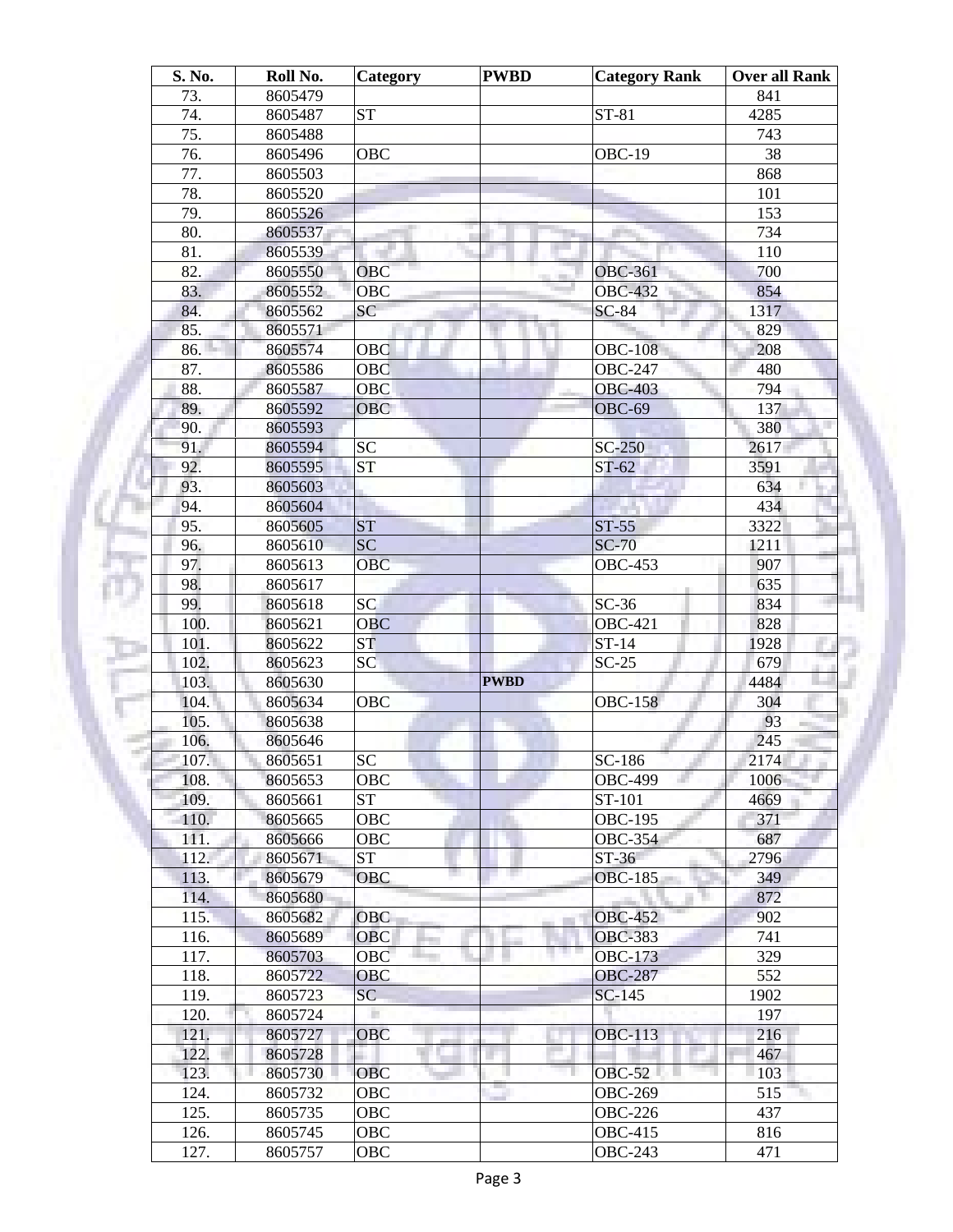| S. No. | Roll No. | Category   | <b>PWBD</b> | <b>Category Rank</b> | <b>Over all Rank</b> |
|--------|----------|------------|-------------|----------------------|----------------------|
| 73.    | 8605479  |            |             |                      | 841                  |
| 74.    | 8605487  | <b>ST</b>  |             | $ST-81$              | 4285                 |
| 75.    | 8605488  |            |             |                      | 743                  |
| 76.    | 8605496  | <b>OBC</b> |             | OBC-19               | 38                   |
| 77.    | 8605503  |            |             |                      | 868                  |
| 78.    | 8605520  |            |             |                      | 101                  |
| 79.    | 8605526  |            |             |                      | 153                  |
| 80.    | 8605537  |            |             |                      | 734                  |
| 81.    | 8605539  |            |             |                      | 110                  |
| 82.    | 8605550  | OBC        |             | <b>OBC-361</b>       | 700                  |
| 83.    | 8605552  | <b>OBC</b> |             | <b>OBC-432</b>       | 854                  |
| 84.    | 8605562  | SC         |             | $SC-84$              | 1317                 |
| 85.    | 8605571  |            |             |                      | 829                  |
| 86.    | 8605574  | OBC        |             | <b>OBC-108</b>       | 208                  |
| 87.    | 8605586  | OBC        |             | <b>OBC-247</b>       | 480                  |
| 88.    | 8605587  | <b>OBC</b> |             | <b>OBC-403</b>       | 794                  |
| 89.    | 8605592  | <b>OBC</b> |             | <b>OBC-69</b>        | 137                  |
| 90.    | 8605593  |            |             |                      | 380                  |
| 91.    | 8605594  | <b>SC</b>  |             | $SC-250$             | 2617                 |
| 92.    | 8605595  | <b>ST</b>  |             | $ST-62$              | 3591                 |
| 93.    | 8605603  |            |             |                      | 634                  |
| 94.    | 8605604  |            |             |                      | 434                  |
| 95.    | 8605605  | <b>ST</b>  |             | $ST-55$              | 3322                 |
| 96.    | 8605610  | <b>SC</b>  |             | <b>SC-70</b>         | 1211                 |
| 97.    | 8605613  | OBC        |             | <b>OBC-453</b>       | 907                  |
| 98.    | 8605617  |            |             |                      | 635                  |
| 99.    | 8605618  | <b>SC</b>  |             | $SC-36$              | 834                  |
| 100.   | 8605621  | <b>OBC</b> |             | <b>OBC-421</b>       | 828                  |
| 101.   | 8605622  | <b>ST</b>  |             | $ST-14$              | 1928                 |
| 102.   | 8605623  | SC         |             | $SC-25$              | 679                  |
| 103.   | 8605630  |            | <b>PWBD</b> |                      | 4484                 |
| 104.   | 8605634  | OBC        |             | <b>OBC-158</b>       | 304                  |
| 105.   | 8605638  |            |             |                      | 93                   |
| 106.   | 8605646  |            |             |                      | 245                  |
|        |          | SC         |             | $SC-186$             |                      |
| 107.   | 8605651  |            |             |                      | 2174                 |
| 108.   | 8605653  | OBC        |             | <b>OBC-499</b>       | 1006                 |
| 109.   | 8605661  | <b>ST</b>  |             | ST-101               | 4669                 |
| 110.   | 8605665  | OBC        |             | <b>OBC-195</b>       | 371                  |
| 111.   | 8605666  | OBC        |             | <b>OBC-354</b>       | 687                  |
| 112.   | 8605671  | <b>ST</b>  |             | $ST-36$              | 2796                 |
| 113.   | 8605679  | <b>OBC</b> |             | <b>OBC-185</b>       | 349                  |
| 114.   | 8605680  |            |             |                      | 872                  |
| 115.   | 8605682  | <b>OBC</b> |             | <b>OBC-452</b>       | 902                  |
| 116.   | 8605689  | <b>OBC</b> |             | <b>OBC-383</b>       | 741                  |
| 117.   | 8605703  | OBC        |             | <b>OBC-173</b>       | 329                  |
| 118.   | 8605722  | <b>OBC</b> |             | <b>OBC-287</b>       | 552                  |
| 119.   | 8605723  | SC         |             | SC-145               | 1902                 |
| 120.   | 8605724  |            |             |                      | 197                  |
| 121.   | 8605727  | <b>OBC</b> |             | <b>OBC-113</b>       | 216                  |
| 122.   | 8605728  |            |             |                      | 467                  |
| 123.   | 8605730  | <b>OBC</b> |             | <b>OBC-52</b>        | 103                  |
| 124.   | 8605732  | OBC        |             | <b>OBC-269</b>       | 515                  |
| 125.   | 8605735  | OBC        |             | <b>OBC-226</b>       | 437                  |
| 126.   | 8605745  | OBC        |             | <b>OBC-415</b>       | 816                  |
| 127.   | 8605757  | OBC        |             | <b>OBC-243</b>       | 471                  |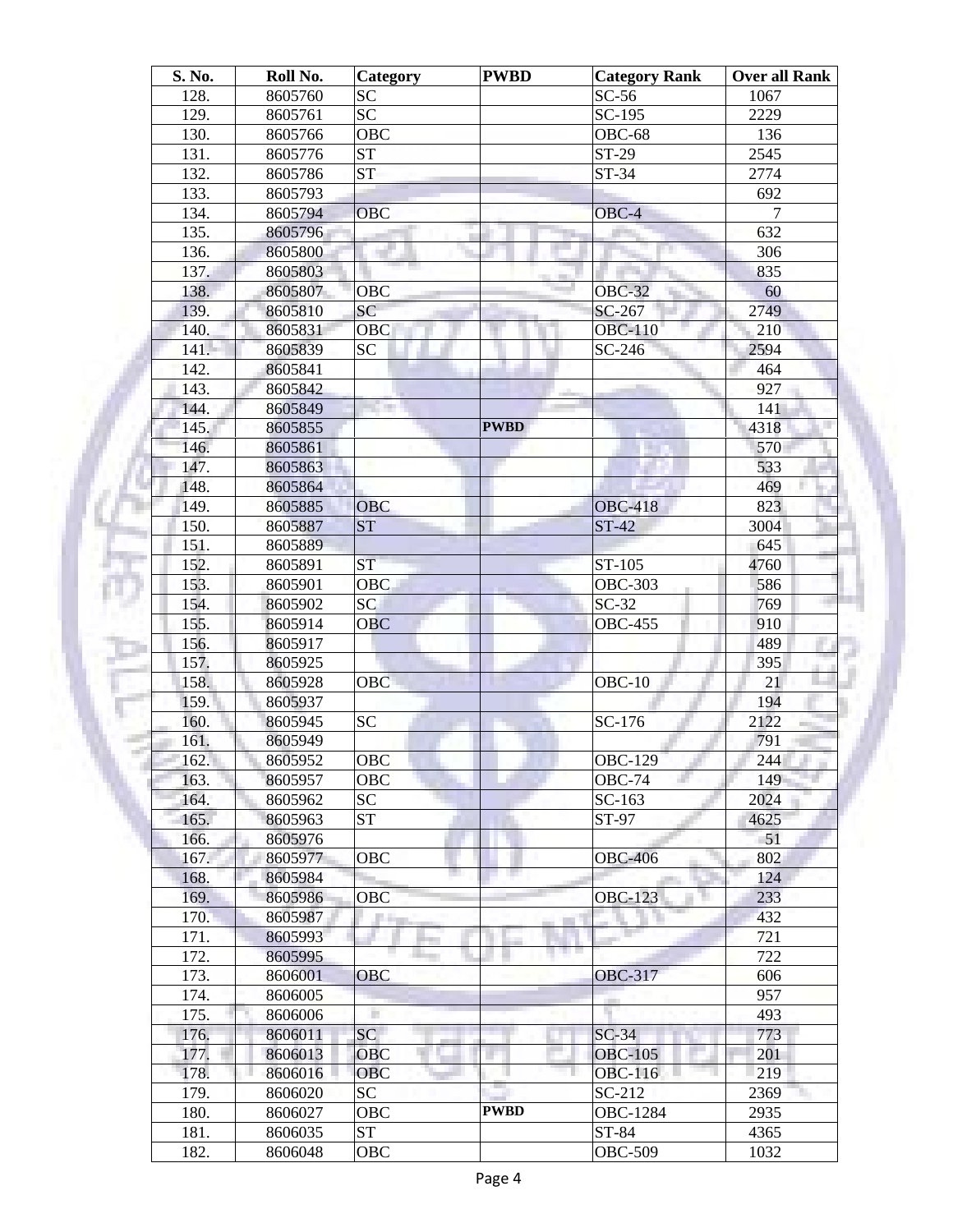| S. No.       | Roll No.           | Category        | <b>PWBD</b> | <b>Category Rank</b> | <b>Over all Rank</b> |
|--------------|--------------------|-----------------|-------------|----------------------|----------------------|
| 128.         | 8605760            | <b>SC</b>       |             | $SC-56$              | 1067                 |
| 129.         | 8605761            | <b>SC</b>       |             | SC-195               | 2229                 |
| 130.         | 8605766            | <b>OBC</b>      |             | OBC-68               | 136                  |
| 131.         | 8605776            | <b>ST</b>       |             | ST-29                | 2545                 |
| 132.         | 8605786            | <b>ST</b>       |             | $ST-34$              | 2774                 |
| 133.         | 8605793            |                 |             |                      | 692                  |
| 134.         | 8605794            | <b>OBC</b>      |             | OBC-4                | $\overline{7}$       |
| 135.         | 8605796            |                 |             |                      | 632                  |
| 136.         | 8605800            |                 |             |                      | 306                  |
| 137.         | 8605803            |                 |             |                      | 835                  |
| 138.         | 8605807            | OBC             |             | <b>OBC-32</b>        | 60                   |
| 139.         | 8605810            | SC              |             | SC-267               | 2749                 |
| 140.         | 8605831            | OBC             |             | <b>OBC-110</b>       | 210                  |
| 141.         | 8605839            | <b>SC</b>       |             | SC-246               | 2594                 |
| 142.         | 8605841            |                 |             |                      | 464                  |
| 143.         | 8605842            |                 |             |                      | 927                  |
| 144.         | 8605849            |                 |             |                      | 141                  |
| 145.         | 8605855            |                 | <b>PWBD</b> |                      | 4318                 |
| 146.         | 8605861            |                 |             |                      | 570                  |
| 147.         | 8605863            |                 |             |                      | 533                  |
| 148.         | 8605864            |                 |             |                      | 469                  |
| 149.         | 8605885            | <b>OBC</b>      |             | <b>OBC-418</b>       | 823                  |
| 150.         | 8605887            | <b>ST</b>       |             | $ST-42$              | 3004                 |
| 151.         | 8605889            |                 |             |                      | 645                  |
| 152.         | 8605891            | <b>ST</b>       |             | ST-105               | 4760                 |
| 153.         | 8605901            | OBC             |             | <b>OBC-303</b>       | 586                  |
| 154.         | 8605902            | $\overline{SC}$ |             | $SC-32$              | 769                  |
| 155.         | 8605914            | <b>OBC</b>      |             | <b>OBC-455</b>       | 910                  |
| 156.         | 8605917            |                 |             |                      | 489                  |
| 157.         | 8605925            |                 |             |                      | 395                  |
| 158.         | 8605928            | OBC             |             | $OBC-10$             | 21                   |
| 159.         | 8605937            |                 |             |                      | 194                  |
| 160.         | 8605945            | <b>SC</b>       |             | SC-176               | 2122                 |
| 161.         | 8605949            |                 |             |                      | 791                  |
| 162.         | 8605952            | OBC             |             | <b>OBC-129</b>       | 244                  |
| 163.         | 8605957            | OBC             |             | $OBC-74$             | 149                  |
| 164.         | 8605962            | <b>SC</b>       |             | SC-163               | 2024                 |
|              |                    | <b>ST</b>       |             | ST-97                | 4625                 |
| 165.<br>166. | 8605963<br>8605976 |                 |             |                      | 51                   |
| 167.         |                    | OBC             |             | <b>OBC-406</b>       | 802                  |
|              | 8605977            |                 |             |                      |                      |
| 168.<br>169. | 8605984<br>8605986 | OBC             |             | <b>OBC-123</b>       | 124<br>233           |
|              |                    |                 |             |                      |                      |
| 170.         | 8605987            | P the           |             |                      | 432<br>721           |
| 171.         | 8605993            |                 |             | . .                  |                      |
| 172.         | 8605995            |                 |             |                      | 722                  |
| 173.         | 8606001            | <b>OBC</b>      |             | <b>OBC-317</b>       | 606                  |
| 174.         | 8606005            |                 |             |                      | 957                  |
| 175.         | 8606006            | ٠               |             |                      | 493                  |
| 176.         | 8606011            | SC              |             | $SC-34$              | 773                  |
| 177.         | 8606013            | <b>OBC</b>      |             | <b>OBC-105</b>       | 201                  |
| 178.         | 8606016            | <b>OBC</b>      |             | <b>OBC-116</b>       | 219                  |
| 179.         | 8606020            | SC              |             | SC-212               | 2369                 |
| 180.         | 8606027            | OBC             | <b>PWBD</b> | <b>OBC-1284</b>      | 2935                 |
| 181.         | 8606035            | <b>ST</b>       |             | ST-84                | 4365                 |
| 182.         | 8606048            | OBC             |             | <b>OBC-509</b>       | 1032                 |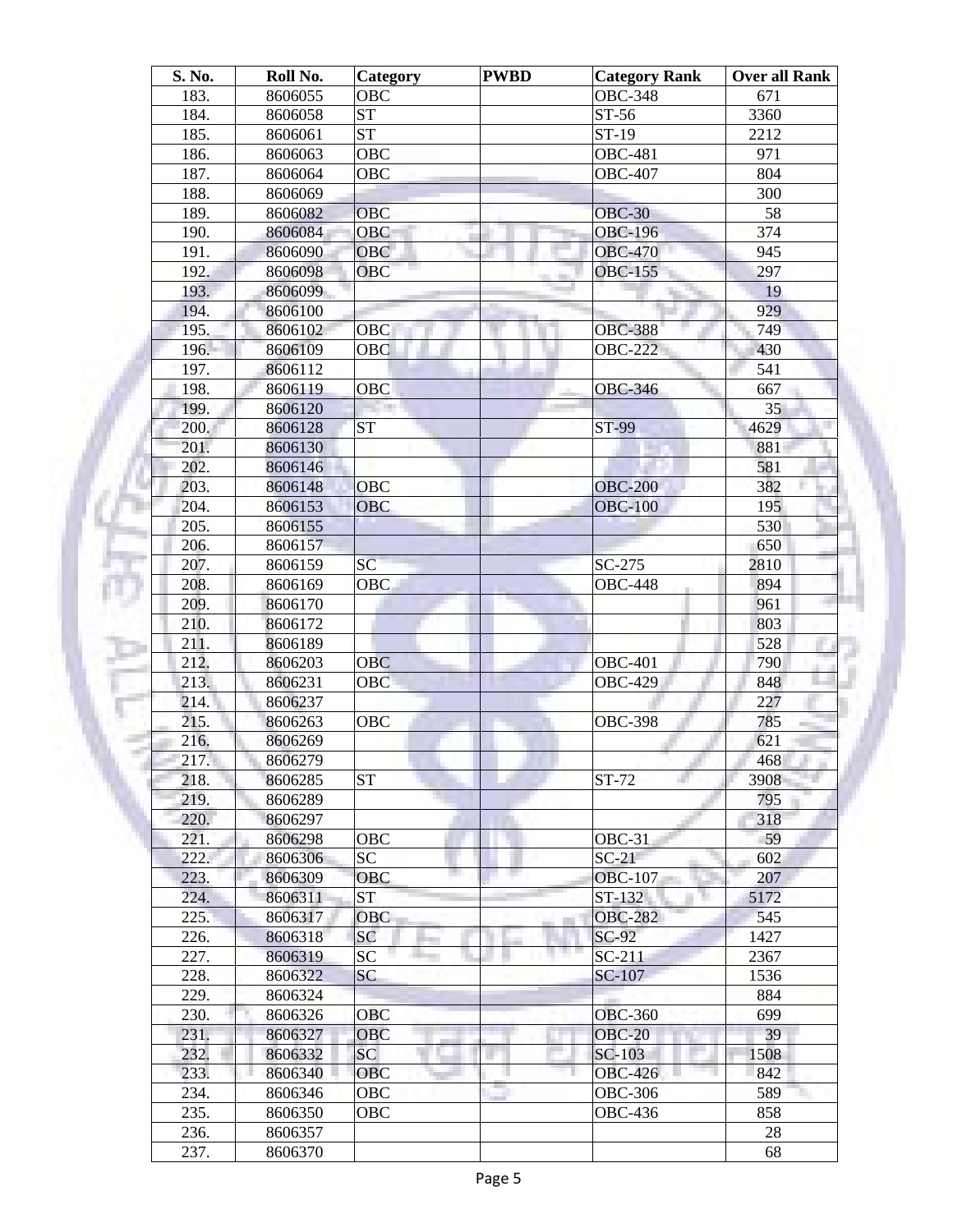| S. No. | Roll No.           | Category   | <b>PWBD</b> | <b>Category Rank</b> | <b>Over all Rank</b> |
|--------|--------------------|------------|-------------|----------------------|----------------------|
| 183.   | 8606055            | <b>OBC</b> |             | <b>OBC-348</b>       | 671                  |
| 184.   | 8606058            | <b>ST</b>  |             | ST-56                | 3360                 |
| 185.   | 8606061            | <b>ST</b>  |             | ST-19                | 2212                 |
| 186.   | 8606063            | <b>OBC</b> |             | <b>OBC-481</b>       | 971                  |
| 187.   | 8606064            | OBC        |             | <b>OBC-407</b>       | 804                  |
| 188.   | 8606069            |            |             |                      | 300                  |
| 189.   | 8606082            | OBC        |             | <b>OBC-30</b>        | 58                   |
| 190.   | 8606084            | OBC<br>ш   |             | <b>OBC-196</b>       | 374                  |
| 191.   | 8606090            | <b>OBC</b> |             | <b>OBC-470</b>       | 945                  |
| 192.   | 8606098            | OBC        |             | <b>OBC-155</b>       | 297                  |
| 193.   | 8606099            |            |             |                      | 19                   |
| 194.   | 8606100            |            |             |                      | 929                  |
| 195.   | 8606102            | OBC        |             | <b>OBC-388</b>       | 749                  |
| 196.   | 8606109            | OBC        |             | <b>OBC-222</b>       | 430                  |
| 197.   | 8606112            |            |             |                      | 541                  |
| 198.   |                    |            |             |                      |                      |
|        | 8606119            | OBC        |             | <b>OBC-346</b>       | 667                  |
| 199.   | 8606120            |            |             |                      | 35                   |
| 200.   | 8606128            | <b>ST</b>  |             | ST-99                | 4629                 |
| 201.   | 8606130            |            |             |                      | 881                  |
| 202.   | 8606146            |            |             |                      | 581                  |
| 203.   | 8606148            | <b>OBC</b> |             | <b>OBC-200</b>       | 382                  |
| 204.   | 8606153            | <b>OBC</b> |             | <b>OBC-100</b>       | 195                  |
| 205.   | 8606155            |            |             |                      | 530                  |
| 206.   | 8606157            |            |             |                      | 650                  |
| 207.   | 8606159            | SC         |             | $SC-275$             | 2810                 |
| 208.   | 8606169            | <b>OBC</b> |             | <b>OBC-448</b>       | 894                  |
| 209.   | 8606170            |            |             |                      | 961                  |
| 210.   | 8606172            |            |             |                      | 803                  |
| 211.   | 8606189            |            |             |                      | 528                  |
| 212.   | 8606203            | <b>OBC</b> |             | <b>OBC-401</b>       | 790                  |
| 213.   | 8606231            | <b>OBC</b> |             | <b>OBC-429</b>       | 848                  |
| 214.   | 8606237            |            |             |                      | 227                  |
| 215.   | 8606263            | <b>OBC</b> |             | <b>OBC-398</b>       | 785                  |
| 216.   | 8606269            |            |             |                      | 621                  |
| 217.   | 8606279            |            |             |                      | 468                  |
| 218.   | 8606285            | <b>ST</b>  |             | ST-72                | 3908                 |
| 219.   | 8606289            |            |             |                      | 795                  |
| 220.   | 8606297            |            |             |                      | 318                  |
| 221.   | 8606298            | OBC        |             | $OBC-31$             | 59                   |
| 222.   | 8606306            | <b>SC</b>  |             | $SC-21$              | 602                  |
| 223.   | 8606309            | OBC        |             | <b>OBC-107</b>       | 207                  |
| 224.   | 8606311            | <b>ST</b>  |             | ST-132               | 5172                 |
| 225.   | 8606317            | <b>OBC</b> |             | <b>OBC-282</b>       | 545                  |
| 226.   | 8606318            | SC         |             | $SC-92$              | 1427                 |
| 227.   | 8606319            | SC         |             | $SC-211$             | 2367                 |
| 228.   | 8606322            | SC         |             | SC-107               | 1536                 |
| 229.   | 8606324            |            |             |                      | 884                  |
| 230.   | 8606326            | OBC        |             | <b>OBC-360</b>       | 699                  |
| 231.   | 8606327            | OBC        |             | <b>OBC-20</b>        | 39                   |
| 232.   | 8606332            | SC         |             | SC-103               | 1508                 |
| 233.   | 8606340            | <b>OBC</b> |             | <b>OBC-426</b>       | 842                  |
| 234.   |                    | OBC        |             | <b>OBC-306</b>       | 589                  |
| 235.   | 8606346<br>8606350 | OBC        |             | <b>OBC-436</b>       | 858                  |
|        |                    |            |             |                      |                      |
| 236.   | 8606357            |            |             |                      | 28                   |
| 237.   | 8606370            |            |             |                      | 68                   |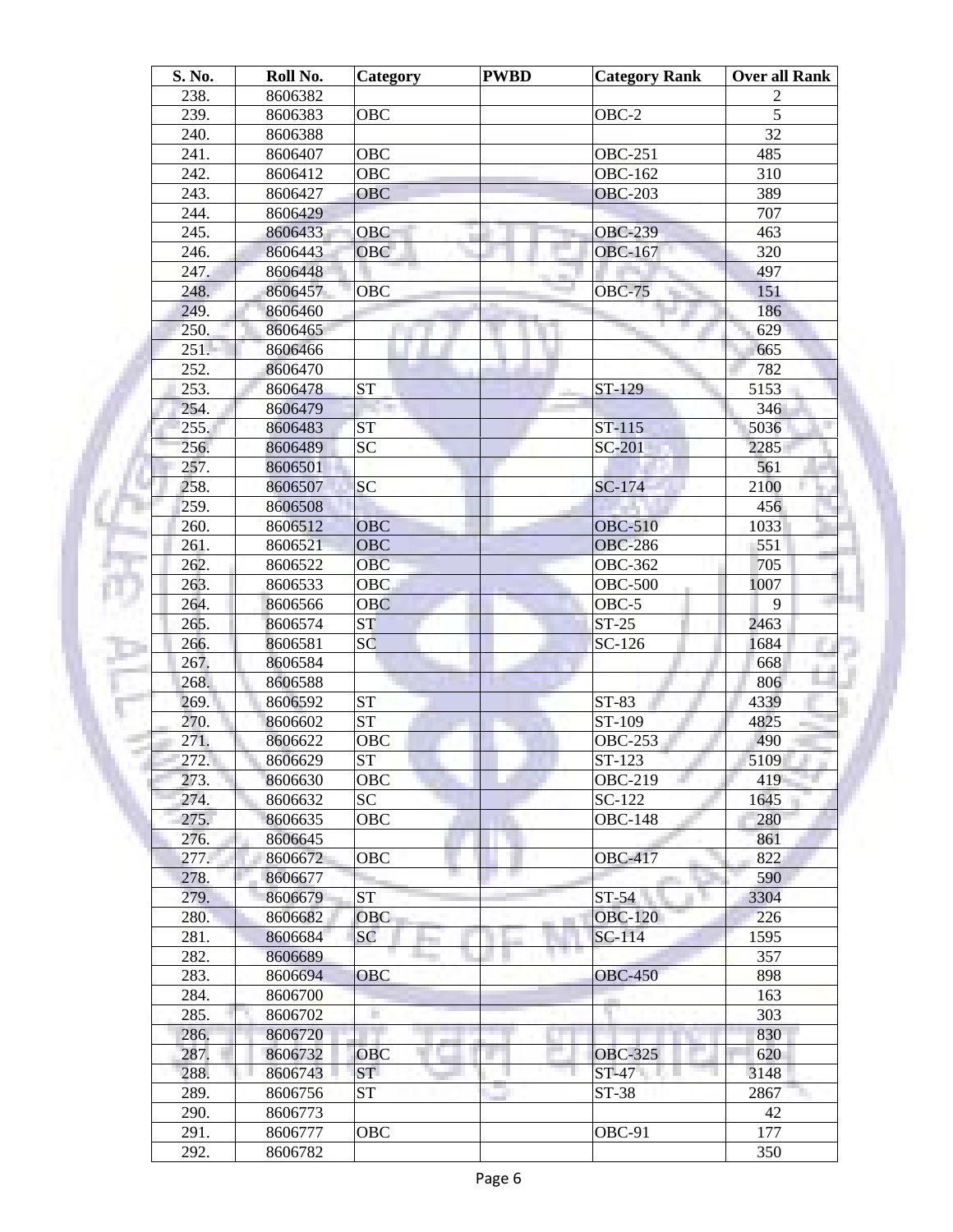| S. No. | Roll No. | Category               | <b>PWBD</b> | <b>Category Rank</b> | Over all Rank |
|--------|----------|------------------------|-------------|----------------------|---------------|
| 238.   | 8606382  |                        |             |                      | 2             |
| 239.   | 8606383  | <b>OBC</b>             |             | $OBC-2$              | 5             |
| 240.   | 8606388  |                        |             |                      | 32            |
| 241.   | 8606407  | OBC                    |             | <b>OBC-251</b>       | 485           |
| 242.   | 8606412  | <b>OBC</b>             |             | <b>OBC-162</b>       | 310           |
| 243.   | 8606427  | <b>OBC</b>             |             | <b>OBC-203</b>       | 389           |
| 244.   | 8606429  |                        |             |                      | 707           |
| 245.   | 8606433  | <b>OBC</b>             |             | <b>OBC-239</b>       | 463           |
| 246.   | 8606443  | <b>OBC</b>             |             | <b>OBC-167</b>       | 320           |
| 247.   | 8606448  |                        |             |                      | 497           |
| 248.   | 8606457  | <b>OBC</b>             |             | <b>OBC-75</b>        | 151           |
| 249.   | 8606460  |                        |             |                      | 186           |
| 250.   | 8606465  |                        |             |                      | 629           |
| 251.   |          |                        |             |                      |               |
|        | 8606466  |                        |             |                      | 665           |
| 252.   | 8606470  |                        |             |                      | 782           |
| 253.   | 8606478  | <b>ST</b>              |             | ST-129               | 5153          |
| 254.   | 8606479  |                        |             |                      | 346           |
| 255.   | 8606483  | <b>ST</b>              |             | $ST-115$             | 5036          |
| 256.   | 8606489  | <b>SC</b>              |             | SC-201               | 2285          |
| 257.   | 8606501  |                        |             |                      | 561           |
| 258.   | 8606507  | <b>SC</b>              |             | SC-174               | 2100          |
| 259.   | 8606508  |                        |             |                      | 456           |
| 260.   | 8606512  | OBC                    |             | <b>OBC-510</b>       | 1033          |
| 261.   | 8606521  | <b>OBC</b>             |             | <b>OBC-286</b>       | 551           |
| 262.   | 8606522  | <b>OBC</b>             |             | <b>OBC-362</b>       | 705           |
| 263.   | 8606533  | <b>OBC</b>             |             | <b>OBC-500</b>       | 1007          |
| 264.   | 8606566  | <b>OBC</b>             |             | OBC-5                | 9             |
| 265.   | 8606574  | ST                     |             | $ST-25$              | 2463          |
| 266.   | 8606581  | SC                     |             | $SC-126$             | 1684          |
| 267.   | 8606584  |                        |             |                      | 668           |
| 268.   | 8606588  |                        |             |                      | 806           |
| 269.   | 8606592  | <b>ST</b>              |             | ST-83                | 4339          |
| 270.   | 8606602  | $\overline{\text{ST}}$ |             | ST-109               | 4825          |
| 271.   | 8606622  | OBC                    |             | OBC-253              | 490           |
| 272.   | 8606629  | ST                     |             | $ST-123$             | 5109          |
| 273.   | 8606630  | OBC                    |             | <b>OBC-219</b>       | 419           |
| 274.   | 8606632  | SC                     |             | SC-122               | 1645          |
| 275.   | 8606635  | OBC                    |             | <b>OBC-148</b>       | 280           |
| 276.   | 8606645  |                        |             |                      | 861           |
| 277.   | 8606672  | OBC                    |             | <b>OBC-417</b>       | 822           |
| 278.   | 8606677  |                        |             |                      | 590           |
| 279.   | 8606679  | <b>ST</b>              |             | $ST-54$              | 3304          |
|        |          |                        |             |                      |               |
| 280.   | 8606682  | <b>OBC</b>             |             | <b>OBC-120</b>       | 226           |
| 281.   | 8606684  | <b>SC</b>              |             | SC-114               | 1595          |
| 282.   | 8606689  |                        |             |                      | 357           |
| 283.   | 8606694  | <b>OBC</b>             |             | <b>OBC-450</b>       | 898           |
| 284.   | 8606700  |                        |             |                      | 163           |
| 285.   | 8606702  | н                      |             |                      | 303           |
| 286.   | 8606720  |                        |             |                      | 830           |
| 287.   | 8606732  | <b>OBC</b>             |             | <b>OBC-325</b>       | 620           |
| 288.   | 8606743  | <b>ST</b>              |             | $ST-47$              | 3148          |
| 289.   | 8606756  | <b>ST</b>              |             | ST-38                | 2867          |
| 290.   | 8606773  |                        |             |                      | 42            |
| 291.   | 8606777  | OBC                    |             | OBC-91               | 177           |
| 292.   | 8606782  |                        |             |                      | 350           |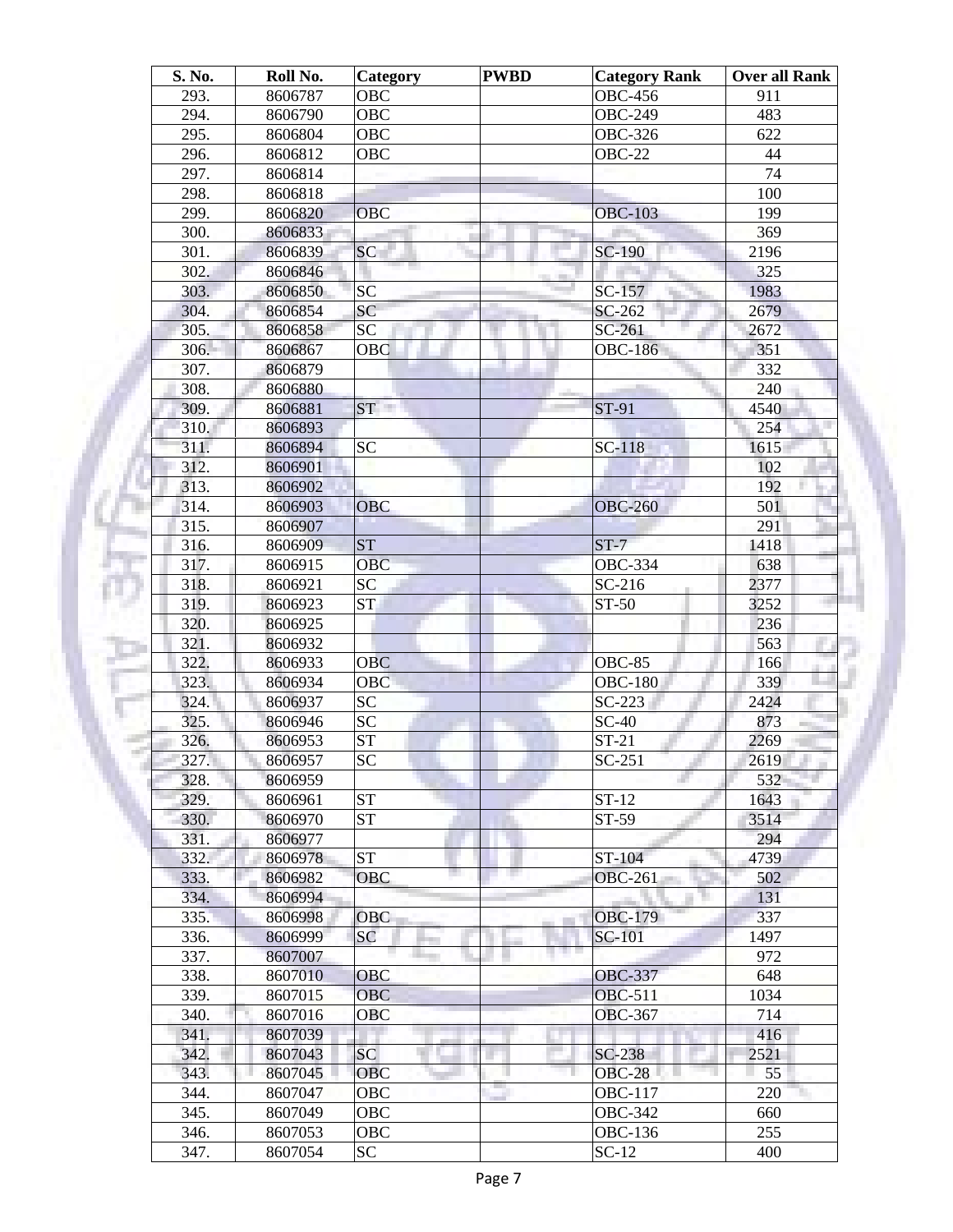| S. No. | Roll No. | Category        | <b>PWBD</b> | <b>Category Rank</b>  | <b>Over all Rank</b> |
|--------|----------|-----------------|-------------|-----------------------|----------------------|
| 293.   | 8606787  | <b>OBC</b>      |             | <b>OBC-456</b>        | 911                  |
| 294.   | 8606790  | <b>OBC</b>      |             | <b>OBC-249</b>        | 483                  |
| 295.   | 8606804  | <b>OBC</b>      |             | OBC-32 $\overline{6}$ | 622                  |
| 296.   | 8606812  | <b>OBC</b>      |             | <b>OBC-22</b>         | 44                   |
| 297.   | 8606814  |                 |             |                       | 74                   |
| 298.   | 8606818  |                 |             |                       | 100                  |
| 299.   | 8606820  | OBC             |             | <b>OBC-103</b>        | 199                  |
| 300.   | 8606833  |                 |             |                       | 369                  |
| 301.   | 8606839  | <b>SC</b>       |             | SC-190                | 2196                 |
| 302.   | 8606846  |                 |             |                       | 325                  |
| 303.   | 8606850  | <b>SC</b>       |             | SC-157                | 1983                 |
| 304.   | 8606854  | SC              |             | SC-262                | 2679                 |
| 305.   | 8606858  | SC              |             | $SC-261$              | 2672                 |
| 306.   | 8606867  | OBC             |             | <b>OBC-186</b>        | 351                  |
| 307.   | 8606879  |                 |             |                       | 332                  |
| 308.   | 8606880  |                 |             |                       | 240                  |
| 309.   | 8606881  | ST              |             | ST-91                 | 4540                 |
| 310.   | 8606893  |                 |             |                       | 254                  |
| 311.   | 8606894  | <b>SC</b>       |             | $SC-118$              | 1615                 |
| 312.   | 8606901  |                 |             |                       | 102                  |
| 313.   |          |                 |             |                       | 192                  |
|        | 8606902  |                 |             |                       |                      |
| 314.   | 8606903  | OBC             |             | <b>OBC-260</b>        | 501                  |
| 315.   | 8606907  |                 |             |                       | 291                  |
| 316.   | 8606909  | <b>ST</b>       |             | $ST-7$                | 1418                 |
| 317.   | 8606915  | <b>OBC</b>      |             | <b>OBC-334</b>        | 638                  |
| 318.   | 8606921  | SC              |             | $SC-216$              | 2377                 |
| 319.   | 8606923  | ST <sub>1</sub> |             | ST-50                 | 3252                 |
| 320.   | 8606925  |                 |             |                       | 236                  |
| 321.   | 8606932  |                 |             |                       | 563                  |
| 322.   | 8606933  | <b>OBC</b>      |             | <b>OBC-85</b>         | 166                  |
| 323.   | 8606934  | <b>OBC</b>      |             | <b>OBC-180</b>        | 339                  |
| 324.   | 8606937  | <b>SC</b>       |             | $SC-223$              | 2424                 |
| 325.   | 8606946  | <b>SC</b>       |             | $SC-40$               | 873                  |
| 326.   | 8606953  | <b>ST</b>       |             | $ST-21$               | 2269                 |
| 327.   | 8606957  | $\overline{SC}$ |             | $SC-251$              | 2619                 |
| 328.   | 8606959  |                 |             |                       | 532                  |
| 329.   | 8606961  | <b>ST</b>       |             | $ST-12$               | 1643                 |
| 330.   | 8606970  | <b>ST</b>       |             | ST-59                 | 3514                 |
| 331.   | 8606977  |                 |             |                       | 294                  |
| 332.   | 8606978  | <b>ST</b>       |             | ST-104                | 4739                 |
| 333.   | 8606982  | <b>OBC</b>      |             | <b>OBC-261</b>        | 502                  |
| 334.   | 8606994  |                 |             |                       | 131                  |
| 335.   | 8606998  | <b>OBC</b>      |             | <b>OBC-179</b>        | 337                  |
| 336.   | 8606999  | <b>SC</b>       |             | SC-101                | 1497                 |
| 337.   | 8607007  |                 |             | n n                   | 972                  |
| 338.   | 8607010  | <b>OBC</b>      |             | <b>OBC-337</b>        | 648                  |
| 339.   | 8607015  | <b>OBC</b>      |             | <b>OBC-511</b>        | 1034                 |
| 340.   | 8607016  | <b>OBC</b>      |             | <b>OBC-367</b>        | 714                  |
| 341.   | 8607039  |                 |             |                       | 416                  |
| 342.   | 8607043  | <b>SC</b>       |             | SC-238                | 2521                 |
| 343.   | 8607045  | <b>OBC</b>      |             | <b>OBC-28</b>         | 55                   |
| 344.   | 8607047  | OBC             |             | <b>OBC-117</b>        | 220                  |
| 345.   | 8607049  | OBC             |             | <b>OBC-342</b>        | 660                  |
| 346.   | 8607053  | OBC             |             | OBC-136               | 255                  |
|        |          |                 |             |                       |                      |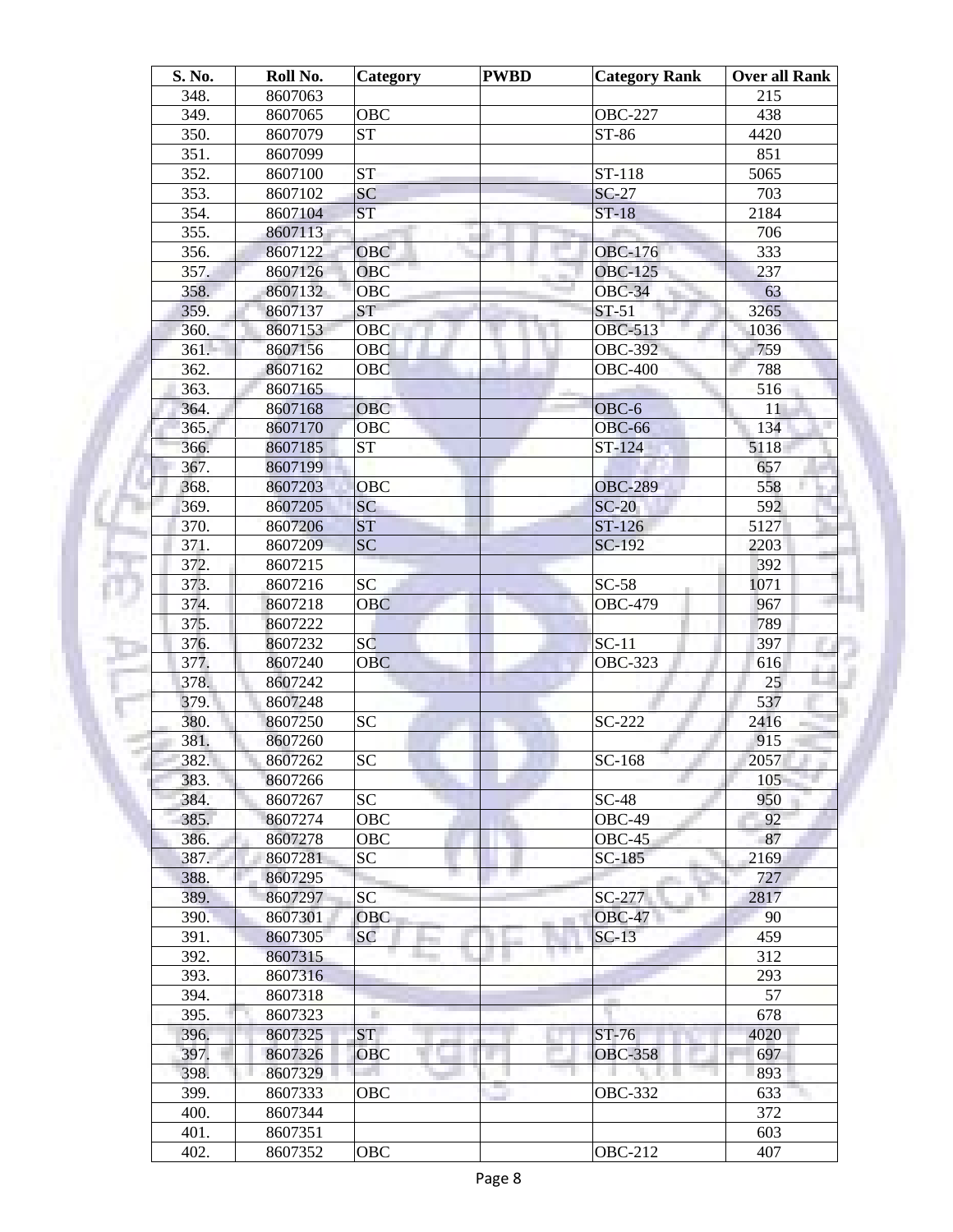| S. No. | Roll No. | <b>Category</b>        | <b>PWBD</b> | <b>Category Rank</b> | <b>Over all Rank</b> |
|--------|----------|------------------------|-------------|----------------------|----------------------|
| 348.   | 8607063  |                        |             |                      | 215                  |
| 349.   | 8607065  | <b>OBC</b>             |             | <b>OBC-227</b>       | 438                  |
| 350.   | 8607079  | $\overline{\text{ST}}$ |             | ST-86                | 4420                 |
| 351.   | 8607099  |                        |             |                      | 851                  |
| 352.   | 8607100  | <b>ST</b>              |             | ST-118               | 5065                 |
| 353.   | 8607102  | $\overline{SC}$        |             | $SC-27$              | 703                  |
| 354.   | 8607104  | <b>ST</b>              |             | $ST-18$              | 2184                 |
| 355.   | 8607113  |                        |             |                      | 706                  |
| 356.   | 8607122  | <b>OBC</b>             |             | <b>OBC-176</b>       | 333                  |
| 357.   | 8607126  | OBC                    |             | <b>OBC-125</b>       | 237                  |
| 358.   | 8607132  | <b>OBC</b>             |             | <b>OBC-34</b>        | 63                   |
| 359.   | 8607137  | <b>ST</b>              |             | $ST-51$              | 3265                 |
| 360.   | 8607153  | OBC                    |             | <b>OBC-513</b>       | 1036                 |
| 361.   | 8607156  | OBC                    |             | <b>OBC-392</b>       | 759                  |
| 362.   | 8607162  | OBC                    |             | <b>OBC-400</b>       | 788                  |
| 363.   | 8607165  |                        |             |                      | 516                  |
| 364.   | 8607168  | <b>OBC</b>             |             | OBC-6                | 11                   |
| 365.   | 8607170  | OBC                    |             | <b>OBC-66</b>        | 134                  |
| 366.   | 8607185  | <b>ST</b>              |             | ST-124               | 5118                 |
| 367.   | 8607199  |                        |             |                      | 657                  |
| 368.   | 8607203  | <b>OBC</b>             |             | <b>OBC-289</b>       | 558                  |
| 369.   | 8607205  | SC                     |             | $SC-20$              | 592                  |
| 370.   | 8607206  | <b>ST</b>              |             | $ST-126$             | 5127                 |
| 371.   | 8607209  | SC                     |             | SC-192               | 2203                 |
| 372.   | 8607215  |                        |             |                      | 392                  |
| 373.   | 8607216  | <b>SC</b>              |             | $SC-58$              | 1071                 |
| 374.   | 8607218  | <b>OBC</b>             |             | <b>OBC-479</b>       | 967                  |
| 375.   | 8607222  |                        |             |                      | 789                  |
| 376.   | 8607232  | SC                     |             | $SC-11$              | 397                  |
| 377.   | 8607240  | <b>OBC</b>             |             | <b>OBC-323</b>       | 616                  |
| 378.   | 8607242  |                        |             |                      | 25                   |
| 379.   | 8607248  |                        |             |                      | 537                  |
| 380.   | 8607250  | <b>SC</b>              |             | SC-222               | 2416                 |
| 381.   | 8607260  |                        |             |                      | 915                  |
| 382.   | 8607262  | $\overline{SC}$        |             | SC-168               | 2057                 |
| 383.   | 8607266  |                        |             |                      | 105                  |
| 384.   | 8607267  | <b>SC</b>              |             | $SC-48$              | 950                  |
| 385.   | 8607274  | <b>OBC</b>             |             | OBC-49               | 92                   |
| 386.   | 8607278  | OBC                    |             | OBC-45               | 87                   |
| 387.   | 8607281  | SC                     |             | $SC-185$             | 2169                 |
| 388.   | 8607295  |                        |             |                      | 727                  |
| 389.   | 8607297  | <b>SC</b>              |             | SC-277               | 2817                 |
| 390.   | 8607301  | <b>OBC</b>             |             | <b>OBC-47</b>        | 90                   |
| 391.   | 8607305  | SC                     |             | $SC-13$              | 459                  |
| 392.   | 8607315  |                        |             | m m                  | 312                  |
| 393.   | 8607316  |                        |             |                      | 293                  |
| 394.   | 8607318  |                        |             |                      | 57                   |
| 395.   | 8607323  |                        |             |                      | 678                  |
| 396.   | 8607325  | ST.                    |             | <b>ST-76</b>         | 4020                 |
| 397.   | 8607326  | <b>OBC</b>             |             | <b>OBC-358</b>       | 697                  |
| 398.   | 8607329  |                        |             | u.                   | 893                  |
| 399.   | 8607333  | <b>OBC</b>             |             | OBC-332              | 633                  |
| 400.   | 8607344  |                        |             |                      | 372                  |
| 401.   |          |                        |             |                      | 603                  |
|        | 8607351  |                        |             |                      |                      |
| 402.   | 8607352  | OBC                    |             | <b>OBC-212</b>       | 407                  |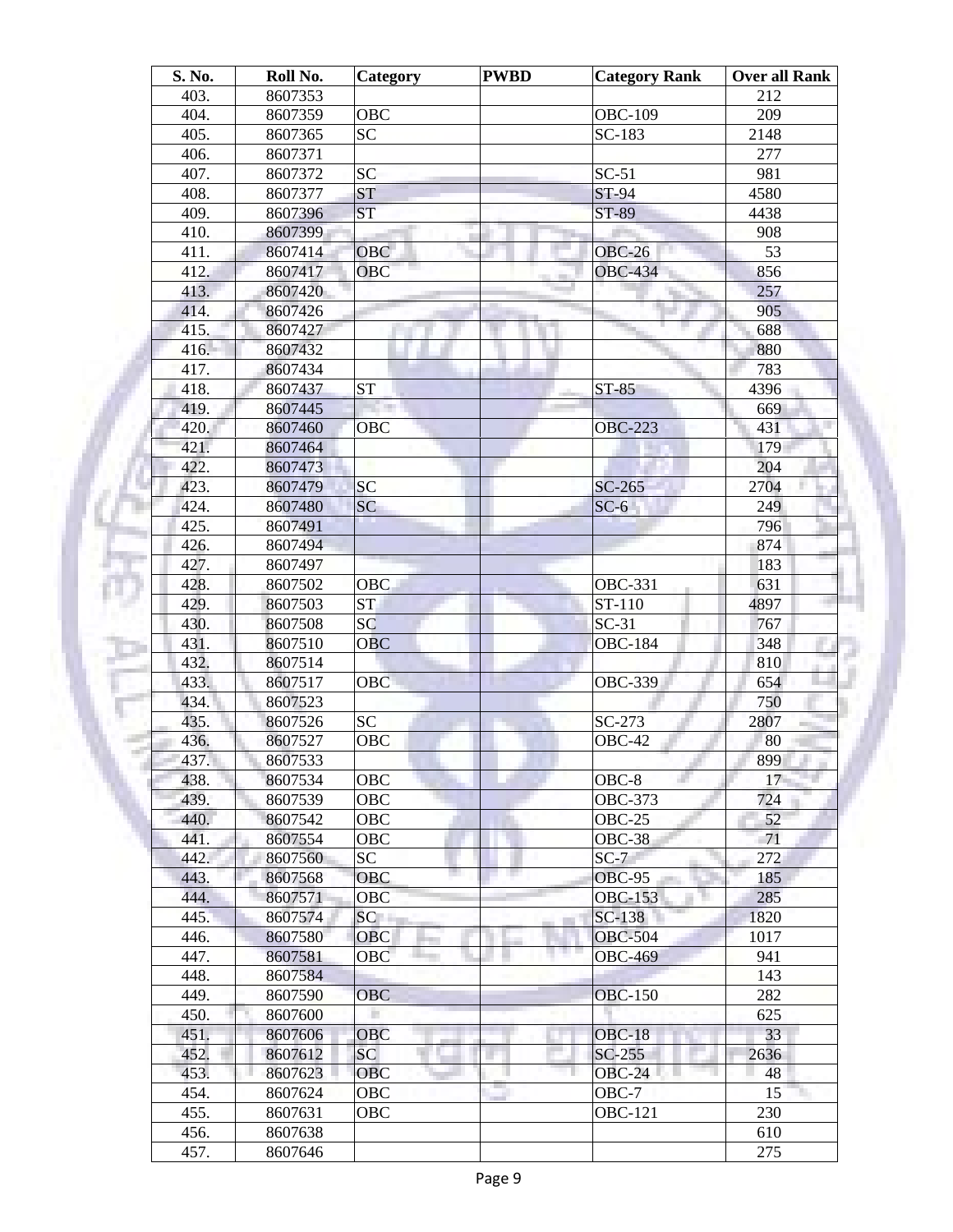| S. No. | Roll No. | Category               | <b>PWBD</b> | <b>Category Rank</b> | <b>Over all Rank</b> |
|--------|----------|------------------------|-------------|----------------------|----------------------|
| 403.   | 8607353  |                        |             |                      | 212                  |
| 404.   | 8607359  | OBC                    |             | <b>OBC-109</b>       | 209                  |
| 405.   | 8607365  | <b>SC</b>              |             | SC-183               | 2148                 |
| 406.   | 8607371  |                        |             |                      | 277                  |
| 407.   | 8607372  | SC                     |             | $SC-51$              | 981                  |
| 408.   | 8607377  | ST                     |             | <b>ST-94</b>         | 4580                 |
| 409.   | 8607396  | <b>ST</b>              |             | ST-89                | 4438                 |
| 410.   | 8607399  |                        |             |                      | 908                  |
| 411.   | 8607414  | <b>OBC</b>             |             | $OBC-26$             | 53                   |
| 412.   | 8607417  | OBC                    |             | <b>OBC-434</b>       | 856                  |
| 413.   | 8607420  |                        |             |                      | 257                  |
| 414.   | 8607426  |                        |             |                      | 905                  |
| 415.   | 8607427  |                        |             |                      | 688                  |
| 416.   | 8607432  |                        |             |                      | 880                  |
| 417.   | 8607434  |                        |             |                      | 783                  |
| 418.   | 8607437  | <b>ST</b>              |             | $ST-85$              | 4396                 |
| 419.   | 8607445  |                        |             |                      | 669                  |
| 420.   | 8607460  | OBC                    |             | <b>OBC-223</b>       | 431                  |
| 421.   | 8607464  |                        |             |                      | 179                  |
| 422.   | 8607473  |                        |             |                      | 204                  |
| 423.   | 8607479  | <b>SC</b>              |             | $SC-265$             | 2704                 |
| 424.   | 8607480  | SC                     |             | $SC-6$               | 249                  |
| 425.   | 8607491  |                        |             |                      | 796                  |
| 426.   | 8607494  |                        |             |                      | 874                  |
| 427.   | 8607497  |                        |             |                      | 183                  |
| 428.   | 8607502  | <b>OBC</b>             |             | <b>OBC-331</b>       | 631                  |
| 429.   | 8607503  | $\overline{\text{ST}}$ |             | ST-110               | 4897                 |
| 430.   | 8607508  | SC                     |             | $SC-31$              | 767                  |
| 431.   | 8607510  | <b>OBC</b>             |             | <b>OBC-184</b>       | 348                  |
| 432.   | 8607514  |                        |             |                      | 810                  |
| 433.   | 8607517  | <b>OBC</b>             |             | <b>OBC-339</b>       | 654                  |
| 434.   | 8607523  |                        |             |                      | 750                  |
| 435.   | 8607526  | <b>SC</b>              |             | SC-273               | 2807                 |
| 436.   | 8607527  | OBC                    |             | OBC-42               | 80                   |
| 437.   | 8607533  |                        |             |                      | 899                  |
| 438.   | 8607534  | OBC                    |             | $OBC-8$              | 17                   |
| 439.   | 8607539  | OBC                    |             | OBC-373              | 724                  |
| 440.   | 8607542  | OBC                    |             | $OBC-25$             | 52                   |
| 441.   | 8607554  | OBC                    |             | $OBC-38$             | 71                   |
| 442.   | 8607560  | SC                     |             | $SC-7$               | 272                  |
| 443.   | 8607568  | <b>OBC</b>             |             | <b>OBC-95</b>        | 185                  |
| 444.   | 8607571  | <b>OBC</b>             |             | <b>OBC-153</b>       | 285                  |
| 445.   | 8607574  | SC                     |             | SC-138               | 1820                 |
| 446.   | 8607580  | <b>OBC</b>             |             | <b>OBC-504</b>       | 1017                 |
| 447.   | 8607581  | OBC                    |             | <b>OBC-469</b>       | 941                  |
| 448.   | 8607584  |                        |             |                      | 143                  |
| 449.   | 8607590  | <b>OBC</b>             |             | <b>OBC-150</b>       | 282                  |
| 450.   | 8607600  |                        |             |                      | 625                  |
| 451.   | 8607606  | OBC                    |             | $OBC-18$             | 33                   |
| 452.   | 8607612  | SC <sub>1</sub>        |             | $SC-255$             | 2636                 |
|        |          |                        |             |                      |                      |
| 453.   | 8607623  | <b>OBC</b>             |             | $OBC-24$             | 48                   |
| 454.   | 8607624  | OBC                    |             | $OBC-7$              | 15                   |
| 455.   | 8607631  | OBC                    |             | <b>OBC-121</b>       | 230                  |
| 456.   | 8607638  |                        |             |                      | 610                  |
| 457.   | 8607646  |                        |             |                      | 275                  |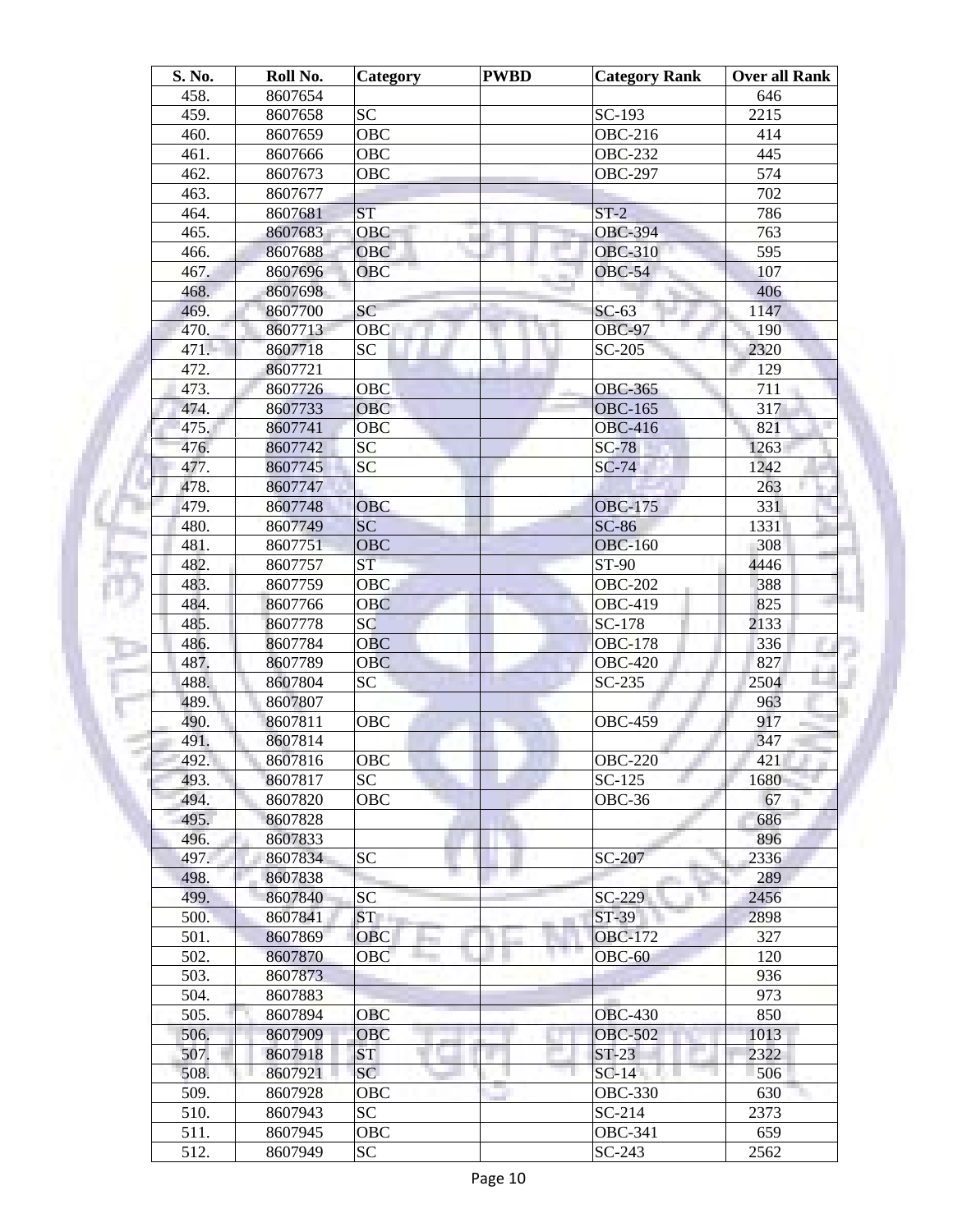| S. No.       | Roll No. | <b>Category</b> | <b>PWBD</b> | <b>Category Rank</b> | Over all Rank |
|--------------|----------|-----------------|-------------|----------------------|---------------|
| 458.         | 8607654  |                 |             |                      | 646           |
| 459.         | 8607658  | <b>SC</b>       |             | SC-193               | 2215          |
| 460.         | 8607659  | <b>OBC</b>      |             | <b>OBC-216</b>       | 414           |
| 461.         | 8607666  | OBC             |             | <b>OBC-232</b>       | 445           |
| 462.         | 8607673  | <b>OBC</b>      |             | <b>OBC-297</b>       | 574           |
| 463.         | 8607677  |                 |             |                      | 702           |
| 464.         | 8607681  | <b>ST</b>       |             | $ST-2$               | 786           |
| 465.         | 8607683  | OBC             |             | <b>OBC-394</b>       | 763           |
| 466.         | 8607688  | <b>OBC</b>      |             | <b>OBC-310</b>       | 595           |
| 467.         | 8607696  | <b>OBC</b>      |             | <b>OBC-54</b>        | 107           |
| 468.         | 8607698  |                 |             |                      | 406           |
| 469.         | 8607700  | SC              |             | $SC-63$              | 1147          |
| 470.         | 8607713  | OBC             |             | <b>OBC-97</b>        | 190           |
| 471.         | 8607718  | <b>SC</b>       |             | $SC-205$             | 2320          |
| 472.         | 8607721  |                 |             |                      | 129           |
| 473.         | 8607726  | OBC             |             | <b>OBC-365</b>       | 711           |
| 474.         | 8607733  | <b>OBC</b>      |             | <b>OBC-165</b>       | 317           |
| 475.         | 8607741  | OBC             |             | <b>OBC-416</b>       | 821           |
| 476.         | 8607742  | SC              |             | $SC-78$              | 1263          |
| 477.         | 8607745  | <b>SC</b>       |             | $SC-74$              | 1242          |
| 478.         | 8607747  |                 |             |                      | 263           |
| 479.         | 8607748  | <b>OBC</b>      |             | <b>OBC-175</b>       | 331           |
| 480.         | 8607749  | SC              |             | $SC-86$              | 1331          |
| 481.         | 8607751  | <b>OBC</b>      |             | <b>OBC-160</b>       | 308           |
| 482.         | 8607757  | ST              |             | ST-90                | 4446          |
| 483.         | 8607759  | <b>OBC</b>      |             | <b>OBC-202</b>       | 388           |
| 484.         | 8607766  | <b>OBC</b>      |             | <b>OBC-419</b>       | 825           |
| 485.         | 8607778  | SC              |             | SC-178               | 2133          |
| 486.         | 8607784  | <b>OBC</b>      |             | <b>OBC-178</b>       | 336           |
| 487.         | 8607789  | <b>OBC</b>      |             | <b>OBC-420</b>       | 827           |
| 488.         | 8607804  | SC              |             | $SC-235$             | 2504          |
| 489.         | 8607807  |                 |             |                      | 963           |
| 490.         | 8607811  | <b>OBC</b>      |             | <b>OBC-459</b>       | 917           |
| 491.         | 8607814  |                 |             |                      | 347           |
| 492.         | 8607816  | OBC             |             | <b>OBC-220</b>       | 421           |
| 493.         | 8607817  | <b>SC</b>       |             | $SC-125$             | 1680          |
| 494.         | 8607820  | OBC             |             | OBC-36               | 67            |
| 495.         | 8607828  |                 |             |                      | 686           |
| 496.         | 8607833  |                 |             |                      | 896           |
| 497.         | 8607834  | SC              |             | SC-207               | 2336          |
| 498.         | 8607838  |                 |             |                      | 289           |
| 499.         | 8607840  | <b>SC</b>       |             | $SC-229$             | 2456          |
|              | 8607841  | ST <sub>1</sub> |             | ST-39                | 2898          |
| 500.<br>501. |          | OBC             |             | <b>OBC-172</b>       | 327           |
|              | 8607869  |                 |             |                      |               |
| 502.         | 8607870  | OBC             |             | $OBC-60$             | 120           |
| 503.         | 8607873  |                 |             |                      | 936           |
| 504.         | 8607883  |                 |             |                      | 973           |
| 505.         | 8607894  | <b>OBC</b>      |             | <b>OBC-430</b>       | 850           |
| 506.         | 8607909  | <b>OBC</b>      |             | <b>OBC-502</b>       | 1013          |
| 507.         | 8607918  | ST              |             | $ST-23$              | 2322          |
| 508.         | 8607921  | SC              |             | $SC-14$              | 506           |
| 509.         | 8607928  | OBC             |             | <b>OBC-330</b>       | 630           |
| 510.         | 8607943  | <b>SC</b>       |             | $SC-214$             | 2373          |
| 511.         | 8607945  | OBC             |             | <b>OBC-341</b>       | 659           |
| 512.         | 8607949  | SC              |             | $SC-243$             | 2562          |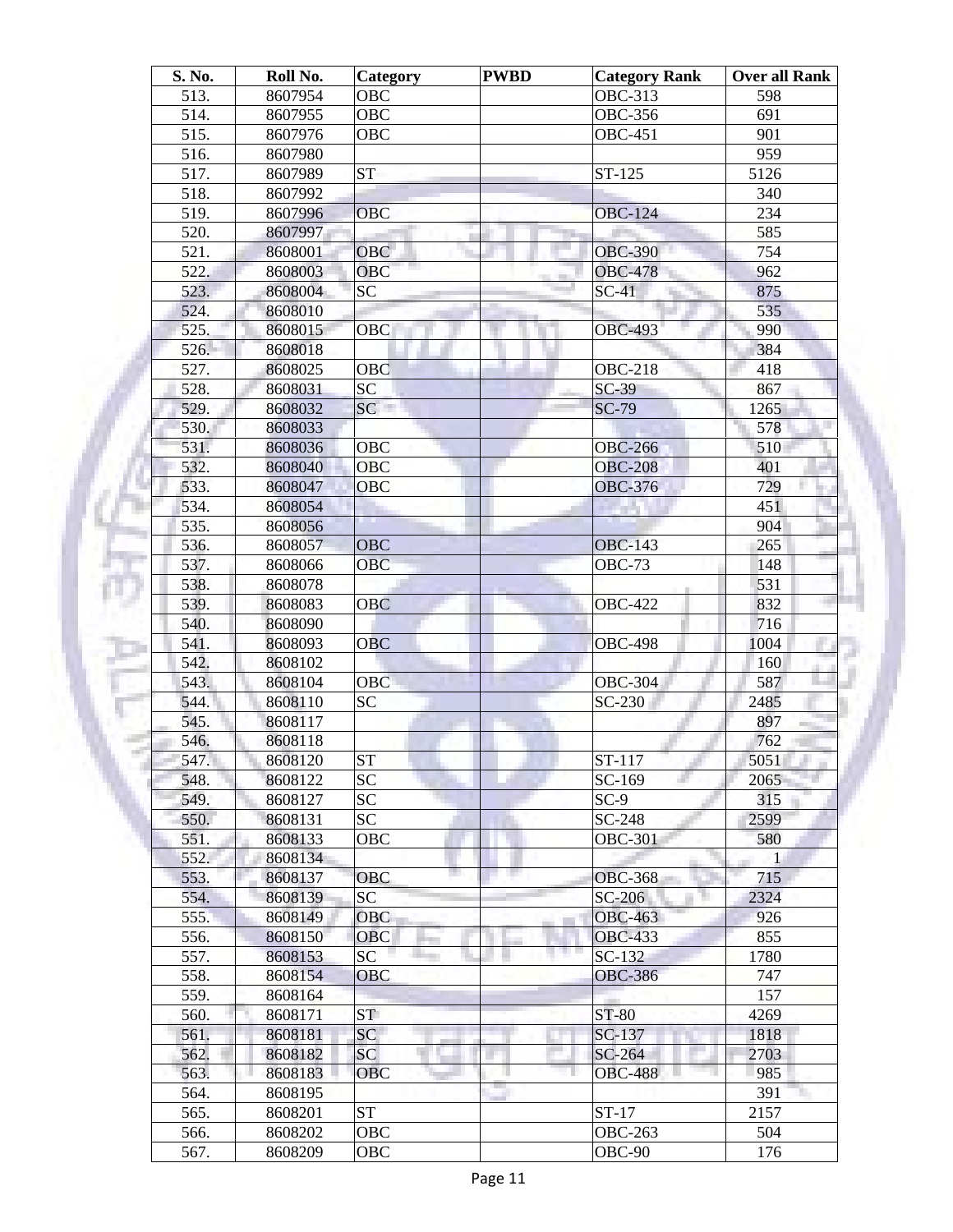| S. No.       | Roll No. | <b>Category</b>        | <b>PWBD</b> | <b>Category Rank</b> | <b>Over all Rank</b> |
|--------------|----------|------------------------|-------------|----------------------|----------------------|
| 513.         | 8607954  | OBC                    |             | <b>OBC-313</b>       | 598                  |
| 514.         | 8607955  | OBC                    |             | <b>OBC-356</b>       | 691                  |
| 515.         | 8607976  | <b>OBC</b>             |             | <b>OBC-451</b>       | 901                  |
| 516.         | 8607980  |                        |             |                      | 959                  |
| 517.         | 8607989  | <b>ST</b>              |             | ST-125               | 5126                 |
| 518.         | 8607992  |                        |             |                      | 340                  |
| 519.         | 8607996  | OBC                    |             | <b>OBC-124</b>       | 234                  |
| 520.         | 8607997  |                        |             |                      | 585                  |
| 521.         | 8608001  | <b>OBC</b>             |             | <b>OBC-390</b>       | 754                  |
| 522.         | 8608003  | <b>OBC</b>             |             | <b>OBC-478</b>       | 962                  |
| 523.         | 8608004  | <b>SC</b>              |             | $SC-41$              | 875                  |
| 524.         | 8608010  |                        |             |                      | 535                  |
| 525.         | 8608015  | OBC                    |             | <b>OBC-493</b>       | 990                  |
| 526.         | 8608018  |                        |             |                      | 384                  |
| 527.         | 8608025  | OBC                    |             | <b>OBC-218</b>       | 418                  |
| 528.         | 8608031  | <b>SC</b>              |             | $SC-39$              | 867                  |
| 529.         | 8608032  | SC                     |             | $SC-79$              | 1265                 |
| 530.         | 8608033  |                        |             |                      | 578                  |
| 531.         | 8608036  | OBC                    |             | <b>OBC-266</b>       | 510                  |
| 532.         | 8608040  | <b>OBC</b>             |             | <b>OBC-208</b>       | 401                  |
| 533.         | 8608047  | <b>OBC</b>             |             | <b>OBC-376</b>       | 729                  |
| 534.         | 8608054  |                        |             |                      | 451                  |
| 535.         | 8608056  |                        |             |                      | 904                  |
| 536.         | 8608057  | <b>OBC</b>             |             | <b>OBC-143</b>       | 265                  |
| 537.         | 8608066  | <b>OBC</b>             |             | <b>OBC-73</b>        | 148                  |
| 538.         | 8608078  |                        |             |                      | 531                  |
| 539.         | 8608083  | <b>OBC</b>             |             | <b>OBC-422</b>       | 832                  |
| 540.         | 8608090  |                        |             |                      | 716                  |
| 541.         | 8608093  | <b>OBC</b>             |             | <b>OBC-498</b>       | 1004                 |
| 542.         | 8608102  |                        |             |                      | 160                  |
| 543.         | 8608104  | <b>OBC</b>             |             | <b>OBC-304</b>       | 587                  |
| 544.         | 8608110  | <b>SC</b>              |             | SC-230               | 2485                 |
| 545.         | 8608117  |                        |             |                      | 897                  |
| 546.         | 8608118  |                        |             |                      | 762                  |
| 547.         | 8608120  | $\overline{\text{ST}}$ |             | ST-117               | 5051                 |
| 548.         | 8608122  | <b>SC</b>              |             | SC-169               | 2065                 |
| 549.         | 8608127  | SC <sub>1</sub>        |             | $SC-9$               | 315                  |
| 550.         | 8608131  | SC                     |             | SC-248               | 2599                 |
| 551.         | 8608133  | OBC                    |             | <b>OBC-301</b>       | 580                  |
| 552.         | 8608134  |                        |             |                      | 1                    |
| 553.         | 8608137  | <b>OBC</b>             |             | <b>OBC-368</b>       | 715                  |
| 554.         | 8608139  | SC                     |             | SC-206               | 2324                 |
| 555.         | 8608149  | <b>OBC</b>             |             | <b>OBC-463</b>       | 926                  |
| 556.         | 8608150  | <b>OBC</b>             |             | <b>OBC-433</b>       | 855                  |
| 557.         | 8608153  | SC                     |             | $SC-132$             | 1780                 |
| 558.         | 8608154  | <b>OBC</b>             |             | <b>OBC-386</b>       | 747                  |
| 559.         | 8608164  |                        |             |                      | 157                  |
| 560.         | 8608171  | ST <sub>1</sub>        |             | ST-80                | 4269                 |
|              |          | SC                     |             |                      |                      |
| 561.<br>562. | 8608181  | <b>SC</b>              |             | SC-137               | 1818<br>2703         |
|              | 8608182  |                        |             | SC-264               |                      |
| 563.         | 8608183  | <b>OBC</b>             |             | <b>OBC-488</b>       | 985                  |
| 564.         | 8608195  |                        |             |                      | 391                  |
| 565.         | 8608201  | <b>ST</b>              |             | $ST-17$              | 2157                 |
| 566.         | 8608202  | OBC                    |             | <b>OBC-263</b>       | 504                  |
| 567.         | 8608209  | OBC                    |             | OBC-90               | 176                  |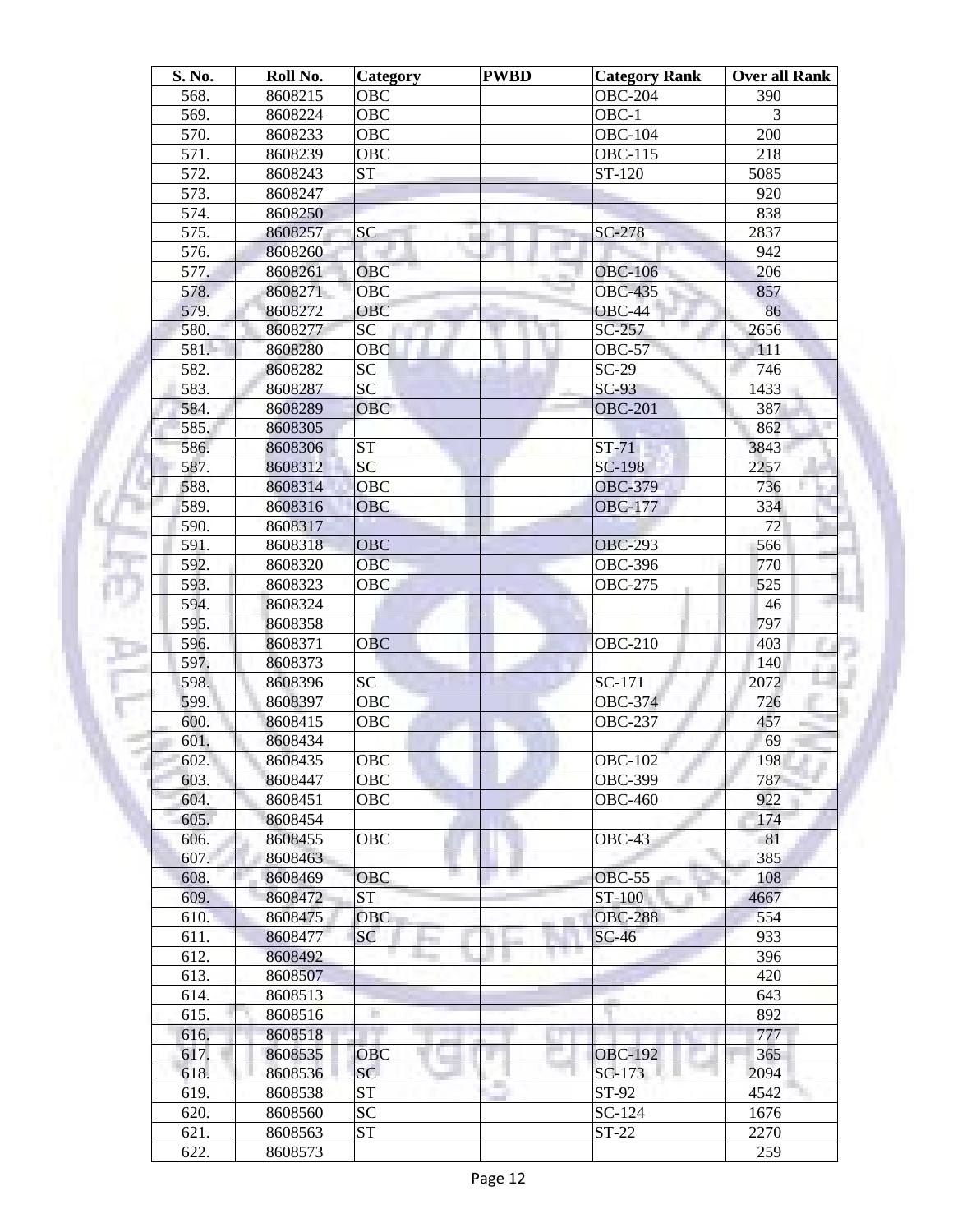| S. No. | Roll No. | Category        | <b>PWBD</b> | <b>Category Rank</b> | <b>Over all Rank</b> |
|--------|----------|-----------------|-------------|----------------------|----------------------|
| 568.   | 8608215  | OBC             |             | <b>OBC-204</b>       | 390                  |
| 569.   | 8608224  | OBC             |             | OBC-1                | 3                    |
| 570.   | 8608233  | <b>OBC</b>      |             | <b>OBC-104</b>       | 200                  |
| 571.   | 8608239  | <b>OBC</b>      |             | <b>OBC-115</b>       | 218                  |
| 572.   | 8608243  | <b>ST</b>       |             | ST-120               | 5085                 |
| 573.   | 8608247  |                 |             |                      | 920                  |
| 574.   | 8608250  |                 |             |                      | 838                  |
| 575.   | 8608257  | <b>SC</b>       |             | $SC-278$             | 2837                 |
| 576.   | 8608260  |                 | ш           |                      | 942                  |
| 577.   | 8608261  | OBC             |             | <b>OBC-106</b>       | 206                  |
| 578.   | 8608271  | <b>OBC</b>      |             | <b>OBC-435</b>       | 857                  |
| 579.   | 8608272  | <b>OBC</b>      |             | $OBC-44$             | 86                   |
| 580.   |          | SC              |             | SC-257               |                      |
|        | 8608277  |                 |             |                      | 2656                 |
| 581.   | 8608280  | OBC             |             | <b>OBC-57</b>        | 111                  |
| 582.   | 8608282  | <b>SC</b>       |             | $SC-29$              | 746                  |
| 583.   | 8608287  | $\overline{SC}$ |             | $SC-93$              | 1433                 |
| 584.   | 8608289  | <b>OBC</b>      |             | <b>OBC-201</b>       | 387                  |
| 585.   | 8608305  |                 |             |                      | 862                  |
| 586.   | 8608306  | <b>ST</b>       |             | $ST-71$              | 3843                 |
| 587.   | 8608312  | <b>SC</b>       |             | <b>SC-198</b>        | 2257                 |
| 588.   | 8608314  | <b>OBC</b>      |             | <b>OBC-379</b>       | 736                  |
| 589.   | 8608316  | <b>OBC</b>      |             | <b>OBC-177</b>       | 334                  |
| 590.   | 8608317  |                 |             |                      | 72                   |
| 591.   | 8608318  | <b>OBC</b>      |             | <b>OBC-293</b>       | 566                  |
| 592.   | 8608320  | <b>OBC</b>      |             | OBC-39 $6$           | 770                  |
| 593.   | 8608323  | <b>OBC</b>      |             | <b>OBC-275</b>       | 525                  |
| 594.   | 8608324  |                 |             |                      | 46                   |
| 595.   | 8608358  |                 |             |                      | 797                  |
| 596.   | 8608371  | <b>OBC</b>      |             | <b>OBC-210</b>       | 403                  |
| 597.   | 8608373  |                 |             |                      | 140                  |
| 598.   | 8608396  | SC              |             | SC-171               | 2072                 |
| 599.   | 8608397  | <b>OBC</b>      |             | <b>OBC-374</b>       | 726                  |
| 600.   | 8608415  | OBC             |             | <b>OBC-237</b>       | 457                  |
| 601.   | 8608434  |                 |             |                      | 69                   |
| 602.   | 8608435  | OBC             |             | <b>OBC-102</b>       | 198                  |
|        |          |                 |             |                      |                      |
| 603.   | 8608447  | OBC             |             | <b>OBC-399</b>       | 787<br>922           |
| 604.   | 8608451  | OBC             |             | <b>OBC-460</b>       |                      |
| 605.   | 8608454  |                 |             |                      | 174                  |
| 606.   | 8608455  | OBC             |             | $OBC-43$             | 81                   |
| 607.   | 8608463  |                 |             |                      | 385                  |
| 608.   | 8608469  | OBC             |             | <b>OBC-55</b>        | 108                  |
| 609.   | 8608472  | <b>ST</b>       |             | ST-100               | 4667                 |
| 610.   | 8608475  | <b>OBC</b>      |             | <b>OBC-288</b>       | 554                  |
| 611.   | 8608477  | <b>SC</b>       |             | $SC-46$              | 933                  |
| 612.   | 8608492  |                 |             | n n                  | 396                  |
| 613.   | 8608507  |                 |             |                      | 420                  |
| 614.   | 8608513  |                 |             |                      | 643                  |
| 615.   | 8608516  | n               |             |                      | 892                  |
| 616.   | 8608518  |                 |             |                      | 777                  |
| 617.   | 8608535  | <b>OBC</b>      |             | <b>OBC-192</b>       | 365                  |
| 618.   | 8608536  | SC              |             | $SC-173$             | 2094                 |
| 619.   | 8608538  | <b>ST</b>       |             | ST-92                | 4542                 |
| 620.   | 8608560  | <b>SC</b>       |             | SC-124               | 1676                 |
| 621.   | 8608563  | <b>ST</b>       |             | $ST-22$              | 2270                 |
| 622.   | 8608573  |                 |             |                      | 259                  |
|        |          |                 |             |                      |                      |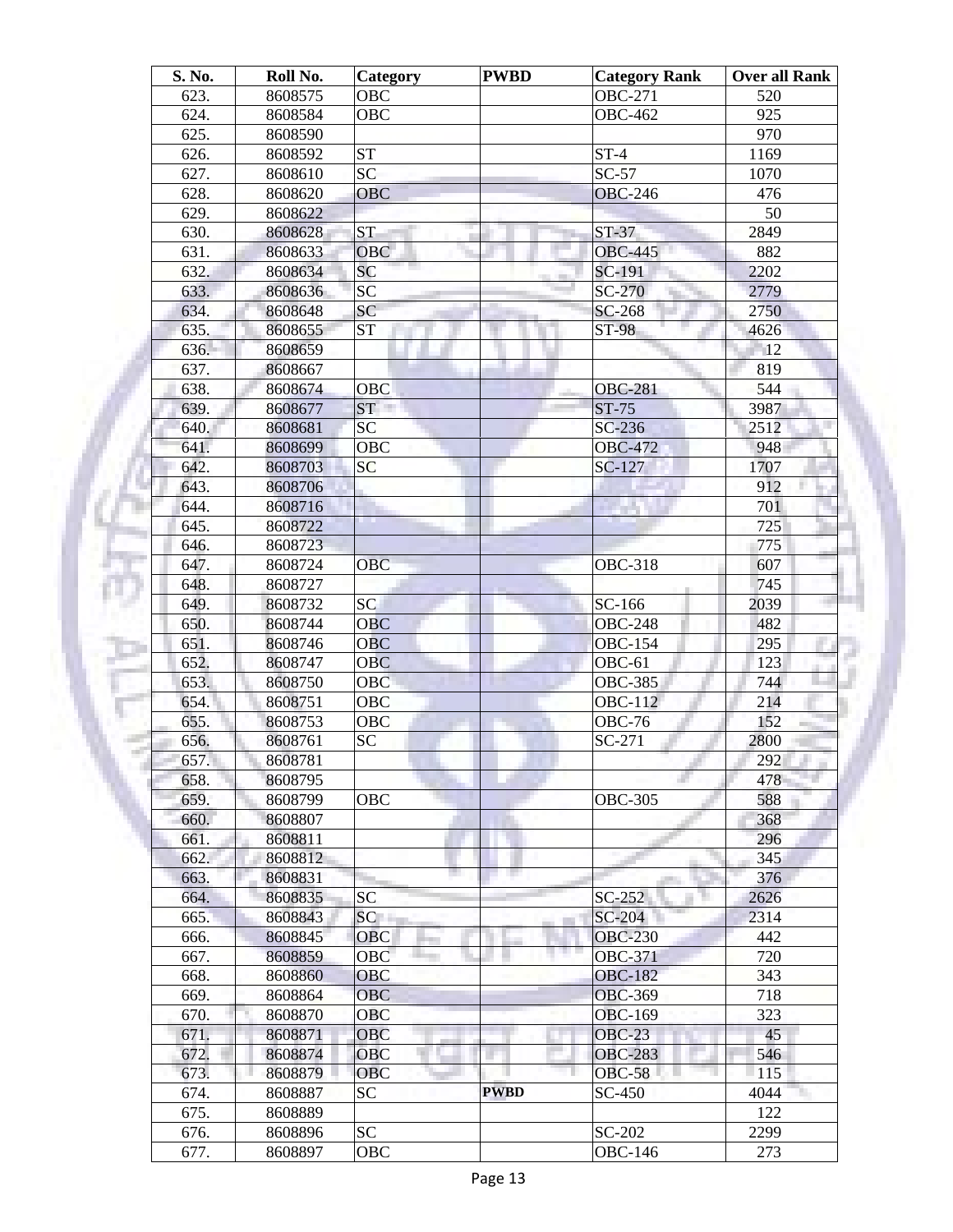| <b>Over all Rank</b> |
|----------------------|
|                      |
|                      |
|                      |
|                      |
|                      |
|                      |
|                      |
|                      |
|                      |
|                      |
|                      |
|                      |
|                      |
|                      |
|                      |
|                      |
|                      |
|                      |
|                      |
|                      |
|                      |
|                      |
|                      |
|                      |
|                      |
|                      |
|                      |
|                      |
|                      |
|                      |
|                      |
|                      |
|                      |
|                      |
|                      |
|                      |
|                      |
|                      |
|                      |
|                      |
|                      |
|                      |
|                      |
|                      |
|                      |
|                      |
|                      |
|                      |
|                      |
|                      |
|                      |
|                      |
|                      |
|                      |
|                      |
|                      |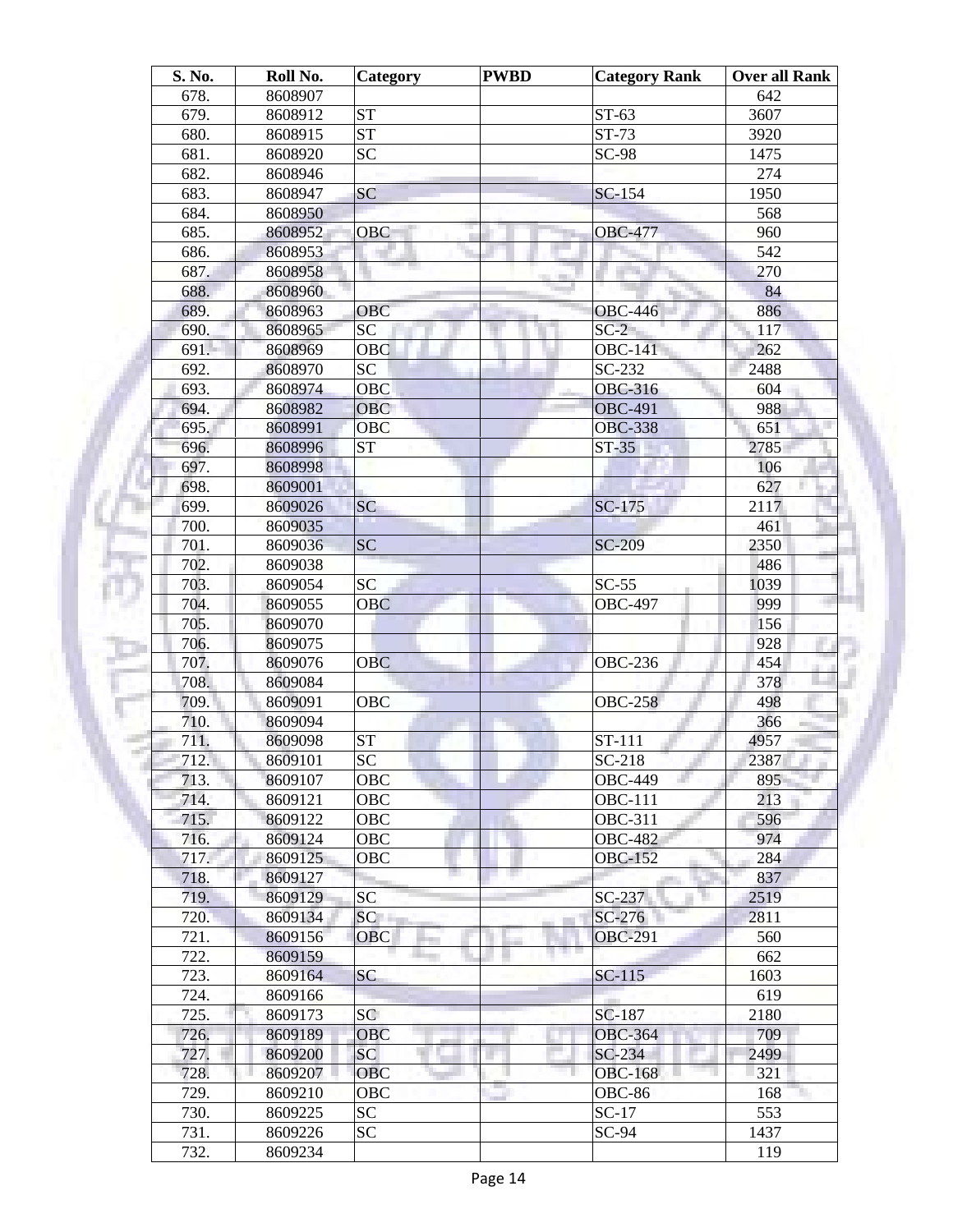| S. No.       | Roll No.           | Category               | <b>PWBD</b> | <b>Category Rank</b>       | <b>Over all Rank</b> |
|--------------|--------------------|------------------------|-------------|----------------------------|----------------------|
| 678.         | 8608907            |                        |             |                            | 642                  |
| 679.         | 8608912            | <b>ST</b>              |             | $ST-63$                    | 3607                 |
| 680.         | 8608915            | $\overline{\text{ST}}$ |             | ST-73                      | 3920                 |
| 681.         | 8608920            | <b>SC</b>              |             | SC-98                      | 1475                 |
| 682.         | 8608946            |                        |             |                            | 274                  |
| 683.         | 8608947            | SC                     |             | SC-154                     | 1950                 |
| 684.         | 8608950            |                        |             |                            | 568                  |
| 685.         | 8608952            | OBC                    |             | <b>OBC-477</b>             | 960                  |
| 686.         | 8608953            |                        |             |                            | 542                  |
| 687.         | 8608958            |                        |             |                            | 270                  |
| 688.         | 8608960            |                        |             |                            | 84                   |
| 689.         | 8608963            | <b>OBC</b>             |             | <b>OBC-446</b>             | 886                  |
| 690.         | 8608965            | SC                     |             | $SC-2$                     | 117                  |
| 691.         | 8608969            | OBC                    |             | <b>OBC-141</b>             | 262                  |
| 692.         | 8608970            | SC                     |             | SC-232                     | 2488                 |
| 693.         | 8608974            | OBC                    |             | <b>OBC-316</b>             | 604                  |
| 694.         | 8608982            | OBC                    |             | <b>OBC-491</b>             | 988                  |
| 695.         | 8608991            | <b>OBC</b>             |             | <b>OBC-338</b>             | 651                  |
| 696.         | 8608996            | <b>ST</b>              |             | $ST-35$                    | 2785                 |
| 697.         | 8608998            |                        |             |                            | 106                  |
| 698.         | 8609001            |                        |             |                            | 627                  |
| 699.         | 8609026            | SC                     |             | $SC-175$                   | 2117                 |
| 700.         | 8609035            |                        |             |                            | 461                  |
| 701.         | 8609036            | <b>SC</b>              |             | <b>SC-209</b>              | 2350                 |
| 702.         | 8609038            |                        |             |                            | 486                  |
| 703.         | 8609054            | <b>SC</b>              |             | $SC-55$                    | 1039                 |
| 704.         | 8609055            | <b>OBC</b>             |             | <b>OBC-497</b>             | 999                  |
| 705.         | 8609070            |                        |             |                            | 156                  |
| 706.         | 8609075            |                        |             |                            | 928                  |
| 707.         | 8609076            | <b>OBC</b>             |             | <b>OBC-236</b>             | 454                  |
| 708.         | 8609084            |                        |             |                            | 378                  |
| 709.         | 8609091            | <b>OBC</b>             |             | <b>OBC-258</b>             | 498                  |
| 710.         | 8609094            |                        |             |                            | 366                  |
| 711.         | 8609098            | <b>ST</b>              |             | $ST-111$                   | 4957                 |
| 712.         | 8609101            | $\overline{SC}$        |             | $SC-218$                   | 2387                 |
| 713.         | 8609107            | OBC                    |             | <b>OBC-449</b>             | 895                  |
| 714.         | 8609121            | OBC                    |             | <b>OBC-111</b>             | 213                  |
| 715.         | 8609122            | OBC                    |             | OBC-311                    | 596                  |
| 716.         | 8609124            | OBC                    |             | <b>OBC-482</b>             | 974                  |
| 717.         |                    | <b>OBC</b>             |             | <b>OBC-152</b>             | 284                  |
| 718.         | 8609125<br>8609127 |                        |             |                            | 837                  |
| 719.         | 8609129            | SC                     |             | $SC-237$                   | 2519                 |
|              |                    |                        |             |                            |                      |
| 720.<br>721. | 8609134            | SC<br><b>OBC</b>       |             | $SC-276$<br><b>OBC-291</b> | 2811<br>560          |
|              | 8609156            |                        |             | m m                        |                      |
| 722.         | 8609159            |                        |             |                            | 662                  |
| 723.         | 8609164            | <b>SC</b>              |             | $SC-115$                   | 1603                 |
| 724.         | 8609166            |                        |             |                            | 619                  |
| 725.         | 8609173            | SC                     |             | SC-187                     | 2180                 |
| 726.         | 8609189            | <b>OBC</b>             |             | <b>OBC-364</b>             | 709                  |
| 727.         | 8609200            | SC <sub>1</sub>        |             | SC-234                     | 2499                 |
| 728.         | 8609207            | <b>OBC</b>             |             | <b>OBC-168</b>             | 321                  |
| 729.         | 8609210            | OBC                    |             | OBC-86                     | 168                  |
| 730.         | 8609225            | SC                     |             | $SC-17$                    | 553                  |
| 731.         | 8609226            | SC                     |             | $SC-94$                    | 1437                 |
| 732.         | 8609234            |                        |             |                            | 119                  |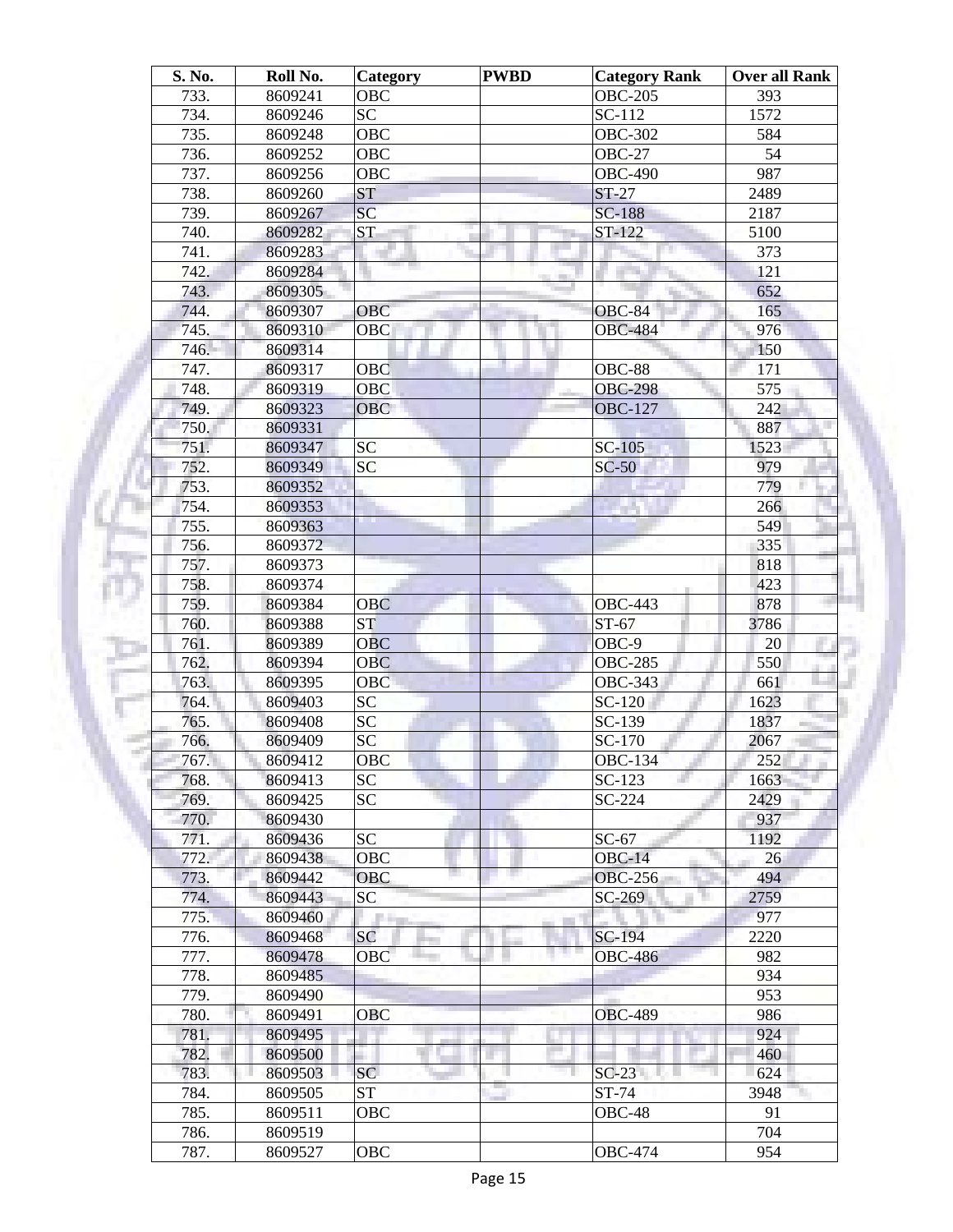| S. No. | Roll No.           | <b>Category</b> | <b>PWBD</b> | <b>Category Rank</b> | Over all Rank |
|--------|--------------------|-----------------|-------------|----------------------|---------------|
| 733.   | 8609241            | <b>OBC</b>      |             | <b>OBC-205</b>       | 393           |
| 734.   | 8609246            | <b>SC</b>       |             | $SC-112$             | 1572          |
| 735.   | 8609248            | <b>OBC</b>      |             | <b>OBC-302</b>       | 584           |
| 736.   | 8609252            | OBC             |             | <b>OBC-27</b>        | 54            |
| 737.   | 8609256            | OBC             |             | <b>OBC-490</b>       | 987           |
| 738.   | 8609260            | <b>ST</b>       |             | $ST-27$              | 2489          |
| 739.   | 8609267            | SC              |             | <b>SC-188</b>        | 2187          |
| 740.   | 8609282            | <b>ST</b>       |             | ST-122               | 5100          |
| 741.   | 8609283            |                 |             |                      | 373           |
| 742.   | 8609284            |                 |             |                      | 121           |
| 743.   | 8609305            |                 |             |                      | 652           |
| 744.   | 8609307            | <b>OBC</b>      |             | <b>OBC-84</b>        | 165           |
| 745.   | 8609310            | <b>OBC</b>      |             | <b>OBC-484</b>       | 976           |
| 746.   | 8609314            |                 |             |                      | 150           |
| 747.   | 8609317            | OBC             |             | <b>OBC-88</b>        | 171           |
| 748.   | 8609319            | OBC             |             | <b>OBC-298</b>       | 575           |
| 749.   | 8609323            | <b>OBC</b>      |             | <b>OBC-127</b>       | 242           |
| 750.   | 8609331            |                 |             |                      | 887           |
| 751.   | 8609347            | <b>SC</b>       |             | $SC-105$             | 1523          |
| 752.   | 8609349            | <b>SC</b>       |             | $SC-50$              | 979           |
| 753.   | 8609352            |                 |             |                      | 779           |
| 754.   | 8609353            |                 |             |                      | 266           |
| 755.   | 8609363            |                 |             |                      | 549           |
| 756.   | 8609372            |                 |             |                      | 335           |
| 757.   | 8609373            |                 |             |                      | 818           |
| 758.   | 8609374            |                 |             |                      | 423           |
| 759.   | 8609384            | <b>OBC</b>      |             | <b>OBC-443</b>       | 878           |
| 760.   | 8609388            | <b>ST</b>       |             | ST-67                | 3786          |
| 761.   | 8609389            | <b>OBC</b>      |             | OBC-9                | 20            |
| 762.   | 8609394            | <b>OBC</b>      |             | <b>OBC-285</b>       | 550           |
| 763.   | 8609395            | <b>OBC</b>      |             | OBC-343              | 661           |
| 764.   | 8609403            | <b>SC</b>       |             | SC-120               | 1623          |
| 765.   | 8609408            | <b>SC</b>       |             | $SC-139$             | 1837          |
| 766.   | 8609409            | <b>SC</b>       |             | SC-170               | 2067          |
| 767.   | 8609412            | OBC             |             | <b>OBC-134</b>       | 252           |
| 768.   | 8609413            | <b>SC</b>       |             | SC-123               | 1663          |
| 769.   | 8609425            | <b>SC</b>       |             | SC-224               | 2429          |
| 770.   | 8609430            |                 |             |                      | 937           |
| 771.   | 8609436            | <b>SC</b>       |             | $SC-67$              | 1192          |
| 772.   | 8609438            | OBC             |             | $OBC-14$             | 26            |
| 773.   | 8609442            | <b>OBC</b>      |             | <b>OBC-256</b>       | 494           |
| 774.   | 8609443            | SC              |             | SC-269               | 2759          |
| 775.   | 8609460            | and the         |             |                      | 977           |
| 776.   | 8609468            | SC              |             | <b>SC-194</b>        | 2220          |
| 777.   | 8609478            | <b>OBC</b>      |             | <b>OBC-486</b>       | 982           |
| 778.   | 8609485            |                 |             |                      | 934           |
| 779.   | 8609490            |                 |             |                      | 953           |
| 780.   | 8609491            | <b>OBC</b>      |             | <b>OBC-489</b>       | 986           |
| 781.   | 8609495            |                 |             |                      | 924           |
| 782.   | 8609500            |                 |             |                      | 460           |
| 783.   | 8609503            | SC              |             | $SC-23$              | 624           |
| 784.   |                    | <b>ST</b>       |             | ST-74                | 3948          |
| 785.   | 8609505<br>8609511 | OBC             |             | OBC-48               | 91            |
| 786.   |                    |                 |             |                      | 704           |
|        | 8609519            | <b>OBC</b>      |             | <b>OBC-474</b>       | 954           |
| 787.   | 8609527            |                 |             |                      |               |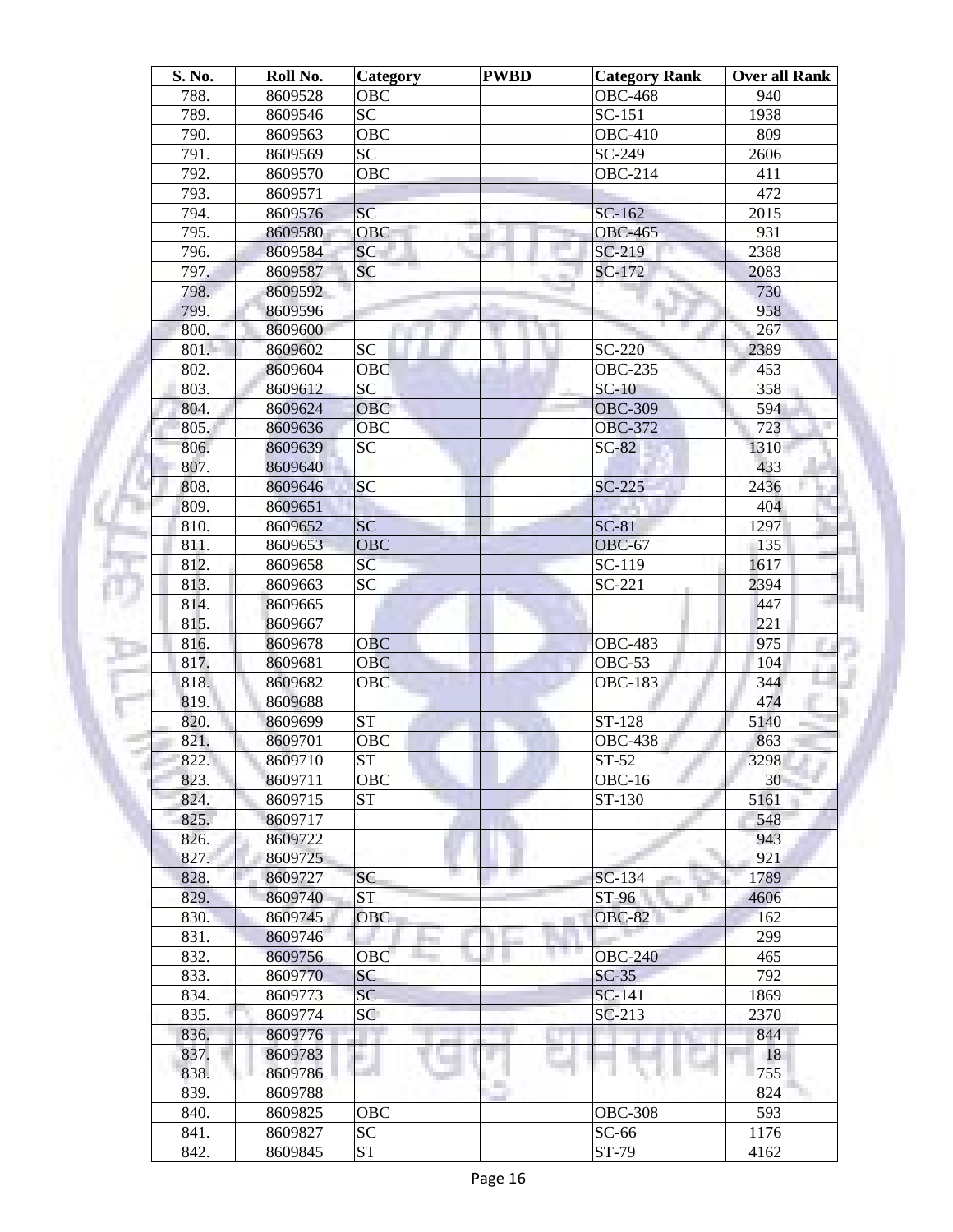| S. No.       | Roll No. | <b>Category</b>        | <b>PWBD</b> | <b>Category Rank</b> | Over all Rank |
|--------------|----------|------------------------|-------------|----------------------|---------------|
| 788.         | 8609528  | <b>OBC</b>             |             | <b>OBC-468</b>       | 940           |
| 789.         | 8609546  | <b>SC</b>              |             | $SC-151$             | 1938          |
| 790.         | 8609563  | <b>OBC</b>             |             | <b>OBC-410</b>       | 809           |
| 791.         | 8609569  | <b>SC</b>              |             | SC-249               | 2606          |
| 792.         | 8609570  | OBC                    |             | <b>OBC-214</b>       | 411           |
| 793.         | 8609571  |                        |             |                      | 472           |
| 794.         | 8609576  | SC                     |             | SC-162               | 2015          |
| 795.         | 8609580  | OBC                    | <b>III</b>  | <b>OBC-465</b>       | 931           |
| 796.         | 8609584  | SC                     |             | SC-219               | 2388          |
| 797.         | 8609587  | SC                     |             | SC-172               | 2083          |
| 798.         | 8609592  |                        |             |                      | 730           |
| 799.         | 8609596  |                        |             |                      | 958           |
| 800.         | 8609600  |                        |             |                      | 267           |
| 801.         | 8609602  | <b>SC</b>              |             | SC-220               | 2389          |
| 802.         | 8609604  | OBC                    |             | <b>OBC-235</b>       | 453           |
| 803.         | 8609612  | $\overline{SC}$        |             | $SC-10$              | 358           |
| 804.         | 8609624  | <b>OBC</b>             |             | <b>OBC-309</b>       | 594           |
| 805.         | 8609636  | OBC                    |             | <b>OBC-372</b>       | 723           |
| 806.         | 8609639  | <b>SC</b>              |             | $SC-82$              | 1310          |
| 807.         | 8609640  |                        |             |                      | 433           |
| 808.         | 8609646  | <b>SC</b>              |             | $SC-225$             | 2436          |
| 809.         | 8609651  |                        |             |                      | 404           |
| 810.         | 8609652  | <b>SC</b>              |             | $SC-81$              | 1297          |
| 811.         | 8609653  | <b>OBC</b>             |             | <b>OBC-67</b>        | 135           |
| 812.         | 8609658  | SC                     |             | SC-119               | 1617          |
| 813.         | 8609663  | <b>SC</b>              |             | $SC-221$             | 2394          |
| 814.         | 8609665  |                        |             |                      | 447           |
| 815.         | 8609667  |                        |             |                      | 221           |
| 816.         | 8609678  | <b>OBC</b>             |             | <b>OBC-483</b>       | 975           |
| 817.         | 8609681  | <b>OBC</b>             |             | $OBC-53$             | 104           |
| 818.         | 8609682  | OBC                    |             | <b>OBC-183</b>       | 344           |
| 819.         | 8609688  |                        |             |                      | 474           |
| 820.         | 8609699  | <b>ST</b>              |             | ST-128               | 5140          |
| 821.         | 8609701  | OBC                    |             | <b>OBC-438</b>       | 863           |
| 822.         | 8609710  | ST                     |             | $ST-52$              | 3298          |
| 823.         | 8609711  | <b>OBC</b>             |             | $OBC-16$             | 30            |
| 824.         | 8609715  | <b>ST</b>              |             | ST-130               | 5161          |
| 825.         | 8609717  |                        |             |                      | 548           |
| 826.         | 8609722  |                        |             |                      | 943           |
| 827.         | 8609725  |                        |             |                      | 921           |
|              |          |                        |             |                      |               |
| 828.<br>829. | 8609727  | <b>SC</b><br><b>ST</b> |             | SC-134<br>ST-96      | 1789          |
|              | 8609740  |                        |             |                      | 4606          |
| 830.         | 8609745  | <b>OBC</b>             |             | <b>OBC-82</b>        | 162           |
| 831.         | 8609746  |                        |             |                      | 299           |
| 832.         | 8609756  | OBC                    |             | <b>OBC-240</b>       | 465           |
| 833.         | 8609770  | SC                     |             | $SC-35$              | 792           |
| 834.         | 8609773  | <b>SC</b>              |             | SC-141               | 1869          |
| 835.         | 8609774  | SC                     |             | $SC-213$             | 2370          |
| 836.         | 8609776  |                        |             |                      | 844           |
| 837.         | 8609783  |                        |             |                      | 18            |
| 838.         | 8609786  |                        |             | H                    | 755           |
| 839.         | 8609788  |                        |             |                      | 824           |
| 840.         | 8609825  | OBC                    |             | <b>OBC-308</b>       | 593           |
| 841.         | 8609827  | <b>SC</b>              |             | $SC-66$              | 1176          |
| 842.         | 8609845  | <b>ST</b>              |             | ST-79                | 4162          |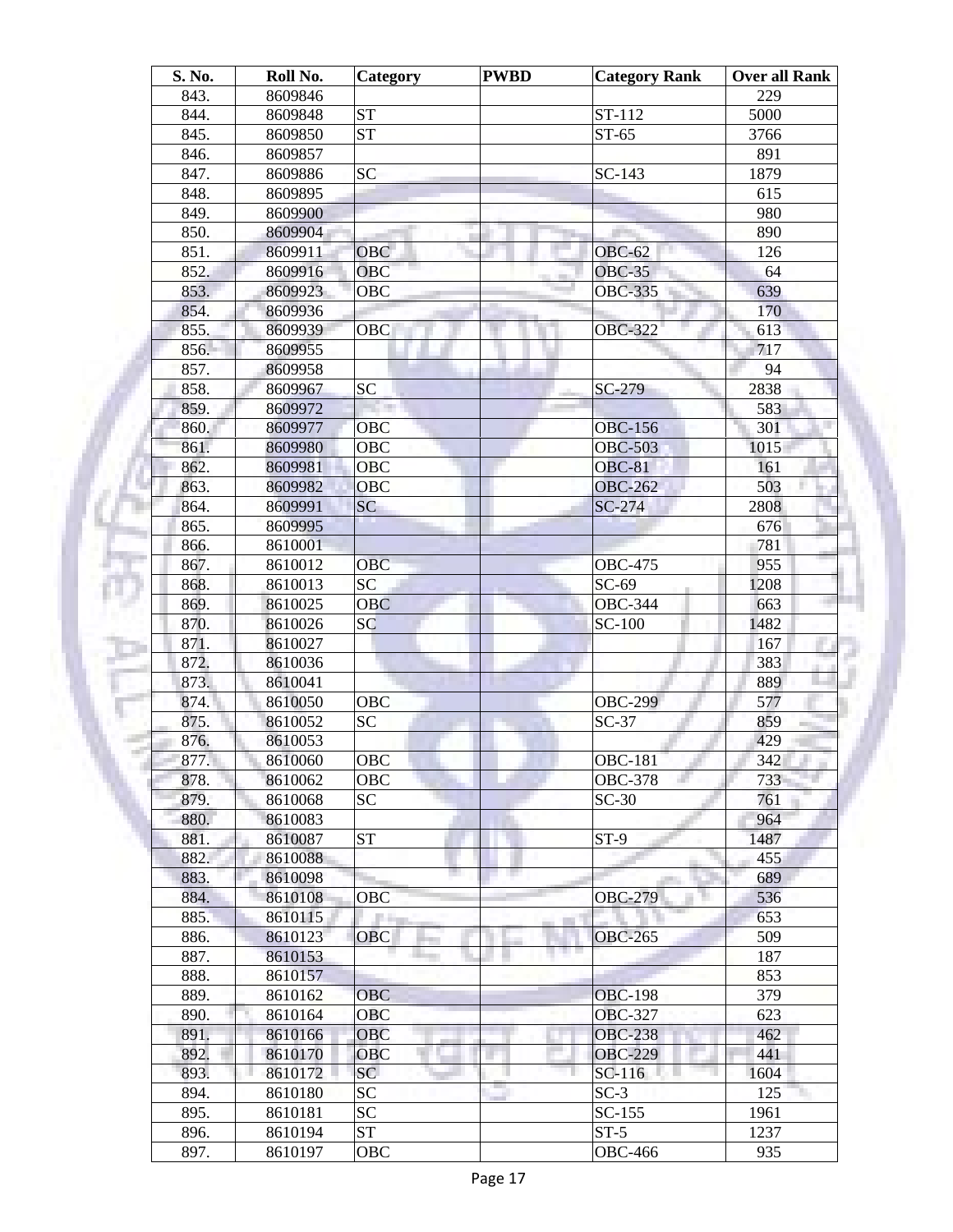| S. No. | Roll No. | Category        | <b>PWBD</b> | <b>Category Rank</b> | Over all Rank |
|--------|----------|-----------------|-------------|----------------------|---------------|
| 843.   | 8609846  |                 |             |                      | 229           |
| 844.   | 8609848  | <b>ST</b>       |             | ST-112               | 5000          |
| 845.   | 8609850  | <b>ST</b>       |             | $ST-65$              | 3766          |
| 846.   | 8609857  |                 |             |                      | 891           |
| 847.   | 8609886  | <b>SC</b>       |             | $SC-143$             | 1879          |
| 848.   | 8609895  |                 |             |                      | 615           |
| 849.   | 8609900  |                 |             |                      | 980           |
| 850.   | 8609904  |                 |             |                      | 890           |
| 851.   | 8609911  | <b>OBC</b>      |             | <b>OBC-62</b>        | 126           |
| 852.   | 8609916  | OBC             |             | <b>OBC-35</b>        | 64            |
| 853.   | 8609923  | <b>OBC</b>      |             | <b>OBC-335</b>       | 639           |
| 854.   | 8609936  |                 |             |                      | 170           |
| 855.   | 8609939  | OBC             |             | <b>OBC-322</b>       | 613           |
| 856.   | 8609955  |                 |             |                      | 717           |
| 857.   | 8609958  |                 |             |                      | 94            |
| 858.   | 8609967  | <b>SC</b>       |             | SC-279               | 2838          |
| 859.   | 8609972  |                 |             |                      | 583           |
| 860.   | 8609977  | OBC             |             | <b>OBC-156</b>       | 301           |
| 861.   | 8609980  | <b>OBC</b>      |             | <b>OBC-503</b>       | 1015          |
| 862.   | 8609981  | <b>OBC</b>      |             | <b>OBC-81</b>        | 161           |
| 863.   | 8609982  | <b>OBC</b>      |             | <b>OBC-262</b>       | 503           |
| 864.   | 8609991  | SC              |             | SC-274               | 2808          |
| 865.   | 8609995  |                 |             |                      | 676           |
| 866.   | 8610001  |                 |             |                      | 781           |
| 867.   | 8610012  | <b>OBC</b>      |             | <b>OBC-475</b>       | 955           |
| 868.   | 8610013  | <b>SC</b>       |             | $SC-69$              | 1208          |
| 869.   |          |                 |             | OBC-344              |               |
|        | 8610025  | <b>OBC</b>      |             |                      | 663           |
| 870.   | 8610026  | SC              |             | SC-100               | 1482          |
| 871.   | 8610027  |                 |             |                      | 167           |
| 872.   | 8610036  |                 |             |                      | 383           |
| 873.   | 8610041  |                 |             |                      | 889           |
| 874.   | 8610050  | <b>OBC</b>      |             | <b>OBC-299</b>       | 577           |
| 875.   | 8610052  | <b>SC</b>       |             | $SC-37$              | 859           |
| 876.   | 8610053  |                 |             |                      | 429           |
| 877.   | 8610060  | OBC             |             | <b>OBC-181</b>       | 342           |
| 878.   | 8610062  | OBC             |             | <b>OBC-378</b>       | 733           |
| 879.   | 8610068  | <b>SC</b>       |             | $SC-30$              | 761           |
| 880.   | 8610083  |                 |             |                      | 964           |
| 881.   | 8610087  | <b>ST</b>       |             | $ST-9$               | 1487          |
| 882.   | 8610088  |                 |             |                      | 455           |
| 883.   | 8610098  |                 |             |                      | 689           |
| 884.   | 8610108  | OBC             |             | <b>OBC-279</b>       | 536           |
| 885.   | 8610115  | a an            |             |                      | 653           |
| 886.   | 8610123  | <b>OBC</b>      |             | <b>OBC-265</b>       | 509           |
| 887.   | 8610153  |                 |             | m m                  | 187           |
| 888.   | 8610157  |                 |             |                      | 853           |
| 889.   | 8610162  | <b>OBC</b>      |             | <b>OBC-198</b>       | 379           |
| 890.   | 8610164  | OBC             |             | <b>OBC-327</b>       | 623           |
| 891.   | 8610166  | <b>OBC</b>      |             | <b>OBC-238</b>       | 462           |
| 892.   | 8610170  | OBC             |             | <b>OBC-229</b>       | 441           |
| 893.   | 8610172  | <b>SC</b>       |             | SC-116               | 1604          |
| 894.   | 8610180  | SC              |             | $SC-3$               | 125           |
| 895.   | 8610181  | SC <sub>1</sub> |             | $SC-155$             | 1961          |
| 896.   | 8610194  | <b>ST</b>       |             | $ST-5$               | 1237          |
| 897.   | 8610197  | OBC             |             | <b>OBC-466</b>       | 935           |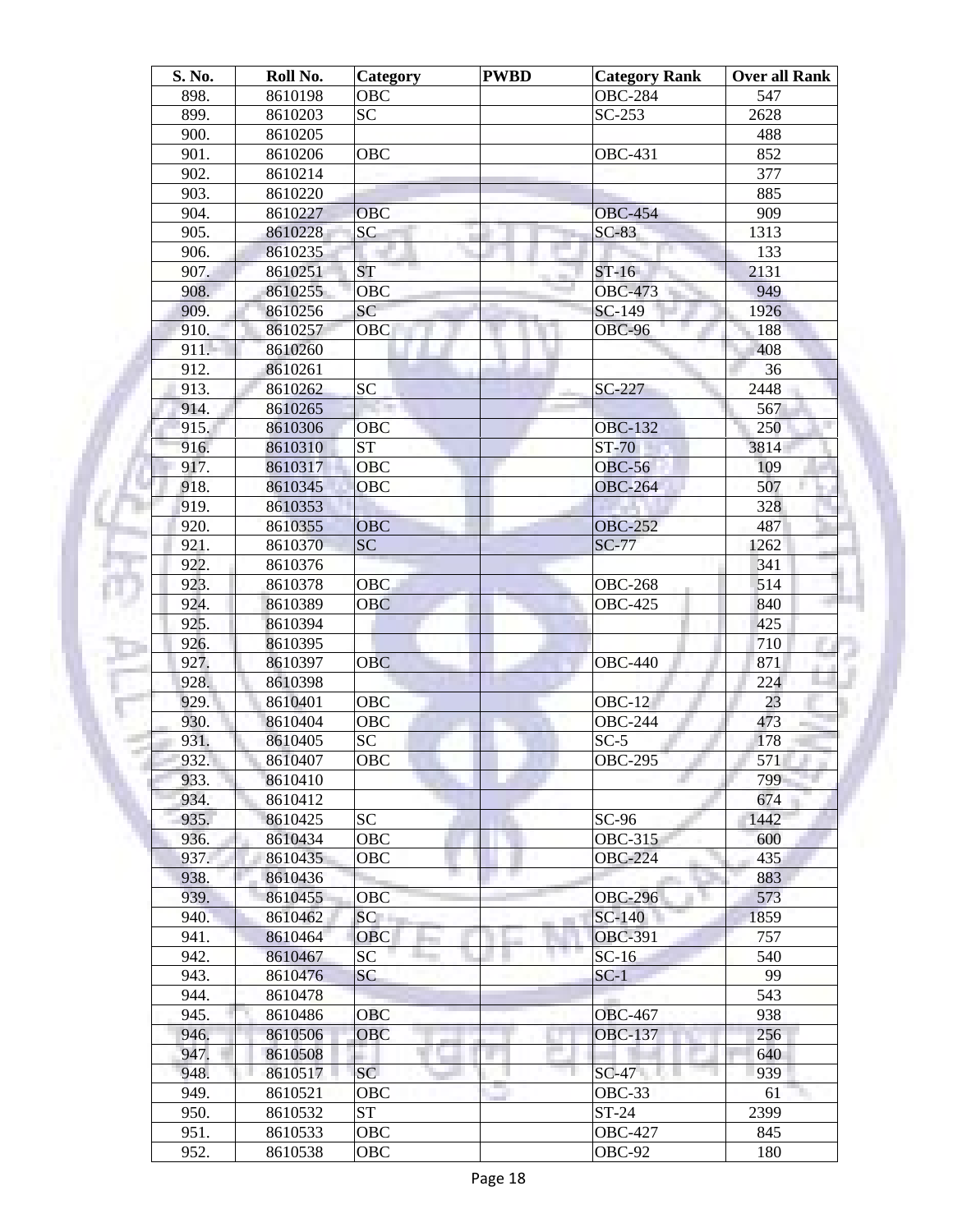| Roll No.           | <b>Category</b>                                                                                                                                                                                                                                                                                                                                                         | <b>PWBD</b>                                                                                                                                                                                                                                                  | <b>Category Rank</b>      | Over all Rank                                                                                                                                                                                                                                                                                                                                                       |
|--------------------|-------------------------------------------------------------------------------------------------------------------------------------------------------------------------------------------------------------------------------------------------------------------------------------------------------------------------------------------------------------------------|--------------------------------------------------------------------------------------------------------------------------------------------------------------------------------------------------------------------------------------------------------------|---------------------------|---------------------------------------------------------------------------------------------------------------------------------------------------------------------------------------------------------------------------------------------------------------------------------------------------------------------------------------------------------------------|
| 8610198            |                                                                                                                                                                                                                                                                                                                                                                         |                                                                                                                                                                                                                                                              |                           | 547                                                                                                                                                                                                                                                                                                                                                                 |
| 8610203            |                                                                                                                                                                                                                                                                                                                                                                         |                                                                                                                                                                                                                                                              |                           | 2628                                                                                                                                                                                                                                                                                                                                                                |
| 8610205            |                                                                                                                                                                                                                                                                                                                                                                         |                                                                                                                                                                                                                                                              |                           | 488                                                                                                                                                                                                                                                                                                                                                                 |
| 8610206            | <b>OBC</b>                                                                                                                                                                                                                                                                                                                                                              |                                                                                                                                                                                                                                                              | <b>OBC-431</b>            | 852                                                                                                                                                                                                                                                                                                                                                                 |
| 8610214            |                                                                                                                                                                                                                                                                                                                                                                         |                                                                                                                                                                                                                                                              |                           | 377                                                                                                                                                                                                                                                                                                                                                                 |
| 8610220            |                                                                                                                                                                                                                                                                                                                                                                         |                                                                                                                                                                                                                                                              |                           | 885                                                                                                                                                                                                                                                                                                                                                                 |
| 8610227            | <b>OBC</b>                                                                                                                                                                                                                                                                                                                                                              |                                                                                                                                                                                                                                                              | <b>OBC-454</b>            | 909                                                                                                                                                                                                                                                                                                                                                                 |
| 8610228            | <b>SC</b>                                                                                                                                                                                                                                                                                                                                                               | <b>III</b>                                                                                                                                                                                                                                                   | $SC-83$                   | 1313                                                                                                                                                                                                                                                                                                                                                                |
| 8610235            |                                                                                                                                                                                                                                                                                                                                                                         |                                                                                                                                                                                                                                                              |                           | 133                                                                                                                                                                                                                                                                                                                                                                 |
| 8610251            | <b>ST</b>                                                                                                                                                                                                                                                                                                                                                               |                                                                                                                                                                                                                                                              | $ST-16$                   | 2131                                                                                                                                                                                                                                                                                                                                                                |
| 8610255            | <b>OBC</b>                                                                                                                                                                                                                                                                                                                                                              |                                                                                                                                                                                                                                                              | <b>OBC-473</b>            | 949                                                                                                                                                                                                                                                                                                                                                                 |
| 8610256            | <b>SC</b>                                                                                                                                                                                                                                                                                                                                                               |                                                                                                                                                                                                                                                              | SC-149                    | 1926                                                                                                                                                                                                                                                                                                                                                                |
| 8610257            | <b>OBC</b>                                                                                                                                                                                                                                                                                                                                                              |                                                                                                                                                                                                                                                              | <b>OBC-96</b>             | 188                                                                                                                                                                                                                                                                                                                                                                 |
| 8610260            |                                                                                                                                                                                                                                                                                                                                                                         |                                                                                                                                                                                                                                                              |                           | 408                                                                                                                                                                                                                                                                                                                                                                 |
| 8610261            |                                                                                                                                                                                                                                                                                                                                                                         |                                                                                                                                                                                                                                                              |                           | 36                                                                                                                                                                                                                                                                                                                                                                  |
| 8610262            | <b>SC</b>                                                                                                                                                                                                                                                                                                                                                               |                                                                                                                                                                                                                                                              | SC-227                    | 2448                                                                                                                                                                                                                                                                                                                                                                |
| 8610265            |                                                                                                                                                                                                                                                                                                                                                                         |                                                                                                                                                                                                                                                              |                           | 567                                                                                                                                                                                                                                                                                                                                                                 |
|                    | OBC                                                                                                                                                                                                                                                                                                                                                                     |                                                                                                                                                                                                                                                              | <b>OBC-132</b>            | 250                                                                                                                                                                                                                                                                                                                                                                 |
|                    |                                                                                                                                                                                                                                                                                                                                                                         |                                                                                                                                                                                                                                                              |                           | 3814                                                                                                                                                                                                                                                                                                                                                                |
| 8610317            | <b>OBC</b>                                                                                                                                                                                                                                                                                                                                                              |                                                                                                                                                                                                                                                              | <b>OBC-56</b>             | 109                                                                                                                                                                                                                                                                                                                                                                 |
|                    |                                                                                                                                                                                                                                                                                                                                                                         |                                                                                                                                                                                                                                                              |                           | 507                                                                                                                                                                                                                                                                                                                                                                 |
|                    |                                                                                                                                                                                                                                                                                                                                                                         |                                                                                                                                                                                                                                                              |                           | 328                                                                                                                                                                                                                                                                                                                                                                 |
|                    |                                                                                                                                                                                                                                                                                                                                                                         |                                                                                                                                                                                                                                                              |                           | 487                                                                                                                                                                                                                                                                                                                                                                 |
|                    |                                                                                                                                                                                                                                                                                                                                                                         |                                                                                                                                                                                                                                                              |                           | 1262                                                                                                                                                                                                                                                                                                                                                                |
|                    |                                                                                                                                                                                                                                                                                                                                                                         |                                                                                                                                                                                                                                                              |                           | 341                                                                                                                                                                                                                                                                                                                                                                 |
|                    |                                                                                                                                                                                                                                                                                                                                                                         |                                                                                                                                                                                                                                                              |                           | 514                                                                                                                                                                                                                                                                                                                                                                 |
|                    |                                                                                                                                                                                                                                                                                                                                                                         |                                                                                                                                                                                                                                                              |                           | 840                                                                                                                                                                                                                                                                                                                                                                 |
|                    |                                                                                                                                                                                                                                                                                                                                                                         |                                                                                                                                                                                                                                                              |                           | 425                                                                                                                                                                                                                                                                                                                                                                 |
|                    |                                                                                                                                                                                                                                                                                                                                                                         |                                                                                                                                                                                                                                                              |                           | 710                                                                                                                                                                                                                                                                                                                                                                 |
|                    |                                                                                                                                                                                                                                                                                                                                                                         |                                                                                                                                                                                                                                                              |                           | 871                                                                                                                                                                                                                                                                                                                                                                 |
|                    |                                                                                                                                                                                                                                                                                                                                                                         |                                                                                                                                                                                                                                                              |                           | 224                                                                                                                                                                                                                                                                                                                                                                 |
|                    |                                                                                                                                                                                                                                                                                                                                                                         |                                                                                                                                                                                                                                                              |                           | 23                                                                                                                                                                                                                                                                                                                                                                  |
|                    |                                                                                                                                                                                                                                                                                                                                                                         |                                                                                                                                                                                                                                                              |                           | 473                                                                                                                                                                                                                                                                                                                                                                 |
|                    |                                                                                                                                                                                                                                                                                                                                                                         |                                                                                                                                                                                                                                                              |                           | 178                                                                                                                                                                                                                                                                                                                                                                 |
|                    |                                                                                                                                                                                                                                                                                                                                                                         |                                                                                                                                                                                                                                                              |                           | 571                                                                                                                                                                                                                                                                                                                                                                 |
|                    |                                                                                                                                                                                                                                                                                                                                                                         |                                                                                                                                                                                                                                                              |                           | 799                                                                                                                                                                                                                                                                                                                                                                 |
|                    |                                                                                                                                                                                                                                                                                                                                                                         |                                                                                                                                                                                                                                                              |                           | 674                                                                                                                                                                                                                                                                                                                                                                 |
|                    |                                                                                                                                                                                                                                                                                                                                                                         |                                                                                                                                                                                                                                                              |                           | 1442                                                                                                                                                                                                                                                                                                                                                                |
|                    |                                                                                                                                                                                                                                                                                                                                                                         |                                                                                                                                                                                                                                                              |                           | 600                                                                                                                                                                                                                                                                                                                                                                 |
|                    |                                                                                                                                                                                                                                                                                                                                                                         |                                                                                                                                                                                                                                                              |                           | 435                                                                                                                                                                                                                                                                                                                                                                 |
|                    |                                                                                                                                                                                                                                                                                                                                                                         |                                                                                                                                                                                                                                                              |                           | 883                                                                                                                                                                                                                                                                                                                                                                 |
|                    |                                                                                                                                                                                                                                                                                                                                                                         |                                                                                                                                                                                                                                                              |                           | 573                                                                                                                                                                                                                                                                                                                                                                 |
|                    |                                                                                                                                                                                                                                                                                                                                                                         |                                                                                                                                                                                                                                                              |                           | 1859                                                                                                                                                                                                                                                                                                                                                                |
|                    |                                                                                                                                                                                                                                                                                                                                                                         |                                                                                                                                                                                                                                                              |                           | 757                                                                                                                                                                                                                                                                                                                                                                 |
|                    |                                                                                                                                                                                                                                                                                                                                                                         |                                                                                                                                                                                                                                                              |                           | 540                                                                                                                                                                                                                                                                                                                                                                 |
|                    |                                                                                                                                                                                                                                                                                                                                                                         |                                                                                                                                                                                                                                                              |                           | 99                                                                                                                                                                                                                                                                                                                                                                  |
|                    |                                                                                                                                                                                                                                                                                                                                                                         |                                                                                                                                                                                                                                                              |                           | 543                                                                                                                                                                                                                                                                                                                                                                 |
|                    |                                                                                                                                                                                                                                                                                                                                                                         |                                                                                                                                                                                                                                                              |                           | 938                                                                                                                                                                                                                                                                                                                                                                 |
|                    |                                                                                                                                                                                                                                                                                                                                                                         |                                                                                                                                                                                                                                                              |                           | 256                                                                                                                                                                                                                                                                                                                                                                 |
|                    |                                                                                                                                                                                                                                                                                                                                                                         |                                                                                                                                                                                                                                                              |                           | 640                                                                                                                                                                                                                                                                                                                                                                 |
|                    |                                                                                                                                                                                                                                                                                                                                                                         |                                                                                                                                                                                                                                                              |                           | 939                                                                                                                                                                                                                                                                                                                                                                 |
|                    |                                                                                                                                                                                                                                                                                                                                                                         |                                                                                                                                                                                                                                                              | OBC-33                    | 61                                                                                                                                                                                                                                                                                                                                                                  |
|                    |                                                                                                                                                                                                                                                                                                                                                                         |                                                                                                                                                                                                                                                              |                           |                                                                                                                                                                                                                                                                                                                                                                     |
| 8610521            |                                                                                                                                                                                                                                                                                                                                                                         |                                                                                                                                                                                                                                                              |                           |                                                                                                                                                                                                                                                                                                                                                                     |
| 8610532<br>8610533 | ST<br><b>OBC</b>                                                                                                                                                                                                                                                                                                                                                        |                                                                                                                                                                                                                                                              | $ST-24$<br><b>OBC-427</b> | 2399<br>845                                                                                                                                                                                                                                                                                                                                                         |
|                    | 8610306<br>8610310<br>8610345<br>8610353<br>8610355<br>8610370<br>8610376<br>8610378<br>8610389<br>8610394<br>8610395<br>8610397<br>8610398<br>8610401<br>8610404<br>8610405<br>8610407<br>8610410<br>8610412<br>8610425<br>8610434<br>8610435<br>8610436<br>8610455<br>8610462<br>8610464<br>8610467<br>8610476<br>8610478<br>8610486<br>8610506<br>8610508<br>8610517 | OBC<br>SC <sub>1</sub><br><b>ST</b><br><b>OBC</b><br><b>OBC</b><br><b>SC</b><br><b>OBC</b><br><b>OBC</b><br><b>OBC</b><br>OBC<br>OBC<br><b>SC</b><br>OBC<br><b>SC</b><br>OBC<br>OBC<br>OBC<br>SC<br><b>OBC</b><br>SC<br>SC<br>OBC<br><b>OBC</b><br>SC<br>OBC |                           | <b>OBC-284</b><br>$SC-253$<br>$ST-70$<br><b>OBC-264</b><br><b>OBC-252</b><br><b>SC-77</b><br><b>OBC-268</b><br><b>OBC-425</b><br><b>OBC-440</b><br>$OBC-12$<br><b>OBC-244</b><br>$SC-5$<br><b>OBC-295</b><br>$SC-96$<br>OBC-315<br><b>OBC-224</b><br><b>OBC-296</b><br>SC-140<br><b>OBC-391</b><br>$SC-16$<br>$SC-1$<br><b>OBC-467</b><br><b>OBC-137</b><br>$SC-47$ |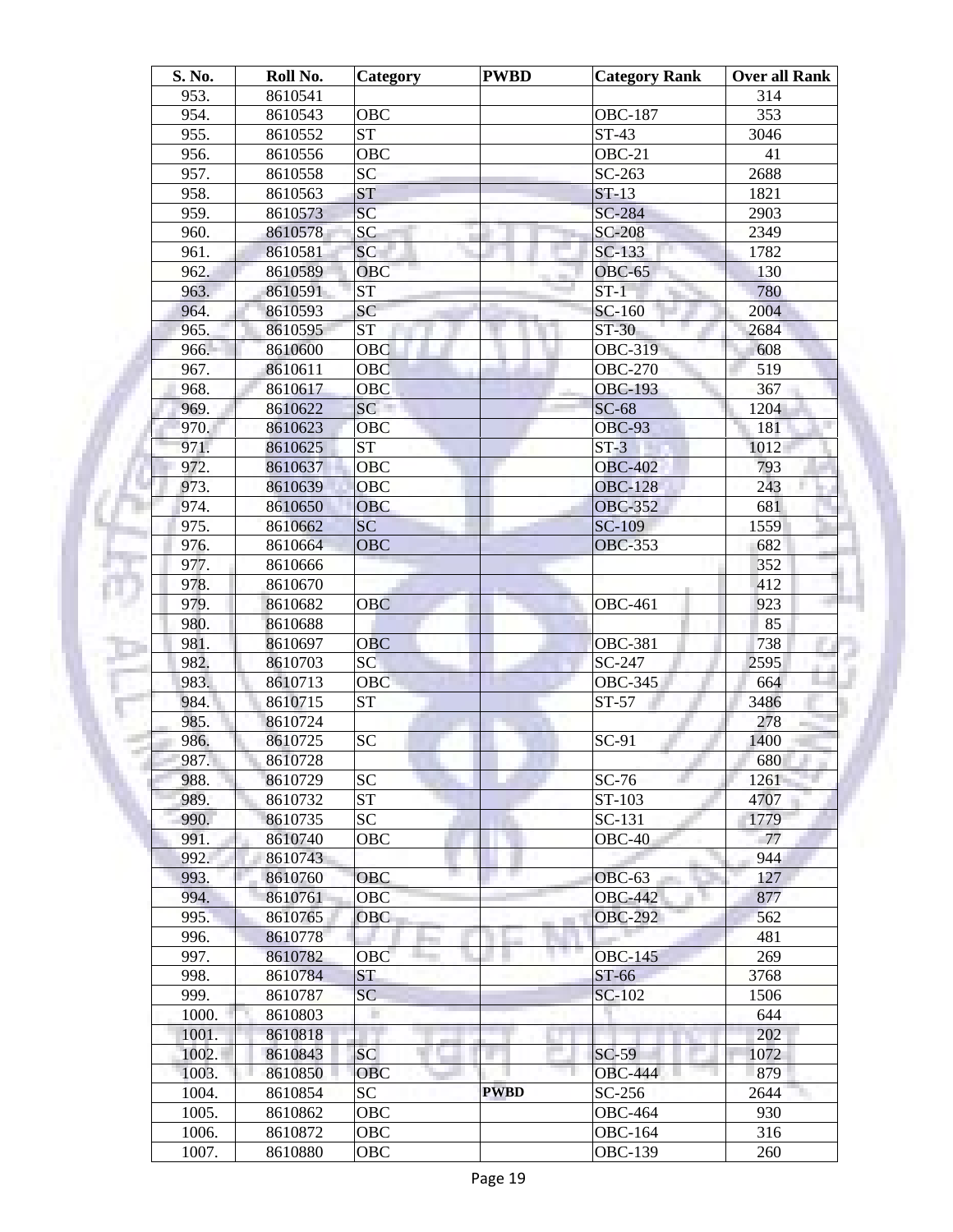| S. No. | Roll No. | Category               | <b>PWBD</b> | <b>Category Rank</b> | Over all Rank |
|--------|----------|------------------------|-------------|----------------------|---------------|
| 953.   | 8610541  |                        |             |                      | 314           |
| 954.   | 8610543  | <b>OBC</b>             |             | <b>OBC-187</b>       | 353           |
| 955.   | 8610552  | $\overline{\text{ST}}$ |             | $ST-43$              | 3046          |
| 956.   | 8610556  | <b>OBC</b>             |             | OBC-21               | 41            |
| 957.   | 8610558  | SC                     |             | $SC-263$             | 2688          |
| 958.   | 8610563  | <b>ST</b>              |             | $ST-13$              | 1821          |
| 959.   | 8610573  | SC                     |             | SC-284               | 2903          |
| 960.   | 8610578  | <b>SC</b>              |             | <b>SC-208</b>        | 2349          |
| 961.   | 8610581  | <b>SC</b>              |             | $SC-133$             | 1782          |
| 962.   | 8610589  | OBC                    |             | <b>OBC-65</b>        | 130           |
| 963.   | 8610591  | <b>ST</b>              |             | $ST-1$               | 780           |
| 964.   | 8610593  | SC                     |             | SC-160               | 2004          |
| 965.   | 8610595  | <b>ST</b>              |             | $ST-30$              | 2684          |
| 966.   | 8610600  | OBC                    |             | <b>OBC-319</b>       | 608           |
| 967.   | 8610611  | OBC                    |             | <b>OBC-270</b>       | 519           |
| 968.   | 8610617  | <b>OBC</b>             |             | <b>OBC-193</b>       | 367           |
| 969.   | 8610622  | SC                     |             | $SC-68$              | 1204          |
| 970.   | 8610623  | OBC                    |             | <b>OBC-93</b>        | 181           |
| 971.   | 8610625  | <b>ST</b>              |             | $ST-3$               | 1012          |
| 972.   | 8610637  | <b>OBC</b>             |             | <b>OBC-402</b>       | 793           |
| 973.   | 8610639  | <b>OBC</b>             |             | <b>OBC-128</b>       | 243           |
| 974.   | 8610650  | <b>OBC</b>             |             | <b>OBC-352</b>       | 681           |
| 975.   | 8610662  | <b>SC</b>              |             | <b>SC-109</b>        | 1559          |
| 976.   | 8610664  | <b>OBC</b>             |             | <b>OBC-353</b>       | 682           |
| 977.   | 8610666  |                        |             |                      | 352           |
| 978.   | 8610670  |                        |             |                      | 412           |
| 979.   | 8610682  | <b>OBC</b>             |             | <b>OBC-461</b>       | 923           |
| 980.   | 8610688  |                        |             |                      | 85            |
| 981.   | 8610697  | <b>OBC</b>             |             | <b>OBC-381</b>       | 738           |
| 982.   | 8610703  | SC                     |             | SC-247               | 2595          |
| 983.   | 8610713  | <b>OBC</b>             |             | <b>OBC-345</b>       | 664           |
| 984.   | 8610715  | <b>ST</b>              |             | $ST-57$              | 3486          |
| 985.   | 8610724  |                        |             |                      | 278           |
| 986.   | 8610725  | <b>SC</b>              |             | SC-91                | 1400          |
| 987.   | 8610728  |                        |             |                      | 680           |
| 988.   | 8610729  | <b>SC</b>              |             | $SC-76$              | 1261          |
| 989.   | 8610732  | $\overline{\text{ST}}$ |             | ST-103               | 4707          |
| 990.   | 8610735  | SC <sub>1</sub>        |             | SC-131               | 1779          |
| 991.   | 8610740  | <b>OBC</b>             |             | $OBC-40$             | 77            |
| 992.   | 8610743  |                        |             |                      | 944           |
| 993.   | 8610760  | <b>OBC</b>             |             | $OBC-63$             | 127           |
| 994.   | 8610761  | <b>OBC</b>             |             | <b>OBC-442</b>       | 877           |
| 995.   | 8610765  | <b>OBC</b>             |             | <b>OBC-292</b>       | 562           |
| 996.   |          |                        |             |                      | 481           |
|        | 8610778  |                        |             | m m                  | 269           |
| 997.   | 8610782  | OBC<br><b>ST</b>       |             | <b>OBC-145</b>       |               |
| 998.   | 8610784  |                        |             | ST-66                | 3768          |
| 999.   | 8610787  | SC                     |             | SC-102               | 1506          |
| 1000.  | 8610803  |                        |             |                      | 644           |
| 1001.  | 8610818  |                        |             |                      | 202           |
| 1002.  | 8610843  | <b>SC</b>              |             | $SC-59$              | 1072          |
| 1003.  | 8610850  | <b>OBC</b>             |             | <b>OBC-444</b>       | 879           |
| 1004.  | 8610854  | SC                     | <b>PWBD</b> | SC-256               | 2644          |
| 1005.  | 8610862  | OBC                    |             | <b>OBC-464</b>       | 930           |
| 1006.  | 8610872  | OBC                    |             | <b>OBC-164</b>       | 316           |
| 1007.  | 8610880  | OBC                    |             | OBC-139              | 260           |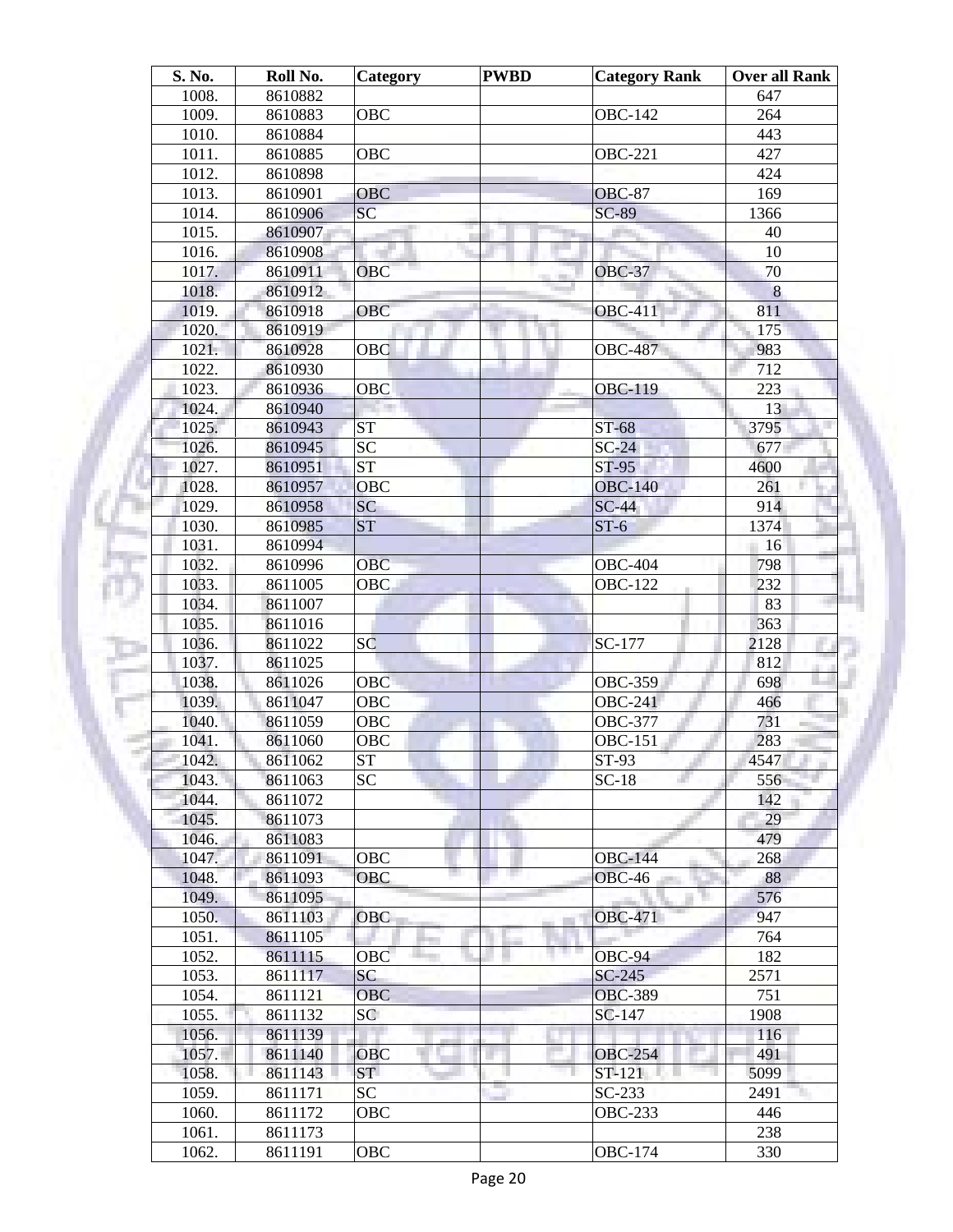| S. No. | Roll No. | Category        | <b>PWBD</b> | <b>Category Rank</b> | <b>Over all Rank</b> |
|--------|----------|-----------------|-------------|----------------------|----------------------|
| 1008.  | 8610882  |                 |             |                      | 647                  |
| 1009.  | 8610883  | <b>OBC</b>      |             | <b>OBC-142</b>       | 264                  |
| 1010.  | 8610884  |                 |             |                      | 443                  |
| 1011.  | 8610885  | OBC             |             | <b>OBC-221</b>       | 427                  |
| 1012.  | 8610898  |                 |             |                      | 424                  |
| 1013.  | 8610901  | <b>OBC</b>      |             | <b>OBC-87</b>        | 169                  |
| 1014.  | 8610906  | SC              |             | $SC-89$              | 1366                 |
| 1015.  | 8610907  |                 | ш           |                      | 40                   |
| 1016.  | 8610908  |                 |             |                      | 10                   |
| 1017.  | 8610911  | <b>OBC</b>      |             | <b>OBC-37</b>        | 70                   |
| 1018.  | 8610912  |                 |             |                      | 8                    |
| 1019.  | 8610918  | <b>OBC</b>      |             | <b>OBC-411</b>       | 811                  |
| 1020.  | 8610919  |                 |             |                      | 175                  |
| 1021.  | 8610928  | <b>OBC</b>      |             | <b>OBC-487</b>       | 983                  |
| 1022.  | 8610930  |                 |             |                      | 712                  |
| 1023.  | 8610936  | OBC             |             | <b>OBC-119</b>       | 223                  |
|        |          |                 |             |                      | 13                   |
| 1024.  | 8610940  |                 |             |                      |                      |
| 1025.  | 8610943  | <b>ST</b>       |             | ST-68                | 3795                 |
| 1026.  | 8610945  | SC              |             | $SC-24$              | 677                  |
| 1027.  | 8610951  | ST              |             | $ST-95$              | 4600                 |
| 1028.  | 8610957  | <b>OBC</b>      |             | <b>OBC-140</b>       | 261                  |
| 1029.  | 8610958  | SC              |             | $SC-44$              | 914                  |
| 1030.  | 8610985  | <b>ST</b>       |             | $ST-6$               | 1374                 |
| 1031.  | 8610994  |                 |             |                      | 16                   |
| 1032.  | 8610996  | <b>OBC</b>      |             | <b>OBC-404</b>       | 798                  |
| 1033.  | 8611005  | <b>OBC</b>      |             | <b>OBC-122</b>       | 232                  |
| 1034.  | 8611007  |                 |             |                      | 83                   |
| 1035.  | 8611016  |                 |             |                      | 363                  |
| 1036.  | 8611022  | SC              |             | SC-177               | 2128                 |
| 1037.  | 8611025  |                 |             |                      | 812                  |
| 1038.  | 8611026  | OBC             |             | <b>OBC-359</b>       | 698                  |
| 1039.  | 8611047  | <b>OBC</b>      |             | <b>OBC-241</b>       | 466                  |
| 1040.  | 8611059  | <b>OBC</b>      |             | <b>OBC-377</b>       | 731                  |
| 1041.  | 8611060  | OBC             |             | <b>OBC-151</b>       | 283                  |
| 1042.  | 8611062  | ST              |             | $ST-93$              | 4547                 |
| 1043.  | 8611063  | <b>SC</b>       |             | $SC-18$              | 556                  |
| 1044.  | 8611072  |                 |             |                      | 142                  |
| 1045.  | 8611073  |                 |             |                      | 29                   |
| 1046.  | 8611083  |                 |             |                      | 479                  |
| 1047.  | 8611091  | OBC             |             | <b>OBC-144</b>       | 268                  |
| 1048.  | 8611093  | OBC             |             | $OBC-46$             | 88                   |
| 1049.  | 8611095  |                 |             |                      | 576                  |
| 1050.  | 8611103  | <b>OBC</b>      |             | <b>OBC-471</b>       | 947                  |
| 1051.  | 8611105  |                 |             |                      | 764                  |
| 1052.  | 8611115  | OBC             |             | OBC-94               | 182                  |
| 1053.  | 8611117  | SC              |             | $SC-245$             | 2571                 |
| 1054.  | 8611121  | <b>OBC</b>      |             | <b>OBC-389</b>       | 751                  |
| 1055.  | 8611132  | SC <sup>1</sup> |             | SC-147               | 1908                 |
| 1056.  | 8611139  |                 |             |                      | 116                  |
| 1057.  | 8611140  | OBC             |             | <b>OBC-254</b>       | 491                  |
| 1058.  | 8611143  | ST.             |             | ST-121               | 5099                 |
|        |          |                 |             |                      |                      |
| 1059.  | 8611171  | SC              |             | $SC-233$             | 2491                 |
| 1060.  | 8611172  | OBC             |             | <b>OBC-233</b>       | 446                  |
| 1061.  | 8611173  |                 |             |                      | 238                  |
| 1062.  | 8611191  | OBC             |             | <b>OBC-174</b>       | 330                  |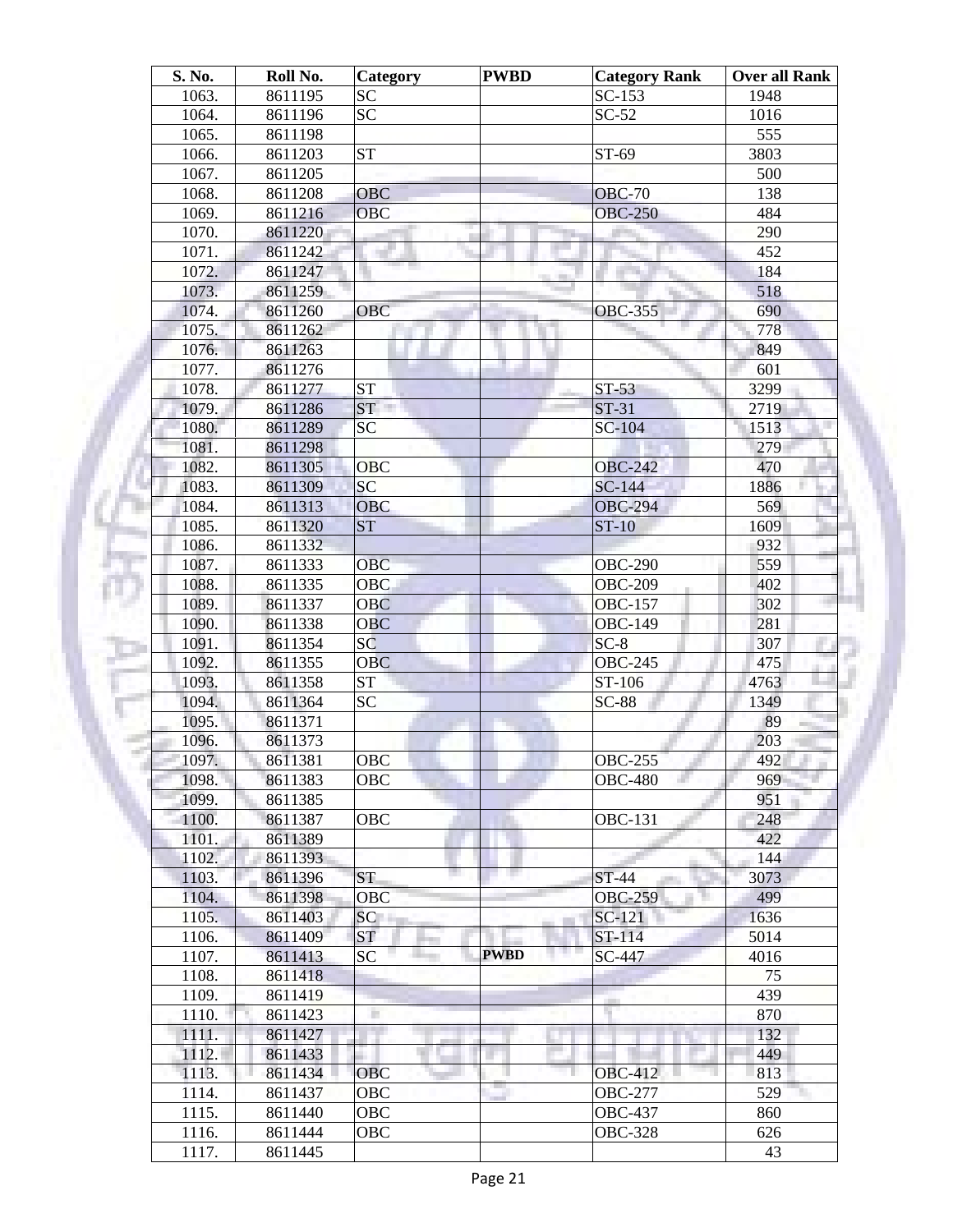| S. No.         | Roll No. | Category         | <b>PWBD</b> | <b>Category Rank</b> | <b>Over all Rank</b> |
|----------------|----------|------------------|-------------|----------------------|----------------------|
| 1063.          | 8611195  | <b>SC</b>        |             | $SC-153$             | 1948                 |
| 1064.          | 8611196  | <b>SC</b>        |             | $SC-52$              | 1016                 |
| 1065.          | 8611198  |                  |             |                      | 555                  |
| 1066.          | 8611203  | <b>ST</b>        |             | ST-69                | 3803                 |
| 1067.          | 8611205  |                  |             |                      | 500                  |
| 1068.          | 8611208  | <b>OBC</b>       |             | <b>OBC-70</b>        | 138                  |
| 1069.          | 8611216  | <b>OBC</b>       |             | <b>OBC-250</b>       | 484                  |
| 1070.          | 8611220  |                  |             |                      | 290                  |
| 1071.          | 8611242  |                  | ш           |                      | 452                  |
| 1072.          | 8611247  |                  |             |                      | 184                  |
| 1073.          | 8611259  |                  |             |                      | 518                  |
| 1074.          | 8611260  | <b>OBC</b>       |             | <b>OBC-355</b>       | 690                  |
| 1075.          | 8611262  |                  |             |                      | 778                  |
|                |          |                  |             |                      |                      |
| 1076.          | 8611263  |                  |             |                      | 849                  |
| 1077.          | 8611276  |                  |             |                      | 601                  |
| 1078.          | 8611277  | <b>ST</b>        |             | $ST-53$              | 3299                 |
| 1079.          | 8611286  | ST <sup>-1</sup> |             | ST-31                | 2719                 |
| 1080.          | 8611289  | SC               |             | $SC-104$             | 1513                 |
| 1081.          | 8611298  |                  |             |                      | 279                  |
| 1082.          | 8611305  | <b>OBC</b>       |             | <b>OBC-242</b>       | 470                  |
| 1083.          | 8611309  | <b>SC</b>        |             | $SC-144$             | 1886                 |
| 1084.          | 8611313  | <b>OBC</b>       |             | <b>OBC-294</b>       | 569                  |
| 1085.          | 8611320  | <b>ST</b>        |             | $ST-10$              | 1609                 |
| 1086.          | 8611332  |                  |             |                      | 932                  |
| 1087.          | 8611333  | <b>OBC</b>       |             | <b>OBC-290</b>       | 559                  |
| 1088.          | 8611335  | <b>OBC</b>       |             | <b>OBC-209</b>       | 402                  |
| 1089.          | 8611337  | <b>OBC</b>       |             | <b>OBC-157</b>       | 302                  |
| 1090.          | 8611338  | <b>OBC</b>       |             | <b>OBC-149</b>       | 281                  |
| 1091.          | 8611354  | SC               |             | $SC-8$               | 307                  |
| 1092.          | 8611355  | <b>OBC</b>       |             | <b>OBC-245</b>       | 475                  |
| 1093.          | 8611358  | <b>ST</b>        |             | ST-106               | 4763                 |
| 1094.          | 8611364  | <b>SC</b>        |             | $SC-88$              | 1349                 |
| 1095.          | 8611371  |                  |             |                      | 89                   |
| 1096.          | 8611373  |                  |             |                      | 203                  |
| 1097.          | 8611381  | OBC              |             | <b>OBC-255</b>       | 492                  |
| 1098.          | 8611383  | OBC              |             | <b>OBC-480</b>       | 969                  |
| 1099.          | 8611385  |                  |             |                      | 951                  |
| 1100.          | 8611387  | OBC              |             | <b>OBC-131</b>       | 248                  |
| 1101.          | 8611389  |                  |             |                      | 422                  |
| 1102.          | 8611393  |                  |             |                      | 144                  |
| 1103.          | 8611396  | <b>ST</b>        |             | ST-44                | 3073                 |
| 1104.          | 8611398  | OBC              |             | <b>OBC-259</b>       | 499                  |
|                | 8611403  | SC               |             | $SC-121$             | 1636                 |
| 1105.<br>1106. |          | <b>ST</b>        |             | ST-114               | 5014                 |
|                | 8611409  |                  | <b>PWBD</b> |                      |                      |
| 1107.          | 8611413  | SC               |             | SC-447               | 4016                 |
| 1108.          | 8611418  |                  |             |                      | 75                   |
| 1109.          | 8611419  |                  |             |                      | 439                  |
| 1110.          | 8611423  | ٠                |             |                      | 870                  |
| 1111.          | 8611427  |                  |             |                      | 132                  |
| 1112.          | 8611433  |                  |             |                      | 449                  |
| 1113.          | 8611434  | OBC              |             | <b>OBC-412</b>       | 813                  |
| 1114.          | 8611437  | OBC              |             | <b>OBC-277</b>       | 529                  |
| 1115.          | 8611440  | OBC              |             | <b>OBC-437</b>       | 860                  |
| 1116.          | 8611444  | OBC              |             | <b>OBC-328</b>       | 626                  |
| 1117.          | 8611445  |                  |             |                      | 43                   |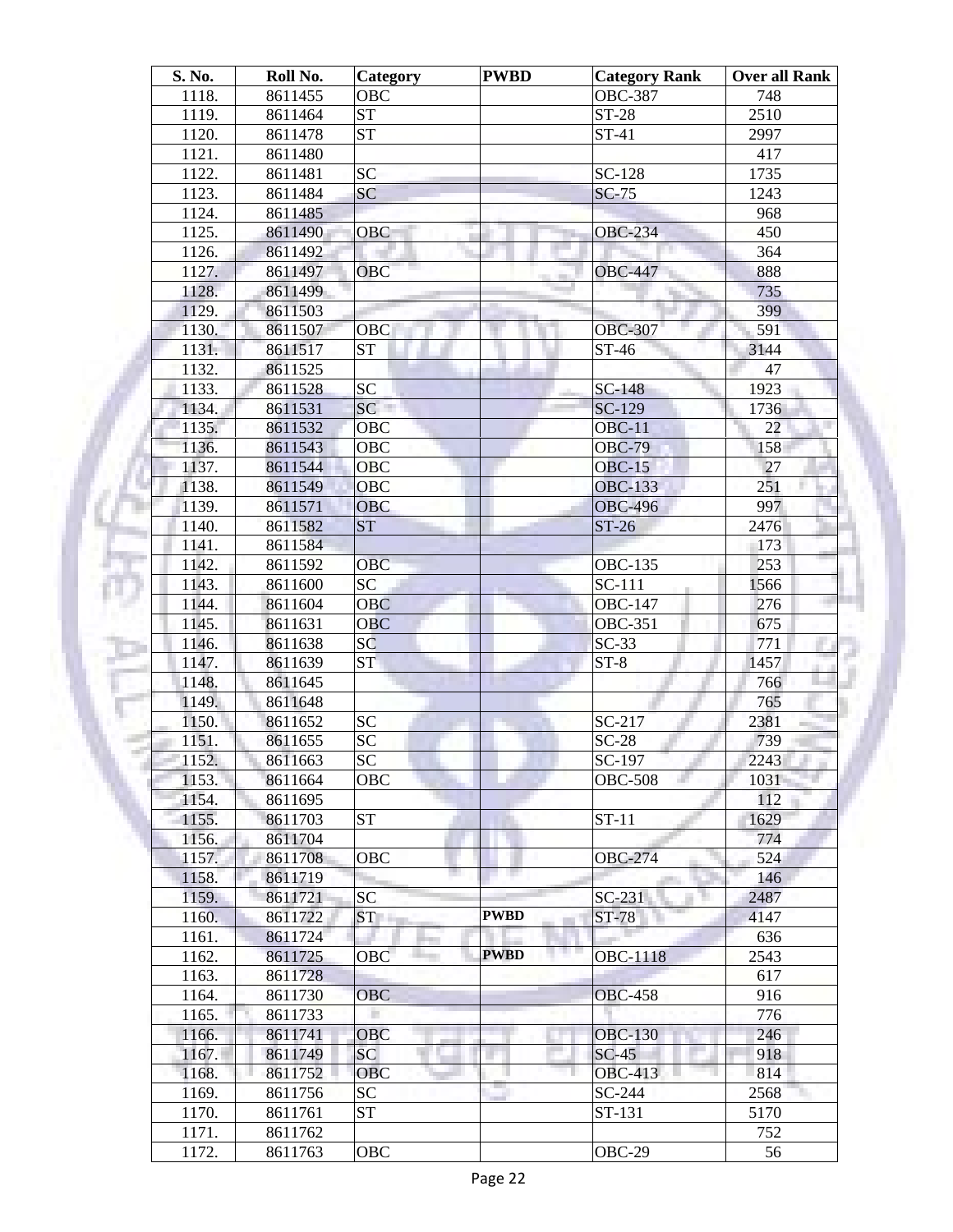| S. No.         | Roll No. | Category   | <b>PWBD</b> | <b>Category Rank</b> | <b>Over all Rank</b> |
|----------------|----------|------------|-------------|----------------------|----------------------|
| 1118.          | 8611455  | OBC        |             | <b>OBC-387</b>       | 748                  |
| 1119.          | 8611464  | <b>ST</b>  |             | <b>ST-28</b>         | 2510                 |
| 1120.          | 8611478  | <b>ST</b>  |             | ST-41                | 2997                 |
| 1121.          | 8611480  |            |             |                      | 417                  |
| 1122.          | 8611481  | <b>SC</b>  |             | SC-128               | 1735                 |
| 1123.          | 8611484  | SC         |             | <b>SC-75</b>         | 1243                 |
| 1124.          | 8611485  |            |             |                      | 968                  |
| 1125.          | 8611490  | <b>OBC</b> | ×           | <b>OBC-234</b>       | 450                  |
| 1126.          | 8611492  |            |             |                      | 364                  |
| 1127.          | 8611497  | <b>OBC</b> |             | <b>OBC-447</b>       | 888                  |
| 1128.          | 8611499  |            |             |                      | 735                  |
| 1129.          | 8611503  |            |             |                      | 399                  |
| 1130.          | 8611507  | <b>OBC</b> |             | <b>OBC-307</b>       | 591                  |
| 1131.          | 8611517  | <b>ST</b>  |             | ST-46                | 3144                 |
| 1132.          | 8611525  |            |             |                      | 47                   |
| 1133.          | 8611528  | <b>SC</b>  |             | SC-148               | 1923                 |
| 1134.          | 8611531  | SC         |             | SC-129               | 1736                 |
| 1135.          | 8611532  | OBC        |             | $OBC-11$             | 22                   |
| 1136.          | 8611543  | <b>OBC</b> |             | <b>OBC-79</b>        | 158                  |
| 1137.          | 8611544  | OBC        |             | $OBC-15$             | 27                   |
| 1138.          | 8611549  | <b>OBC</b> |             | <b>OBC-133</b>       | 251                  |
| 1139.          | 8611571  | <b>OBC</b> |             | <b>OBC-496</b>       | 997                  |
| 1140.          | 8611582  | <b>ST</b>  |             | $ST-26$              | 2476                 |
| 1141.          | 8611584  |            |             |                      | 173                  |
| 1142.          | 8611592  | <b>OBC</b> |             | <b>OBC-135</b>       | 253                  |
| 1143.          | 8611600  | <b>SC</b>  |             | SC-111               | 1566                 |
| 1144.          | 8611604  | <b>OBC</b> |             | <b>OBC-147</b>       | 276                  |
| 1145.          | 8611631  | <b>OBC</b> |             | <b>OBC-351</b>       | 675                  |
| 1146.          | 8611638  | SC         |             | $SC-33$              | 771                  |
| 1147.          | 8611639  | ST         |             | $ST-8$               | 1457                 |
| 1148.          | 8611645  |            |             |                      | 766                  |
| 1149.          | 8611648  |            |             |                      | 765                  |
| 1150.          | 8611652  | <b>SC</b>  |             | SC-217               | 2381                 |
| 1151.          | 8611655  | <b>SC</b>  |             | $SC-28$              | 739                  |
| 1152.          | 8611663  | SC         |             | SC-197               | 2243                 |
| 1153.          | 8611664  | OBC        |             | <b>OBC-508</b>       | 1031                 |
| 1154.          | 8611695  |            |             |                      | 112                  |
| 1155.          | 8611703  | <b>ST</b>  |             | $ST-11$              | 1629                 |
| 1156.          | 8611704  |            |             |                      | 774                  |
| 1157.          | 8611708  | OBC        |             | <b>OBC-274</b>       | 524                  |
| 1158.          | 8611719  |            |             |                      | 146                  |
| 1159.          | 8611721  | SC         |             | $SC-231$             | 2487                 |
| 1160.          | 8611722  | <b>ST</b>  | <b>PWBD</b> | ST-78                | 4147                 |
| 1161.          | 8611724  |            |             |                      | 636                  |
| 1162.          | 8611725  | OBC        | <b>PWBD</b> | OBC-1118             | 2543                 |
| 1163.          | 8611728  |            |             |                      | 617                  |
| 1164.          | 8611730  | <b>OBC</b> |             | <b>OBC-458</b>       | 916                  |
| 1165.          | 8611733  | ×          |             |                      | 776                  |
| 1166.          | 8611741  | OBC        |             | <b>OBC-130</b>       | 246                  |
| 1167.          | 8611749  | SC         |             | $SC-45$              | 918                  |
| 1168.          | 8611752  | <b>OBC</b> |             | <b>OBC-413</b>       | 814                  |
| 1169.          | 8611756  | SC         |             | SC-244               | 2568                 |
| 1170.          | 8611761  | <b>ST</b>  |             | ST-131               | 5170                 |
|                | 8611762  |            |             |                      | 752                  |
| 1171.<br>1172. |          | OBC        |             | OBC-29               | 56                   |
|                | 8611763  |            |             |                      |                      |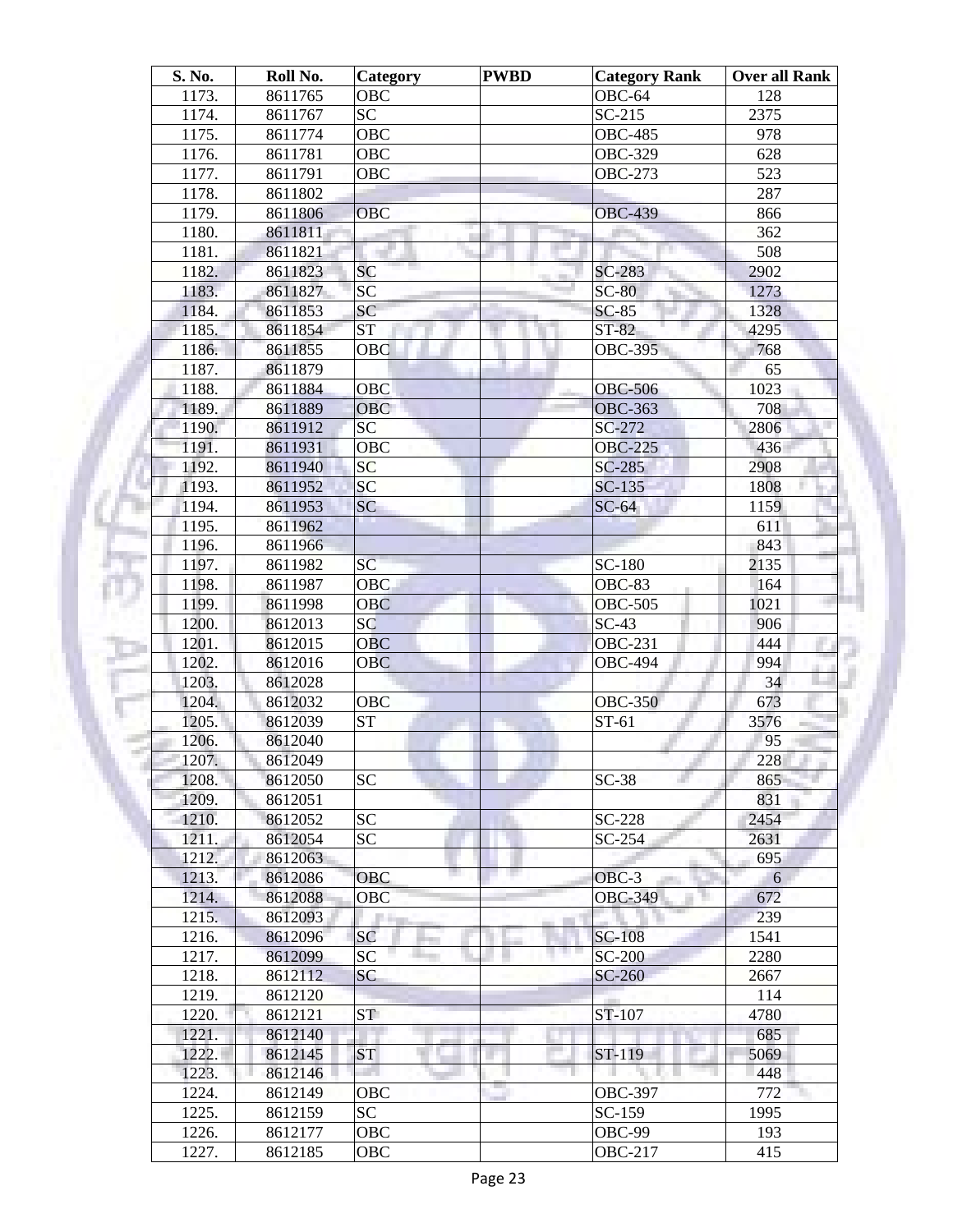| S. No. | Roll No. | Category        | <b>PWBD</b> | <b>Category Rank</b> | Over all Rank |
|--------|----------|-----------------|-------------|----------------------|---------------|
| 1173.  | 8611765  | <b>OBC</b>      |             | OBC-64               | 128           |
| 1174.  | 8611767  | SC              |             | $SC-215$             | 2375          |
| 1175.  | 8611774  | <b>OBC</b>      |             | <b>OBC-485</b>       | 978           |
| 1176.  | 8611781  | <b>OBC</b>      |             | <b>OBC-329</b>       | 628           |
| 1177.  | 8611791  | OBC             |             | <b>OBC-273</b>       | 523           |
| 1178.  | 8611802  |                 |             |                      | 287           |
| 1179.  | 8611806  | <b>OBC</b>      |             | <b>OBC-439</b>       | 866           |
| 1180.  | 8611811  |                 | ш           |                      | 362           |
| 1181.  | 8611821  |                 |             |                      | 508           |
| 1182.  | 8611823  | <b>SC</b>       |             | SC-283               | 2902          |
| 1183.  | 8611827  | <b>SC</b>       |             | $SC-80$              | 1273          |
| 1184.  | 8611853  | <b>SC</b>       |             | $SC-85$              | 1328          |
| 1185.  | 8611854  | <b>ST</b>       |             | ST-82                | 4295          |
| 1186.  | 8611855  | OBC             |             | <b>OBC-395</b>       | 768           |
| 1187.  | 8611879  |                 |             |                      | 65            |
| 1188.  | 8611884  | <b>OBC</b>      |             | <b>OBC-506</b>       | 1023          |
| 1189.  | 8611889  | <b>OBC</b>      |             | <b>OBC-363</b>       | 708           |
| 1190.  | 8611912  | SC              |             | SC-272               | 2806          |
| 1191.  | 8611931  | <b>OBC</b>      |             | <b>OBC-225</b>       | 436           |
| 1192.  | 8611940  | <b>SC</b>       |             | $SC-285$             | 2908          |
| 1193.  | 8611952  | <b>SC</b>       |             | $SC-135$             | 1808          |
| 1194.  | 8611953  | SC              |             | $SC-64$              | 1159          |
| 1195.  | 8611962  |                 |             |                      | 611           |
| 1196.  | 8611966  |                 |             |                      | 843           |
| 1197.  | 8611982  | SC              |             | SC-180               | 2135          |
| 1198.  | 8611987  | <b>OBC</b>      |             | <b>OBC-83</b>        | 164           |
| 1199.  | 8611998  | <b>OBC</b>      |             | <b>OBC-505</b>       | 1021          |
| 1200.  | 8612013  | SC              |             | $SC-43$              | 906           |
| 1201.  | 8612015  | <b>OBC</b>      |             | <b>OBC-231</b>       | 444           |
| 1202.  | 8612016  | <b>OBC</b>      |             | <b>OBC-494</b>       | 994           |
| 1203.  | 8612028  |                 |             |                      | 34            |
| 1204.  | 8612032  | OBC             |             | <b>OBC-350</b>       | 673           |
| 1205.  | 8612039  | <b>ST</b>       |             | $ST-61$              | 3576          |
| 1206.  | 8612040  |                 |             |                      | 95            |
| 1207.  | 8612049  |                 |             |                      | 228           |
| 1208.  | 8612050  | <b>SC</b>       |             | $SC-38$              | 865           |
| 1209.  | 8612051  |                 |             |                      | 831           |
| 1210.  | 8612052  | <b>SC</b>       |             | $SC-228$             | 2454          |
| 1211.  | 8612054  | <b>SC</b>       |             | SC-254               | 2631          |
| 1212.  | 8612063  |                 |             |                      | 695           |
| 1213.  | 8612086  | OBC             |             | $OBC-3$              | 6             |
| 1214.  | 8612088  | OBC             |             | <b>OBC-349</b>       | 672           |
| 1215.  | 8612093  | n an            |             |                      | 239           |
| 1216.  | 8612096  | SC              |             | <b>SC-108</b>        | 1541          |
| 1217.  | 8612099  | SC              |             | <b>SC-200</b>        | 2280          |
| 1218.  | 8612112  | SC              |             | SC-260               | 2667          |
| 1219.  | 8612120  |                 |             |                      | 114           |
| 1220.  | 8612121  | ST <sup>-</sup> |             | ST-107               | 4780          |
|        |          |                 |             |                      |               |
| 1221.  | 8612140  |                 |             |                      | 685           |
| 1222.  | 8612145  | <b>ST</b>       |             | $ST-119$             | 5069          |
| 1223.  | 8612146  | and the         |             |                      | 448           |
| 1224.  | 8612149  | OBC             |             | <b>OBC-397</b>       | 772           |
| 1225.  | 8612159  | SC              |             | SC-159               | 1995          |
| 1226.  | 8612177  | OBC             |             | OBC-99               | 193           |
| 1227.  | 8612185  | OBC             |             | <b>OBC-217</b>       | 415           |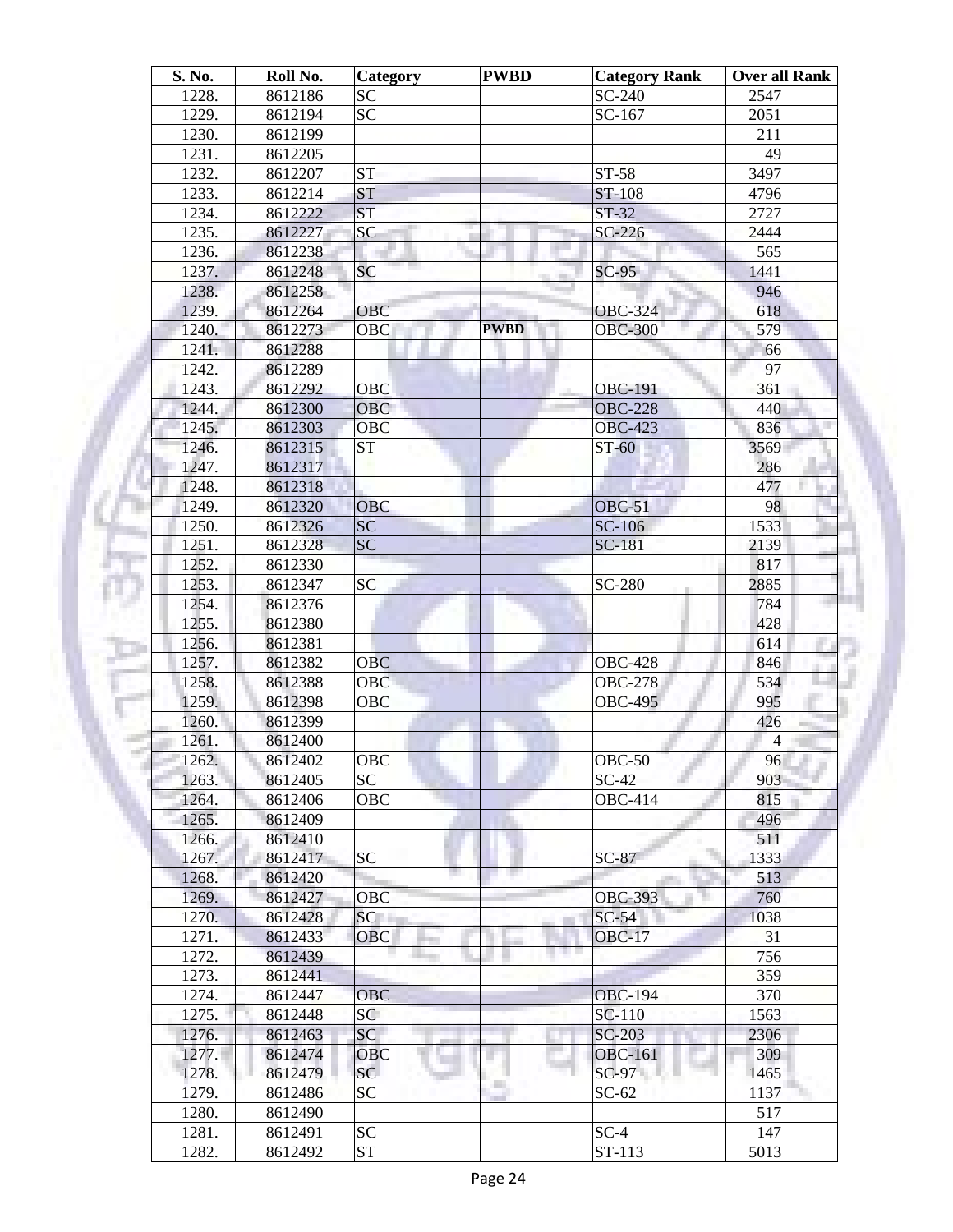| S. No. | Roll No. | Category   | <b>PWBD</b> | <b>Category Rank</b>     | <b>Over all Rank</b> |
|--------|----------|------------|-------------|--------------------------|----------------------|
| 1228.  | 8612186  | <b>SC</b>  |             | SC-240                   | 2547                 |
| 1229.  | 8612194  | <b>SC</b>  |             | SC-167                   | 2051                 |
| 1230.  | 8612199  |            |             |                          | 211                  |
| 1231.  | 8612205  |            |             |                          | 49                   |
| 1232.  | 8612207  | <b>ST</b>  |             | ST-58                    | 3497                 |
| 1233.  | 8612214  | <b>ST</b>  |             | ST-108                   | 4796                 |
| 1234.  | 8612222  | <b>ST</b>  |             | $ST-32$                  | 2727                 |
| 1235.  | 8612227  | <b>SC</b>  | ш           | $SC-226$                 | 2444                 |
| 1236.  | 8612238  |            |             |                          | 565                  |
| 1237.  | 8612248  | <b>SC</b>  |             | $SC-95$                  | 1441                 |
| 1238.  | 8612258  |            |             |                          | 946                  |
| 1239.  | 8612264  | <b>OBC</b> |             | <b>OBC-324</b>           | 618                  |
| 1240.  | 8612273  | OBC        | <b>PWBD</b> | <b>OBC-300</b>           | 579                  |
| 1241.  | 8612288  |            |             |                          | 66                   |
| 1242.  | 8612289  |            |             |                          | 97                   |
| 1243.  | 8612292  | OBC        |             | <b>OBC-191</b>           | 361                  |
| 1244.  | 8612300  | <b>OBC</b> |             | <b>OBC-228</b>           | 440                  |
| 1245.  | 8612303  | <b>OBC</b> |             | <b>OBC-423</b>           | 836                  |
| 1246.  | 8612315  | <b>ST</b>  |             | $ST-60$                  | 3569                 |
| 1247.  | 8612317  |            |             |                          | 286                  |
| 1248.  | 8612318  |            |             |                          | 477                  |
| 1249.  | 8612320  | <b>OBC</b> |             | OBC-51                   | 98                   |
| 1250.  | 8612326  | <b>SC</b>  |             | <b>SC-106</b>            | 1533                 |
| 1251.  | 8612328  | <b>SC</b>  |             | <b>SC-181</b>            | 2139                 |
| 1252.  | 8612330  |            |             |                          | 817                  |
| 1253.  | 8612347  | <b>SC</b>  |             | SC-280                   | 2885                 |
| 1254.  | 8612376  |            |             |                          | 784                  |
| 1255.  | 8612380  |            |             |                          | 428                  |
| 1256.  | 8612381  |            |             |                          | 614                  |
| 1257.  | 8612382  | <b>OBC</b> |             | <b>OBC-428</b>           | 846                  |
| 1258.  | 8612388  | <b>OBC</b> |             | <b>OBC-278</b>           | 534                  |
| 1259.  | 8612398  | OBC        |             | <b>OBC-495</b>           | 995                  |
| 1260.  | 8612399  |            |             |                          | 426                  |
| 1261.  | 8612400  |            |             |                          | $\overline{4}$       |
| 1262.  | 8612402  | OBC        |             | $OBC-50$                 | 96                   |
| 1263.  | 8612405  | <b>SC</b>  |             | $SC-42$                  | 903                  |
| 1264.  | 8612406  | <b>OBC</b> |             | <b>OBC-414</b>           | 815                  |
| 1265.  | 8612409  |            |             |                          | 496                  |
| 1266.  | 8612410  |            |             |                          | 511                  |
| 1267.  | 8612417  | <b>SC</b>  |             | $SC-87$                  | 1333                 |
| 1268.  | 8612420  |            |             |                          | 513                  |
| 1269.  | 8612427  | OBC        |             | <b>OBC-393</b>           | 760                  |
| 1270.  | 8612428  | SC         |             | $SC-54$                  | 1038                 |
| 1271.  | 8612433  | <b>OBC</b> |             | <b>OBC-17</b>            | 31                   |
| 1272.  |          |            |             | n e                      | 756                  |
| 1273.  | 8612439  |            |             |                          | 359                  |
|        | 8612441  | <b>OBC</b> |             |                          | 370                  |
| 1274.  | 8612447  | SC         |             | <b>OBC-194</b><br>SC-110 | 1563                 |
| 1275.  | 8612448  |            |             |                          |                      |
| 1276.  | 8612463  | SC         |             | SC-203                   | 2306                 |
| 1277.  | 8612474  | <b>OBC</b> |             | <b>OBC-161</b>           | 309                  |
| 1278.  | 8612479  | SC-        |             | $SC-97$                  | 1465                 |
| 1279.  | 8612486  | <b>SC</b>  |             | $SC-62$                  | 1137                 |
| 1280.  | 8612490  |            |             |                          | 517                  |
| 1281.  | 8612491  | <b>SC</b>  |             | $SC-4$                   | 147                  |
| 1282.  | 8612492  | <b>ST</b>  |             | ST-113                   | 5013                 |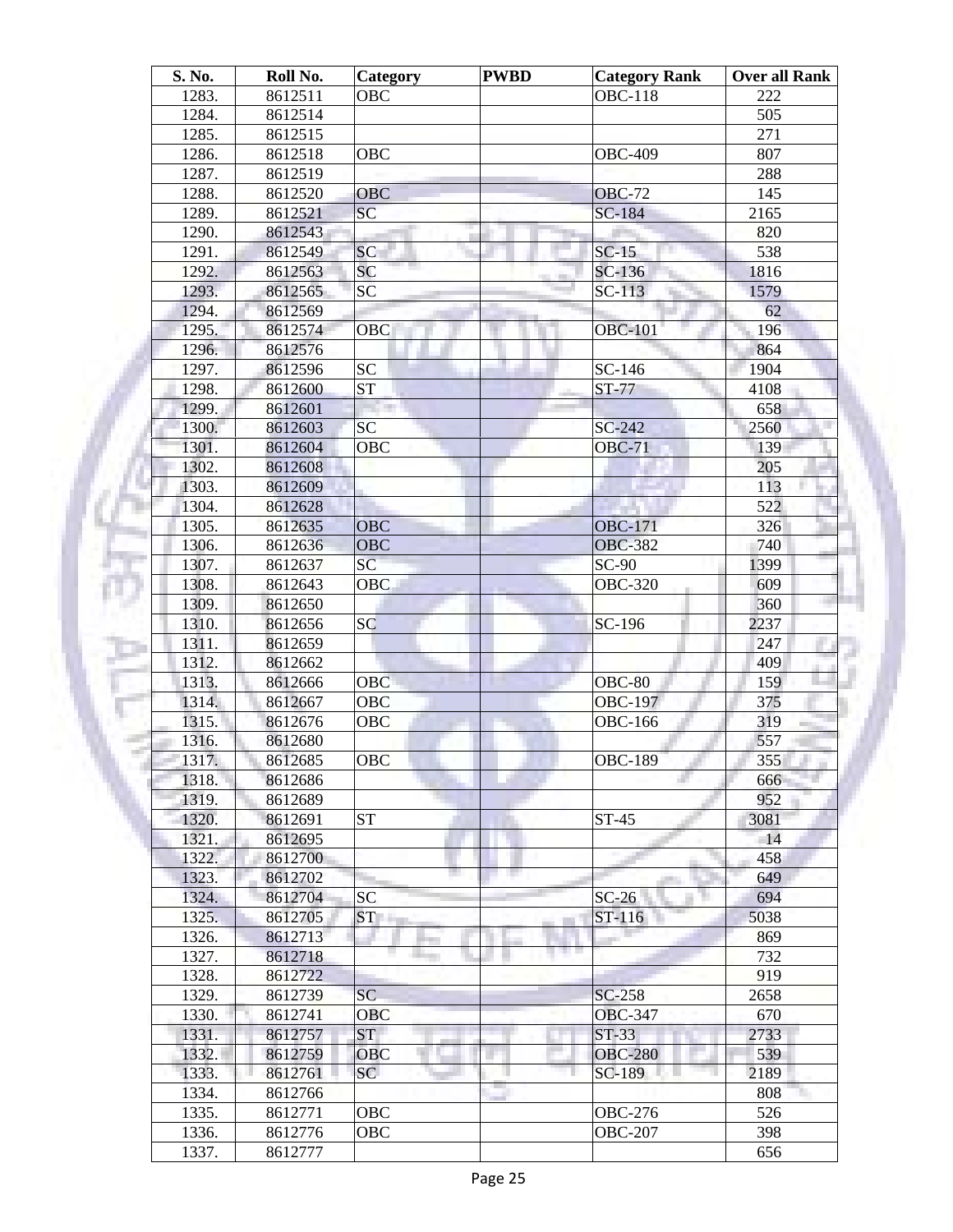| S. No. | Roll No. | Category               | <b>PWBD</b> | <b>Category Rank</b> | <b>Over all Rank</b> |
|--------|----------|------------------------|-------------|----------------------|----------------------|
| 1283.  | 8612511  | <b>OBC</b>             |             | <b>OBC-118</b>       | 222                  |
| 1284.  | 8612514  |                        |             |                      | 505                  |
| 1285.  | 8612515  |                        |             |                      | 271                  |
| 1286.  | 8612518  | <b>OBC</b>             |             | <b>OBC-409</b>       | 807                  |
| 1287.  | 8612519  |                        |             |                      | 288                  |
| 1288.  | 8612520  | <b>OBC</b>             |             | <b>OBC-72</b>        | 145                  |
| 1289.  | 8612521  | SC                     |             | SC-184               | 2165                 |
| 1290.  | 8612543  |                        | ш           |                      | 820                  |
| 1291.  | 8612549  | <b>SC</b>              |             | $SC-15$              | 538                  |
| 1292.  | 8612563  | <b>SC</b>              |             | $SC-136$             | 1816                 |
| 1293.  | 8612565  | <b>SC</b>              |             | $SC-113$             | 1579                 |
| 1294.  | 8612569  |                        |             |                      | 62                   |
| 1295.  | 8612574  | OBC                    |             | <b>OBC-101</b>       | 196                  |
|        |          |                        |             |                      | 864                  |
| 1296.  | 8612576  |                        |             |                      |                      |
| 1297.  | 8612596  | <b>SC</b>              |             | SC-146               | 1904                 |
| 1298.  | 8612600  | $\overline{\text{ST}}$ |             | $ST-77$              | 4108                 |
| 1299.  | 8612601  |                        |             |                      | 658                  |
| 1300.  | 8612603  | SC                     |             | $SC-242$             | 2560                 |
| 1301.  | 8612604  | OBC                    |             | <b>OBC-71</b>        | 139                  |
| 1302.  | 8612608  |                        |             |                      | 205                  |
| 1303.  | 8612609  |                        |             |                      | 113                  |
| 1304.  | 8612628  |                        |             |                      | 522                  |
| 1305.  | 8612635  | <b>OBC</b>             |             | <b>OBC-171</b>       | 326                  |
| 1306.  | 8612636  | <b>OBC</b>             |             | <b>OBC-382</b>       | 740                  |
| 1307.  | 8612637  | SC                     |             | $SC-90$              | 1399                 |
| 1308.  | 8612643  | <b>OBC</b>             |             | <b>OBC-320</b>       | 609                  |
| 1309.  | 8612650  |                        |             |                      | 360                  |
| 1310.  | 8612656  | <b>SC</b>              |             | SC-196               | 2237                 |
| 1311.  | 8612659  |                        |             |                      | 247                  |
| 1312.  | 8612662  |                        |             |                      | 409                  |
| 1313.  | 8612666  | <b>OBC</b>             |             | $OBC-80$             | 159                  |
| 1314.  | 8612667  | <b>OBC</b>             |             | <b>OBC-197</b>       | 375                  |
| 1315.  | 8612676  | OBC                    |             | <b>OBC-166</b>       | 319                  |
| 1316.  | 8612680  |                        |             |                      | 557                  |
| 1317.  | 8612685  | OBC                    |             | <b>OBC-189</b>       | 355                  |
| 1318.  | 8612686  |                        |             |                      | 666                  |
| 1319.  | 8612689  |                        |             |                      | 952                  |
| 1320.  | 8612691  | <b>ST</b>              |             | $ST-45$              | 3081                 |
| 1321.  | 8612695  |                        |             |                      | 14                   |
| 1322.  | 8612700  |                        |             |                      | 458                  |
|        |          |                        |             |                      |                      |
| 1323.  | 8612702  |                        |             |                      | 649                  |
| 1324.  | 8612704  | <b>SC</b>              |             | $SC-26$              | 694                  |
| 1325.  | 8612705  | ST <sub>1</sub>        |             | ST-116               | 5038                 |
| 1326.  | 8612713  |                        |             | n e                  | 869                  |
| 1327.  | 8612718  |                        |             |                      | 732                  |
| 1328.  | 8612722  |                        |             |                      | 919                  |
| 1329.  | 8612739  | <b>SC</b>              |             | SC-258               | 2658                 |
| 1330.  | 8612741  | OBC                    |             | <b>OBC-347</b>       | 670                  |
| 1331.  | 8612757  | <b>ST</b>              |             | <b>ST-33</b>         | 2733                 |
| 1332.  | 8612759  | <b>OBC</b>             |             | <b>OBC-280</b>       | 539                  |
| 1333.  | 8612761  | SC <sup>1</sup>        |             | SC-189               | 2189                 |
| 1334.  | 8612766  |                        |             |                      | 808                  |
| 1335.  | 8612771  | OBC                    |             | <b>OBC-276</b>       | 526                  |
| 1336.  | 8612776  | OBC                    |             | <b>OBC-207</b>       | 398                  |
| 1337.  | 8612777  |                        |             |                      | 656                  |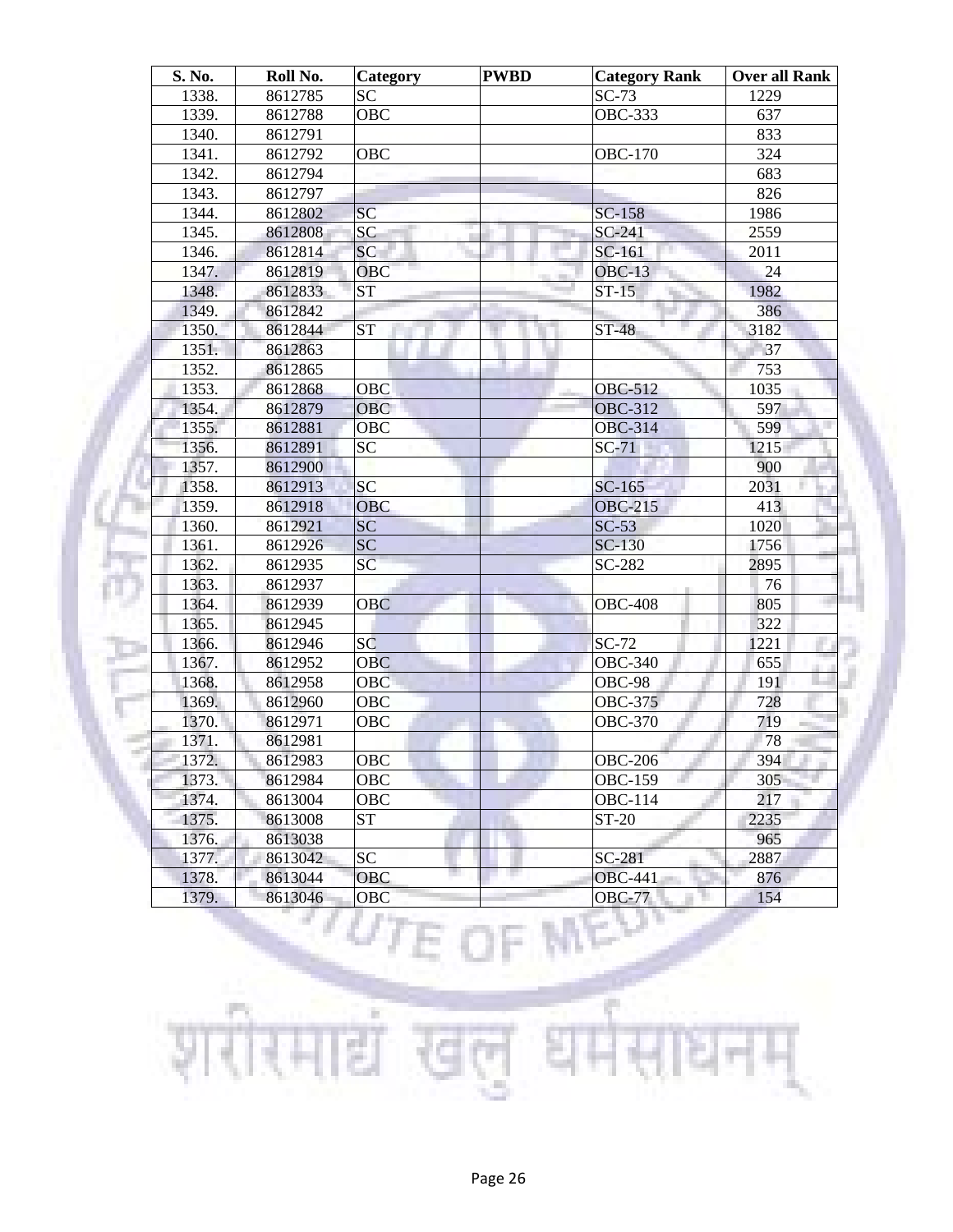| S. No. | Roll No. | Category        | <b>PWBD</b> | <b>Category Rank</b> | <b>Over all Rank</b> |
|--------|----------|-----------------|-------------|----------------------|----------------------|
| 1338.  | 8612785  | <b>SC</b>       |             | $SC-73$              | 1229                 |
| 1339.  | 8612788  | OBC             |             | <b>OBC-333</b>       | 637                  |
| 1340.  | 8612791  |                 |             |                      | 833                  |
| 1341.  | 8612792  | <b>OBC</b>      |             | <b>OBC-170</b>       | 324                  |
| 1342.  | 8612794  |                 |             |                      | 683                  |
| 1343.  | 8612797  |                 |             |                      | 826                  |
| 1344.  | 8612802  | SC              |             | SC-158               | 1986                 |
| 1345.  | 8612808  | $\overline{SC}$ |             | $SC-241$             | 2559                 |
| 1346.  | 8612814  | SC              |             | SC-161               | 2011                 |
| 1347.  | 8612819  | OBC             |             | <b>OBC-13</b>        | 24                   |
| 1348.  | 8612833  | <b>ST</b>       |             | $ST-15$              | 1982                 |
| 1349.  | 8612842  |                 |             |                      | 386                  |
| 1350.  | 8612844  | <b>ST</b>       |             | <b>ST-48</b>         | 3182                 |
| 1351.  | 8612863  |                 |             |                      | 37                   |
| 1352.  | 8612865  |                 |             |                      | 753                  |
| 1353.  | 8612868  | OBC             |             | <b>OBC-512</b>       | 1035                 |
| 1354.  | 8612879  | <b>OBC</b>      |             | <b>OBC-312</b>       | 597                  |
| 1355.  | 8612881  | <b>OBC</b>      |             | <b>OBC-314</b>       | 599                  |
| 1356.  | 8612891  | <b>SC</b>       |             | $SC-71$              | 1215                 |
| 1357.  | 8612900  |                 |             |                      | 900                  |
| 1358.  | 8612913  | <b>SC</b>       |             | $SC-165$             | 2031                 |
| 1359.  | 8612918  | <b>OBC</b>      |             | <b>OBC-215</b>       | 413                  |
| 1360.  | 8612921  | SC              |             | $SC-53$              | 1020                 |
| 1361.  | 8612926  | SC              |             | <b>SC-130</b>        | 1756                 |
| 1362.  | 8612935  | SC              |             | SC-282               | 2895                 |
| 1363.  | 8612937  |                 |             |                      | 76                   |
| 1364.  | 8612939  | <b>OBC</b>      |             | <b>OBC-408</b>       | 805                  |
| 1365.  | 8612945  |                 |             |                      | 322                  |
| 1366.  | 8612946  | SC              |             | $SC-72$              | 1221                 |
| 1367.  | 8612952  | <b>OBC</b>      |             | <b>OBC-340</b>       | 655                  |
| 1368.  | 8612958  | <b>OBC</b>      |             | <b>OBC-98</b>        | 191                  |
| 1369.  | 8612960  | OBC             |             | <b>OBC-375</b>       | 728                  |
| 1370.  | 8612971  | OBC             |             | <b>OBC-370</b>       | 719                  |
| 1371.  | 8612981  |                 |             |                      | 78                   |
| 1372.  | 8612983  | OBC             |             | <b>OBC-206</b>       | 394                  |
| 1373.  | 8612984  | OBC             |             | <b>OBC-159</b>       | 305                  |
| 1374.  | 8613004  | OBC             |             | OBC-114              | 217                  |
| 1375.  | 8613008  | ST              |             | ST-20                | 2235                 |
| 1376.  | 8613038  |                 |             |                      | 965                  |
| 1377.  | 8613042  | SC              |             | SC-281               | 2887                 |
| 1378.  | 8613044  | OBC             |             | <b>OBC-441</b>       | 876                  |
| 1379.  | 8613046  | OBC             |             | <b>OBC-77</b>        | 154                  |
|        |          |                 |             |                      |                      |